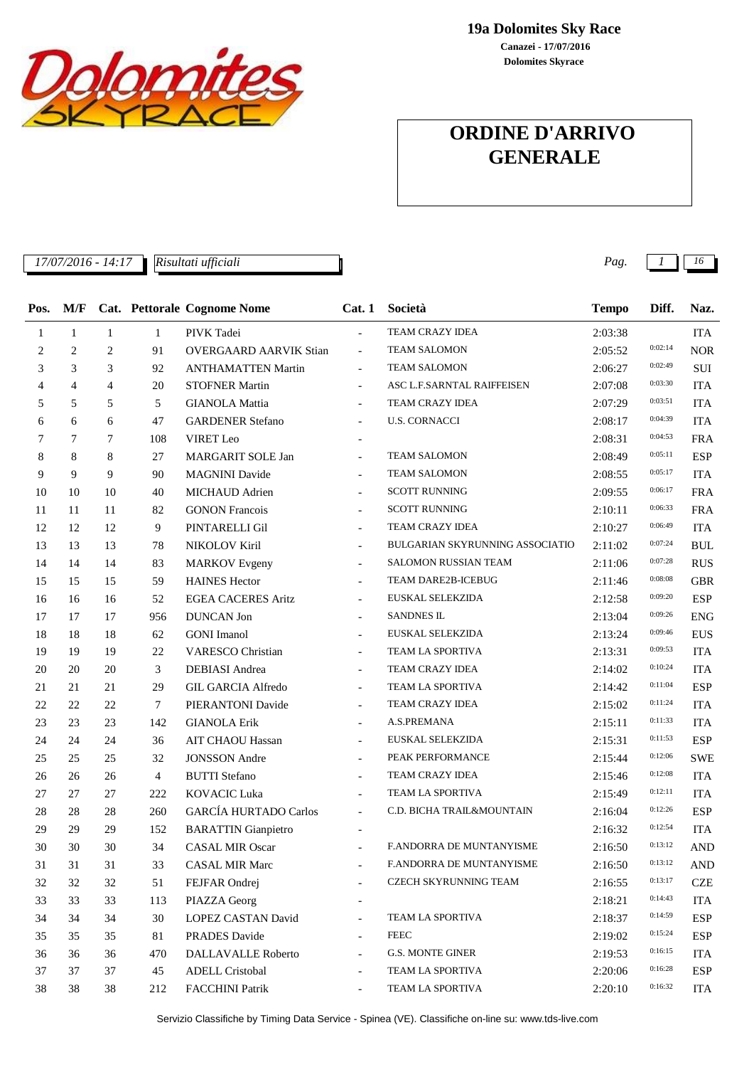

**19a Dolomites Sky Race**

**Dolomites Skyrace Canazei - 17/07/2016**

# **ORDINE D'ARRIVO GENERALE**

*17/07/2016 - 14:17 Pag. 1 16*

| Pos. | M/F            |                |              | Cat. Pettorale Cognome Nome   | Cat.1                    | Società                         | <b>Tempo</b> | Diff.   | Naz.       |
|------|----------------|----------------|--------------|-------------------------------|--------------------------|---------------------------------|--------------|---------|------------|
| 1    | 1              | $\mathbf{1}$   | $\mathbf{1}$ | PIVK Tadei                    | $\overline{a}$           | TEAM CRAZY IDEA                 | 2:03:38      |         | <b>ITA</b> |
| 2    | $\overline{c}$ | $\overline{c}$ | 91           | <b>OVERGAARD AARVIK Stian</b> | $\overline{\phantom{0}}$ | <b>TEAM SALOMON</b>             | 2:05:52      | 0:02:14 | <b>NOR</b> |
| 3    | 3              | 3              | 92           | <b>ANTHAMATTEN Martin</b>     | $\overline{\phantom{a}}$ | <b>TEAM SALOMON</b>             | 2:06:27      | 0:02:49 | SUI        |
| 4    | $\overline{4}$ | $\overline{4}$ | 20           | <b>STOFNER Martin</b>         | $\overline{\phantom{a}}$ | ASC L.F.SARNTAL RAIFFEISEN      | 2:07:08      | 0:03:30 | <b>ITA</b> |
| 5    | 5              | 5              | 5            | <b>GIANOLA Mattia</b>         | $\frac{1}{2}$            | TEAM CRAZY IDEA                 | 2:07:29      | 0:03:51 | <b>ITA</b> |
| 6    | 6              | 6              | 47           | <b>GARDENER Stefano</b>       | $\overline{\phantom{a}}$ | <b>U.S. CORNACCI</b>            | 2:08:17      | 0:04:39 | <b>ITA</b> |
| 7    | 7              | 7              | 108          | VIRET Leo                     |                          |                                 | 2:08:31      | 0:04:53 | <b>FRA</b> |
| 8    | 8              | 8              | 27           | MARGARIT SOLE Jan             | $\overline{\phantom{a}}$ | TEAM SALOMON                    | 2:08:49      | 0:05:11 | <b>ESP</b> |
| 9    | 9              | 9              | 90           | <b>MAGNINI</b> Davide         |                          | <b>TEAM SALOMON</b>             | 2:08:55      | 0:05:17 | <b>ITA</b> |
| 10   | 10             | 10             | 40           | MICHAUD Adrien                | $\overline{\phantom{a}}$ | <b>SCOTT RUNNING</b>            | 2:09:55      | 0:06:17 | <b>FRA</b> |
| 11   | 11             | 11             | 82           | <b>GONON Francois</b>         | $\overline{\phantom{a}}$ | <b>SCOTT RUNNING</b>            | 2:10:11      | 0:06:33 | <b>FRA</b> |
| 12   | 12             | 12             | 9            | PINTARELLI Gil                | $\overline{\phantom{a}}$ | TEAM CRAZY IDEA                 | 2:10:27      | 0:06:49 | <b>ITA</b> |
| 13   | 13             | 13             | 78           | NIKOLOV Kiril                 | $\overline{\phantom{a}}$ | BULGARIAN SKYRUNNING ASSOCIATIO | 2:11:02      | 0:07:24 | <b>BUL</b> |
| 14   | 14             | 14             | 83           | <b>MARKOV</b> Evgeny          |                          | SALOMON RUSSIAN TEAM            | 2:11:06      | 0:07:28 | <b>RUS</b> |
| 15   | 15             | 15             | 59           | <b>HAINES Hector</b>          | $\overline{\phantom{a}}$ | TEAM DARE2B-ICEBUG              | 2:11:46      | 0:08:08 | <b>GBR</b> |
| 16   | 16             | 16             | 52           | <b>EGEA CACERES Aritz</b>     | $\overline{\phantom{a}}$ | EUSKAL SELEKZIDA                | 2:12:58      | 0:09:20 | <b>ESP</b> |
| 17   | 17             | 17             | 956          | <b>DUNCAN</b> Jon             |                          | SANDNES IL                      | 2:13:04      | 0:09:26 | <b>ENG</b> |
| 18   | 18             | 18             | 62           | <b>GONI</b> Imanol            | $\overline{\phantom{a}}$ | EUSKAL SELEKZIDA                | 2:13:24      | 0:09:46 | <b>EUS</b> |
| 19   | 19             | 19             | 22           | <b>VARESCO Christian</b>      | $\overline{\phantom{0}}$ | TEAM LA SPORTIVA                | 2:13:31      | 0:09:53 | <b>ITA</b> |
| 20   | 20             | 20             | 3            | DEBIASI Andrea                | $\overline{\phantom{a}}$ | TEAM CRAZY IDEA                 | 2:14:02      | 0:10:24 | <b>ITA</b> |
| 21   | 21             | 21             | 29           | <b>GIL GARCIA Alfredo</b>     | $\overline{\phantom{a}}$ | TEAM LA SPORTIVA                | 2:14:42      | 0:11:04 | <b>ESP</b> |
| 22   | 22             | 22             | 7            | PIERANTONI Davide             | $\overline{\phantom{a}}$ | TEAM CRAZY IDEA                 | 2:15:02      | 0:11:24 | <b>ITA</b> |
| 23   | 23             | 23             | 142          | <b>GIANOLA Erik</b>           | $\overline{\phantom{a}}$ | A.S.PREMANA                     | 2:15:11      | 0:11:33 | <b>ITA</b> |
| 24   | 24             | 24             | 36           | AIT CHAOU Hassan              | $\overline{\phantom{a}}$ | EUSKAL SELEKZIDA                | 2:15:31      | 0:11:53 | <b>ESP</b> |
| 25   | 25             | 25             | 32           | <b>JONSSON</b> Andre          | $\overline{\phantom{a}}$ | PEAK PERFORMANCE                | 2:15:44      | 0:12:06 | <b>SWE</b> |
| 26   | 26             | 26             | 4            | <b>BUTTI</b> Stefano          |                          | TEAM CRAZY IDEA                 | 2:15:46      | 0:12:08 | <b>ITA</b> |
| 27   | 27             | 27             | 222          | <b>KOVACIC Luka</b>           | $\overline{\phantom{a}}$ | TEAM LA SPORTIVA                | 2:15:49      | 0:12:11 | <b>ITA</b> |
| 28   | 28             | 28             | 260          | <b>GARCÍA HURTADO Carlos</b>  | ÷.                       | C.D. BICHA TRAIL&MOUNTAIN       | 2:16:04      | 0:12:26 | <b>ESP</b> |
| 29   | 29             | 29             | 152          | <b>BARATTIN</b> Gianpietro    |                          |                                 | 2:16:32      | 0:12:54 | <b>ITA</b> |
| 30   | 30             | 30             | 34           | <b>CASAL MIR Oscar</b>        |                          | F.ANDORRA DE MUNTANYISME        | 2:16:50      | 0:13:12 | <b>AND</b> |
| 31   | 31             | 31             | 33           | <b>CASAL MIR Marc</b>         |                          | F.ANDORRA DE MUNTANYISME        | 2:16:50      | 0:13:12 | <b>AND</b> |
| 32   | 32             | 32             | 51           | FEJFAR Ondrej                 |                          | CZECH SKYRUNNING TEAM           | 2:16:55      | 0:13:17 | CZE        |
| 33   | 33             | 33             | 113          | PIAZZA Georg                  |                          |                                 | 2:18:21      | 0:14:43 | <b>ITA</b> |
| 34   | 34             | 34             | 30           | LOPEZ CASTAN David            |                          | TEAM LA SPORTIVA                | 2:18:37      | 0:14:59 | <b>ESP</b> |
| 35   | 35             | 35             | 81           | <b>PRADES</b> Davide          |                          | <b>FEEC</b>                     | 2:19:02      | 0:15:24 | <b>ESP</b> |
| 36   | 36             | 36             | 470          | DALLAVALLE Roberto            |                          | G.S. MONTE GINER                | 2:19:53      | 0:16:15 | <b>ITA</b> |
| 37   | 37             | 37             | 45           | <b>ADELL Cristobal</b>        |                          | TEAM LA SPORTIVA                | 2:20:06      | 0:16:28 | <b>ESP</b> |
| 38   | 38             | 38             | 212          | <b>FACCHINI Patrik</b>        |                          | TEAM LA SPORTIVA                | 2:20:10      | 0:16:32 | <b>ITA</b> |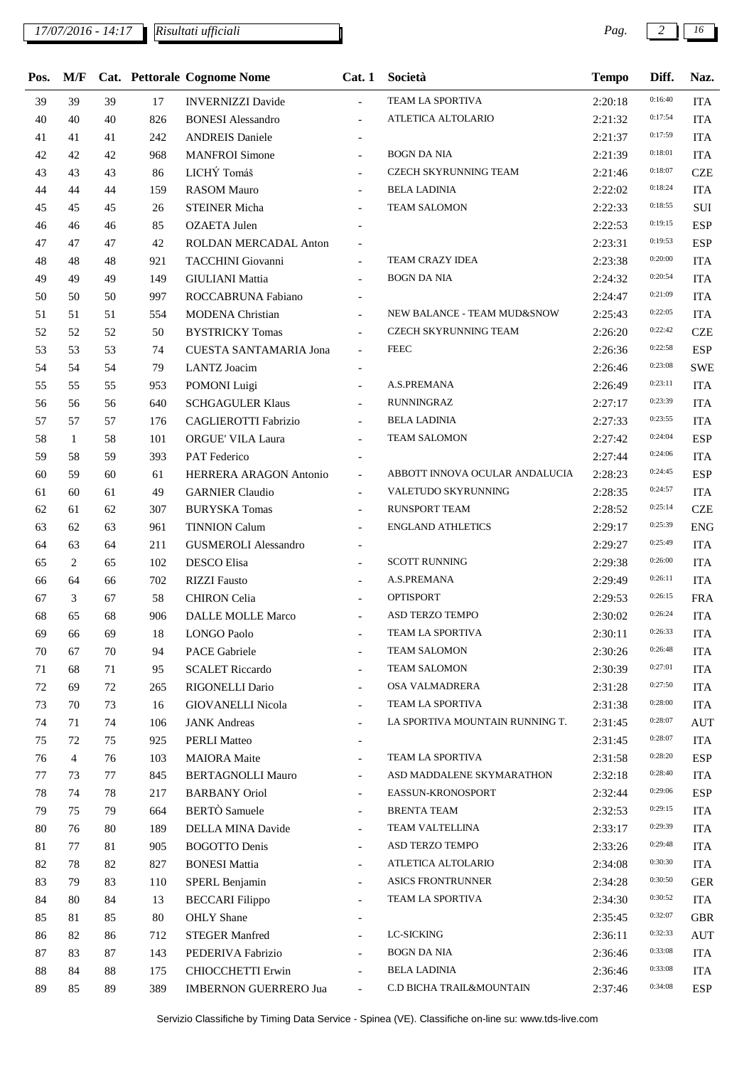| Pos.   | M/F |    |     | Cat. Pettorale Cognome Nome   | Cat.1                    | Società                         | <b>Tempo</b> | Diff.   | Naz.       |
|--------|-----|----|-----|-------------------------------|--------------------------|---------------------------------|--------------|---------|------------|
| 39     | 39  | 39 | 17  | <b>INVERNIZZI Davide</b>      | $\blacksquare$           | TEAM LA SPORTIVA                | 2:20:18      | 0:16:40 | <b>ITA</b> |
| 40     | 40  | 40 | 826 | <b>BONESI</b> Alessandro      | $\blacksquare$           | ATLETICA ALTOLARIO              | 2:21:32      | 0:17:54 | <b>ITA</b> |
| 41     | 41  | 41 | 242 | <b>ANDREIS Daniele</b>        | $\overline{\phantom{a}}$ |                                 | 2:21:37      | 0:17:59 | <b>ITA</b> |
| 42     | 42  | 42 | 968 | <b>MANFROI Simone</b>         | $\overline{\phantom{a}}$ | <b>BOGN DA NIA</b>              | 2:21:39      | 0:18:01 | <b>ITA</b> |
| 43     | 43  | 43 | 86  | LICHÝ Tomáš                   | $\overline{\phantom{a}}$ | CZECH SKYRUNNING TEAM           | 2:21:46      | 0:18:07 | <b>CZE</b> |
| 44     | 44  | 44 | 159 | <b>RASOM Mauro</b>            |                          | <b>BELA LADINIA</b>             | 2:22:02      | 0:18:24 | <b>ITA</b> |
| 45     | 45  | 45 | 26  | <b>STEINER Micha</b>          | $\overline{\phantom{a}}$ | <b>TEAM SALOMON</b>             | 2:22:33      | 0:18:55 | $\rm SUI$  |
| 46     | 46  | 46 | 85  | <b>OZAETA Julen</b>           |                          |                                 | 2:22:53      | 0:19:15 | <b>ESP</b> |
| 47     | 47  | 47 | 42  | ROLDAN MERCADAL Anton         |                          |                                 | 2:23:31      | 0:19:53 | <b>ESP</b> |
| 48     | 48  | 48 | 921 | TACCHINI Giovanni             | $\overline{\phantom{a}}$ | TEAM CRAZY IDEA                 | 2:23:38      | 0:20:00 | <b>ITA</b> |
| 49     | 49  | 49 | 149 | <b>GIULIANI</b> Mattia        | $\overline{\phantom{a}}$ | <b>BOGN DA NIA</b>              | 2:24:32      | 0:20:54 | <b>ITA</b> |
| 50     | 50  | 50 | 997 | ROCCABRUNA Fabiano            |                          |                                 | 2:24:47      | 0:21:09 | <b>ITA</b> |
| 51     | 51  | 51 | 554 | <b>MODENA</b> Christian       | $\overline{\phantom{a}}$ | NEW BALANCE - TEAM MUD&SNOW     | 2:25:43      | 0:22:05 | <b>ITA</b> |
| 52     | 52  | 52 | 50  | <b>BYSTRICKY Tomas</b>        | $\overline{\phantom{a}}$ | <b>CZECH SKYRUNNING TEAM</b>    | 2:26:20      | 0:22:42 | <b>CZE</b> |
| 53     | 53  | 53 | 74  | <b>CUESTA SANTAMARIA Jona</b> | $\overline{\phantom{a}}$ | <b>FEEC</b>                     | 2:26:36      | 0:22:58 | <b>ESP</b> |
| 54     | 54  | 54 | 79  | LANTZ Joacim                  |                          |                                 | 2:26:46      | 0:23:08 | <b>SWE</b> |
| 55     | 55  | 55 | 953 | POMONI Luigi                  |                          | A.S.PREMANA                     | 2:26:49      | 0:23:11 | <b>ITA</b> |
| 56     | 56  | 56 | 640 | <b>SCHGAGULER Klaus</b>       |                          | RUNNINGRAZ                      | 2:27:17      | 0:23:39 | <b>ITA</b> |
| 57     | 57  | 57 | 176 | CAGLIEROTTI Fabrizio          | $\overline{\phantom{a}}$ | <b>BELA LADINIA</b>             | 2:27:33      | 0:23:55 | <b>ITA</b> |
| 58     | 1   | 58 | 101 | <b>ORGUE' VILA Laura</b>      | $\blacksquare$           | <b>TEAM SALOMON</b>             | 2:27:42      | 0:24:04 | <b>ESP</b> |
| 59     | 58  | 59 | 393 | <b>PAT Federico</b>           |                          |                                 | 2:27:44      | 0:24:06 | <b>ITA</b> |
| 60     | 59  | 60 | 61  | HERRERA ARAGON Antonio        | $\overline{\phantom{a}}$ | ABBOTT INNOVA OCULAR ANDALUCIA  | 2:28:23      | 0:24:45 | <b>ESP</b> |
| 61     | 60  | 61 | 49  | <b>GARNIER Claudio</b>        | $\blacksquare$           | VALETUDO SKYRUNNING             | 2:28:35      | 0:24:57 | <b>ITA</b> |
| 62     | 61  | 62 | 307 | <b>BURYSKA Tomas</b>          | $\overline{\phantom{a}}$ | <b>RUNSPORT TEAM</b>            | 2:28:52      | 0:25:14 | <b>CZE</b> |
| 63     | 62  | 63 | 961 | <b>TINNION Calum</b>          | $\overline{\phantom{a}}$ | <b>ENGLAND ATHLETICS</b>        | 2:29:17      | 0:25:39 | <b>ENG</b> |
| 64     | 63  | 64 | 211 | <b>GUSMEROLI Alessandro</b>   | $\blacksquare$           |                                 | 2:29:27      | 0:25:49 | <b>ITA</b> |
| 65     | 2   | 65 | 102 | <b>DESCO</b> Elisa            |                          | <b>SCOTT RUNNING</b>            | 2:29:38      | 0:26:00 | <b>ITA</b> |
| 66     | 64  | 66 | 702 | <b>RIZZI</b> Fausto           | $\overline{\phantom{a}}$ | A.S.PREMANA                     | 2:29:49      | 0:26:11 | <b>ITA</b> |
| 67     | 3   | 67 | 58  | <b>CHIRON</b> Celia           |                          | <b>OPTISPORT</b>                | 2:29:53      | 0:26:15 | <b>FRA</b> |
| 68     | 65  | 68 | 906 | <b>DALLE MOLLE Marco</b>      | $\overline{\phantom{a}}$ | ASD TERZO TEMPO                 | 2:30:02      | 0:26:24 | <b>ITA</b> |
| 69     | 66  | 69 | 18  | LONGO Paolo                   |                          | TEAM LA SPORTIVA                | 2:30:11      | 0:26:33 | <b>ITA</b> |
| 70     | 67  | 70 | 94  | <b>PACE Gabriele</b>          | $\overline{\phantom{a}}$ | <b>TEAM SALOMON</b>             | 2:30:26      | 0:26:48 | ITA        |
| 71     | 68  | 71 | 95  | <b>SCALET Riccardo</b>        |                          | <b>TEAM SALOMON</b>             | 2:30:39      | 0:27:01 | <b>ITA</b> |
| 72     | 69  | 72 | 265 | RIGONELLI Dario               | $\overline{\phantom{a}}$ | OSA VALMADRERA                  | 2:31:28      | 0:27:50 | <b>ITA</b> |
| 73     | 70  | 73 | 16  | <b>GIOVANELLI Nicola</b>      | $\overline{\phantom{a}}$ | TEAM LA SPORTIVA                | 2:31:38      | 0:28:00 | <b>ITA</b> |
| 74     | 71  | 74 | 106 | <b>JANK</b> Andreas           |                          | LA SPORTIVA MOUNTAIN RUNNING T. | 2:31:45      | 0:28:07 | <b>AUT</b> |
| 75     | 72  | 75 | 925 | <b>PERLI Matteo</b>           | $\overline{\phantom{a}}$ |                                 | 2:31:45      | 0:28:07 | ITA        |
| 76     | 4   | 76 | 103 | <b>MAIORA</b> Maite           | $\overline{\phantom{a}}$ | TEAM LA SPORTIVA                | 2:31:58      | 0:28:20 | <b>ESP</b> |
| 77     | 73  | 77 | 845 | <b>BERTAGNOLLI Mauro</b>      | $\blacksquare$           | ASD MADDALENE SKYMARATHON       | 2:32:18      | 0:28:40 | <b>ITA</b> |
| 78     | 74  | 78 | 217 | <b>BARBANY</b> Oriol          | $\overline{\phantom{a}}$ | EASSUN-KRONOSPORT               | 2:32:44      | 0:29:06 | <b>ESP</b> |
| 79     | 75  | 79 | 664 | <b>BERTÒ</b> Samuele          | $\overline{\phantom{a}}$ | <b>BRENTA TEAM</b>              | 2:32:53      | 0:29:15 | <b>ITA</b> |
| $80\,$ | 76  | 80 | 189 | DELLA MINA Davide             |                          | TEAM VALTELLINA                 | 2:33:17      | 0:29:39 | <b>ITA</b> |
| 81     | 77  | 81 | 905 | <b>BOGOTTO Denis</b>          | $\overline{\phantom{a}}$ | ASD TERZO TEMPO                 | 2:33:26      | 0:29:48 | <b>ITA</b> |
| 82     | 78  | 82 | 827 | <b>BONESI Mattia</b>          | $\overline{\phantom{a}}$ | ATLETICA ALTOLARIO              | 2:34:08      | 0:30:30 | <b>ITA</b> |
| 83     | 79  | 83 | 110 | SPERL Benjamin                | $\overline{\phantom{a}}$ | ASICS FRONTRUNNER               | 2:34:28      | 0:30:50 | <b>GER</b> |
| 84     | 80  | 84 | 13  | <b>BECCARI</b> Filippo        | $\overline{\phantom{a}}$ | TEAM LA SPORTIVA                | 2:34:30      | 0:30:52 | ITA        |
| 85     | 81  | 85 | 80  | OHLY Shane                    | $\overline{\phantom{a}}$ |                                 | 2:35:45      | 0:32:07 | <b>GBR</b> |
| 86     | 82  | 86 | 712 | <b>STEGER Manfred</b>         |                          | LC-SICKING                      | 2:36:11      | 0:32:33 | <b>AUT</b> |
| 87     | 83  | 87 | 143 | PEDERIVA Fabrizio             | $\overline{\phantom{a}}$ | BOGN DA NIA                     | 2:36:46      | 0:33:08 | <b>ITA</b> |
| 88     | 84  | 88 | 175 | CHIOCCHETTI Erwin             | $\blacksquare$           | <b>BELA LADINIA</b>             | 2:36:46      | 0:33:08 | <b>ITA</b> |
| 89     | 85  | 89 | 389 | <b>IMBERNON GUERRERO Jua</b>  | $\blacksquare$           | C.D BICHA TRAIL&MOUNTAIN        | 2:37:46      | 0:34:08 | <b>ESP</b> |
|        |     |    |     |                               |                          |                                 |              |         |            |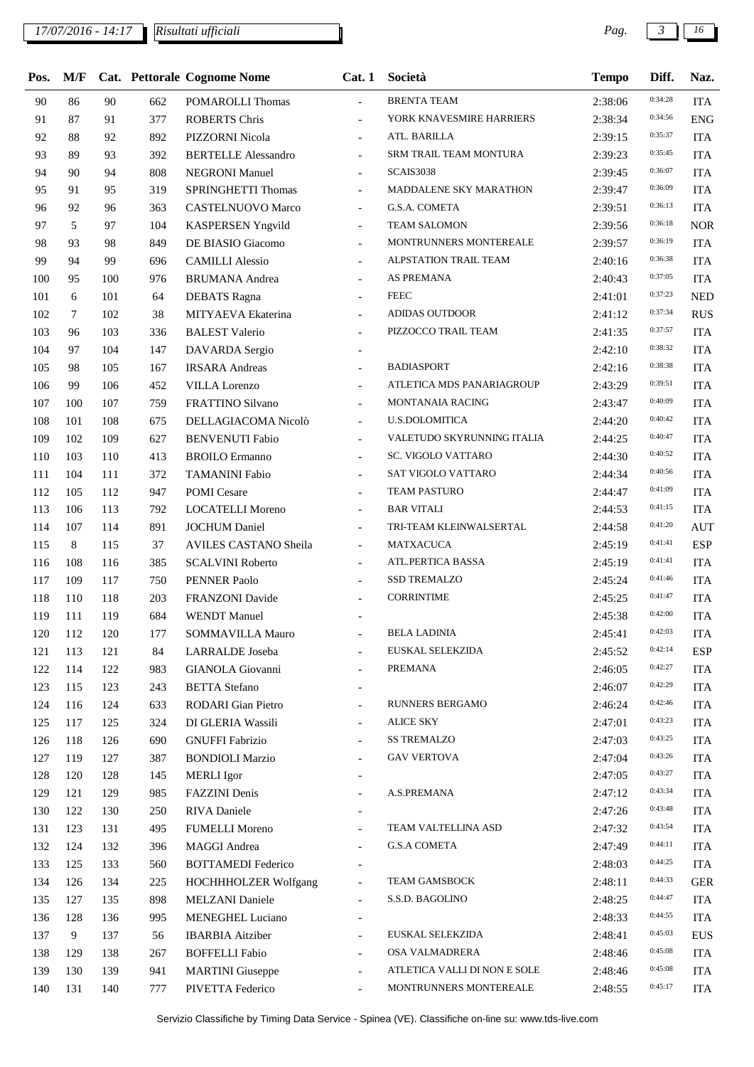## *17/07/2016 - 14:17 Pag. 3 16*

| Pos. | M/F |     |     | Cat. Pettorale Cognome Nome | Cat.1                    | Società                      | <b>Tempo</b> | Diff.   | Naz.       |
|------|-----|-----|-----|-----------------------------|--------------------------|------------------------------|--------------|---------|------------|
| 90   | 86  | 90  | 662 | <b>POMAROLLI Thomas</b>     |                          | <b>BRENTA TEAM</b>           | 2:38:06      | 0:34:28 | <b>ITA</b> |
| 91   | 87  | 91  | 377 | <b>ROBERTS Chris</b>        | $\frac{1}{2}$            | YORK KNAVESMIRE HARRIERS     | 2:38:34      | 0:34:56 | <b>ENG</b> |
| 92   | 88  | 92  | 892 | PIZZORNI Nicola             | $\overline{\phantom{a}}$ | ATL. BARILLA                 | 2:39:15      | 0:35:37 | <b>ITA</b> |
| 93   | 89  | 93  | 392 | <b>BERTELLE Alessandro</b>  |                          | SRM TRAIL TEAM MONTURA       | 2:39:23      | 0:35:45 | <b>ITA</b> |
| 94   | 90  | 94  | 808 | <b>NEGRONI Manuel</b>       | $\overline{\phantom{a}}$ | SCAIS3038                    | 2:39:45      | 0:36:07 | <b>ITA</b> |
| 95   | 91  | 95  | 319 | SPRINGHETTI Thomas          | $\blacksquare$           | MADDALENE SKY MARATHON       | 2:39:47      | 0:36:09 | <b>ITA</b> |
| 96   | 92  | 96  | 363 | <b>CASTELNUOVO Marco</b>    | $\frac{1}{2}$            | <b>G.S.A. COMETA</b>         | 2:39:51      | 0:36:13 | <b>ITA</b> |
| 97   | 5   | 97  | 104 | <b>KASPERSEN Yngvild</b>    | $\overline{\phantom{a}}$ | <b>TEAM SALOMON</b>          | 2:39:56      | 0:36:18 | <b>NOR</b> |
| 98   | 93  | 98  | 849 | DE BIASIO Giacomo           | $\overline{\phantom{a}}$ | MONTRUNNERS MONTEREALE       | 2:39:57      | 0:36:19 | <b>ITA</b> |
| 99   | 94  | 99  | 696 | <b>CAMILLI Alessio</b>      |                          | ALPSTATION TRAIL TEAM        | 2:40:16      | 0:36:38 | <b>ITA</b> |
| 100  | 95  | 100 | 976 | <b>BRUMANA</b> Andrea       | $\overline{\phantom{a}}$ | AS PREMANA                   | 2:40:43      | 0:37:05 | <b>ITA</b> |
| 101  | 6   | 101 | 64  | <b>DEBATS</b> Ragna         | $\overline{\phantom{a}}$ | <b>FEEC</b>                  | 2:41:01      | 0:37:23 | <b>NED</b> |
| 102  | 7   | 102 | 38  | MITYAEVA Ekaterina          | $\overline{a}$           | <b>ADIDAS OUTDOOR</b>        | 2:41:12      | 0:37:34 | <b>RUS</b> |
| 103  | 96  | 103 | 336 | <b>BALEST Valerio</b>       | $\overline{\phantom{a}}$ | PIZZOCCO TRAIL TEAM          | 2:41:35      | 0:37:57 | <b>ITA</b> |
| 104  | 97  | 104 | 147 | DAVARDA Sergio              | $\overline{\phantom{a}}$ |                              | 2:42:10      | 0:38:32 | <b>ITA</b> |
| 105  | 98  | 105 | 167 | <b>IRSARA</b> Andreas       | $\overline{a}$           | <b>BADIASPORT</b>            | 2:42:16      | 0:38:38 | <b>ITA</b> |
| 106  | 99  | 106 | 452 | <b>VILLA</b> Lorenzo        | $\overline{\phantom{a}}$ | ATLETICA MDS PANARIAGROUP    | 2:43:29      | 0:39:51 | <b>ITA</b> |
| 107  | 100 | 107 | 759 | <b>FRATTINO Silvano</b>     | $\overline{\phantom{a}}$ | <b>MONTANAIA RACING</b>      | 2:43:47      | 0:40:09 | <b>ITA</b> |
| 108  | 101 | 108 | 675 | DELLAGIACOMA Nicolò         | $\overline{\phantom{a}}$ | <b>U.S.DOLOMITICA</b>        | 2:44:20      | 0:40:42 | <b>ITA</b> |
| 109  | 102 | 109 | 627 | <b>BENVENUTI Fabio</b>      | $\overline{\phantom{a}}$ | VALETUDO SKYRUNNING ITALIA   | 2:44:25      | 0:40:47 | <b>ITA</b> |
| 110  | 103 | 110 | 413 | <b>BROILO</b> Ermanno       | $\blacksquare$           | SC. VIGOLO VATTARO           | 2:44:30      | 0:40:52 | <b>ITA</b> |
| 111  | 104 | 111 | 372 | <b>TAMANINI Fabio</b>       | $\overline{a}$           | SAT VIGOLO VATTARO           | 2:44:34      | 0:40:56 | <b>ITA</b> |
| 112  | 105 | 112 | 947 | <b>POMI</b> Cesare          | $\overline{\phantom{a}}$ | TEAM PASTURO                 | 2:44:47      | 0:41:09 | <b>ITA</b> |
| 113  | 106 | 113 | 792 | <b>LOCATELLI Moreno</b>     | $\blacksquare$           | <b>BAR VITALI</b>            | 2:44:53      | 0:41:15 | <b>ITA</b> |
| 114  | 107 | 114 | 891 | <b>JOCHUM Daniel</b>        | $\overline{\phantom{a}}$ | TRI-TEAM KLEINWALSERTAL      | 2:44:58      | 0:41:20 | <b>AUT</b> |
| 115  | 8   | 115 | 37  | AVILES CASTANO Sheila       | $\overline{\phantom{a}}$ | <b>MATXACUCA</b>             | 2:45:19      | 0:41:41 | <b>ESP</b> |
| 116  | 108 | 116 | 385 | <b>SCALVINI Roberto</b>     | $\overline{a}$           | ATL.PERTICA BASSA            | 2:45:19      | 0:41:41 | <b>ITA</b> |
| 117  | 109 | 117 | 750 | PENNER Paolo                |                          | SSD TREMALZO                 | 2:45:24      | 0:41:46 | <b>ITA</b> |
| 118  | 110 | 118 | 203 | FRANZONI Davide             | $\blacksquare$           | CORRINTIME                   | 2:45:25      | 0:41:47 | <b>ITA</b> |
| 119  | 111 | 119 | 684 | <b>WENDT</b> Manuel         |                          |                              | 2:45:38      | 0:42:00 | <b>ITA</b> |
| 120  | 112 | 120 | 177 | SOMMAVILLA Mauro            | $\overline{\phantom{a}}$ | <b>BELA LADINIA</b>          | 2:45:41      | 0:42:03 | <b>ITA</b> |
| 121  | 113 | 121 | 84  | LARRALDE Joseba             | $\overline{\phantom{a}}$ | EUSKAL SELEKZIDA             | 2:45:52      | 0:42:14 | <b>ESP</b> |
| 122  | 114 | 122 | 983 | GIANOLA Giovanni            | $\overline{\phantom{a}}$ | PREMANA                      | 2:46:05      | 0:42:27 | <b>ITA</b> |
| 123  | 115 | 123 | 243 | <b>BETTA</b> Stefano        | $\overline{\phantom{a}}$ |                              | 2:46:07      | 0:42:29 | <b>ITA</b> |
| 124  | 116 | 124 | 633 | <b>RODARI</b> Gian Pietro   | $\overline{\phantom{a}}$ | RUNNERS BERGAMO              | 2:46:24      | 0:42:46 | <b>ITA</b> |
| 125  | 117 | 125 | 324 | DI GLERIA Wassili           | $\overline{\phantom{a}}$ | <b>ALICE SKY</b>             | 2:47:01      | 0:43:23 | <b>ITA</b> |
| 126  | 118 | 126 | 690 | <b>GNUFFI Fabrizio</b>      | $\overline{a}$           | <b>SS TREMALZO</b>           | 2:47:03      | 0:43:25 | <b>ITA</b> |
| 127  | 119 | 127 | 387 | <b>BONDIOLI Marzio</b>      | $\overline{\phantom{a}}$ | <b>GAV VERTOVA</b>           | 2:47:04      | 0:43:26 | <b>ITA</b> |
| 128  | 120 | 128 | 145 | <b>MERLI</b> Igor           | $\overline{\phantom{a}}$ |                              | 2:47:05      | 0:43:27 | <b>ITA</b> |
| 129  | 121 | 129 | 985 | FAZZINI Denis               | $\overline{\phantom{0}}$ | A.S.PREMANA                  | 2:47:12      | 0:43:34 | <b>ITA</b> |
| 130  | 122 | 130 | 250 | RIVA Daniele                | $\overline{\phantom{a}}$ |                              | 2:47:26      | 0:43:48 | <b>ITA</b> |
| 131  | 123 | 131 | 495 | <b>FUMELLI Moreno</b>       | $\overline{\phantom{a}}$ | TEAM VALTELLINA ASD          | 2:47:32      | 0:43:54 | <b>ITA</b> |
| 132  | 124 | 132 | 396 | <b>MAGGI Andrea</b>         | $\overline{a}$           | <b>G.S.A COMETA</b>          | 2:47:49      | 0:44:11 | <b>ITA</b> |
| 133  | 125 | 133 | 560 | <b>BOTTAMEDI</b> Federico   | $\overline{\phantom{a}}$ |                              | 2:48:03      | 0:44:25 | <b>ITA</b> |
| 134  | 126 | 134 | 225 | HOCHHHOLZER Wolfgang        | $\overline{\phantom{a}}$ | TEAM GAMSBOCK                | 2:48:11      | 0:44:33 | <b>GER</b> |
| 135  | 127 | 135 | 898 | <b>MELZANI</b> Daniele      | $\overline{\phantom{0}}$ | S.S.D. BAGOLINO              | 2:48:25      | 0:44:47 | <b>ITA</b> |
| 136  | 128 | 136 | 995 | <b>MENEGHEL Luciano</b>     | $\overline{\phantom{a}}$ |                              | 2:48:33      | 0:44:55 | <b>ITA</b> |
| 137  | 9   | 137 | 56  | <b>IBARBIA</b> Aitziber     | $\overline{\phantom{a}}$ | EUSKAL SELEKZIDA             | 2:48:41      | 0:45:03 | <b>EUS</b> |
| 138  | 129 | 138 | 267 | <b>BOFFELLI</b> Fabio       | $\overline{a}$           | OSA VALMADRERA               | 2:48:46      | 0:45:08 | <b>ITA</b> |
| 139  | 130 | 139 | 941 | <b>MARTINI</b> Giuseppe     | $\overline{\phantom{a}}$ | ATLETICA VALLI DI NON E SOLE | 2:48:46      | 0:45:08 | <b>ITA</b> |
| 140  | 131 | 140 | 777 | PIVETTA Federico            | $\blacksquare$           | MONTRUNNERS MONTEREALE       | 2:48:55      | 0:45:17 | <b>ITA</b> |
|      |     |     |     |                             |                          |                              |              |         |            |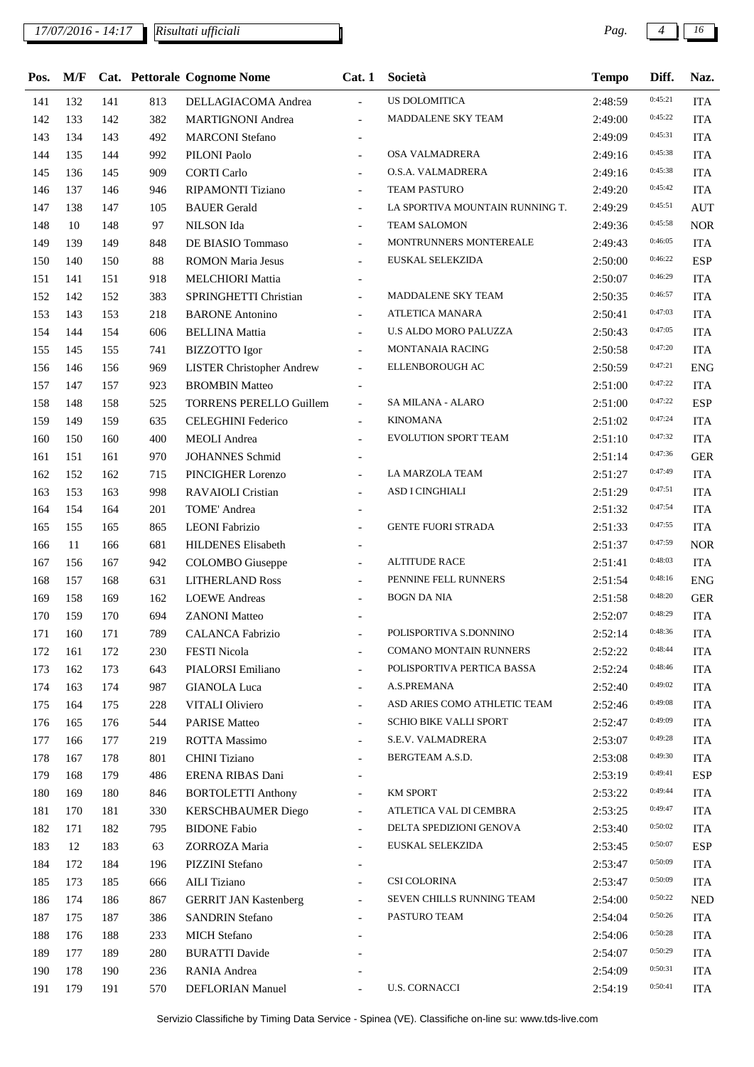## *17/07/2016 - 14:17 Pag. 4 16*

| Pos. | M/F |     |     | Cat. Pettorale Cognome Nome      | Cat.1                    | Società                         | <b>Tempo</b> | Diff.   | Naz.       |
|------|-----|-----|-----|----------------------------------|--------------------------|---------------------------------|--------------|---------|------------|
| 141  | 132 | 141 | 813 | DELLAGIACOMA Andrea              | $\overline{\phantom{a}}$ | US DOLOMITICA                   | 2:48:59      | 0:45:21 | <b>ITA</b> |
| 142  | 133 | 142 | 382 | <b>MARTIGNONI</b> Andrea         | $\overline{\phantom{a}}$ | MADDALENE SKY TEAM              | 2:49:00      | 0:45:22 | <b>ITA</b> |
| 143  | 134 | 143 | 492 | <b>MARCONI</b> Stefano           |                          |                                 | 2:49:09      | 0:45:31 | <b>ITA</b> |
| 144  | 135 | 144 | 992 | PILONI Paolo                     |                          | OSA VALMADRERA                  | 2:49:16      | 0:45:38 | <b>ITA</b> |
| 145  | 136 | 145 | 909 | <b>CORTI Carlo</b>               | $\overline{\phantom{a}}$ | O.S.A. VALMADRERA               | 2:49:16      | 0:45:38 | <b>ITA</b> |
| 146  | 137 | 146 | 946 | <b>RIPAMONTI Tiziano</b>         | $\overline{\phantom{a}}$ | <b>TEAM PASTURO</b>             | 2:49:20      | 0:45:42 | <b>ITA</b> |
| 147  | 138 | 147 | 105 | <b>BAUER</b> Gerald              | $\blacksquare$           | LA SPORTIVA MOUNTAIN RUNNING T. | 2:49:29      | 0:45:51 | <b>AUT</b> |
| 148  | 10  | 148 | 97  | <b>NILSON</b> Ida                | $\overline{\phantom{a}}$ | TEAM SALOMON                    | 2:49:36      | 0:45:58 | <b>NOR</b> |
| 149  | 139 | 149 | 848 | DE BIASIO Tommaso                | $\blacksquare$           | MONTRUNNERS MONTEREALE          | 2:49:43      | 0:46:05 | <b>ITA</b> |
| 150  | 140 | 150 | 88  | <b>ROMON Maria Jesus</b>         | $\blacksquare$           | EUSKAL SELEKZIDA                | 2:50:00      | 0:46:22 | <b>ESP</b> |
| 151  | 141 | 151 | 918 | <b>MELCHIORI Mattia</b>          | $\overline{a}$           |                                 | 2:50:07      | 0:46:29 | <b>ITA</b> |
| 152  | 142 | 152 | 383 | SPRINGHETTI Christian            | $\overline{\phantom{a}}$ | MADDALENE SKY TEAM              | 2:50:35      | 0:46:57 | <b>ITA</b> |
| 153  | 143 | 153 | 218 | <b>BARONE</b> Antonino           | $\blacksquare$           | ATLETICA MANARA                 | 2:50:41      | 0:47:03 | <b>ITA</b> |
| 154  | 144 | 154 | 606 | <b>BELLINA</b> Mattia            | $\overline{\phantom{a}}$ | <b>U.S ALDO MORO PALUZZA</b>    | 2:50:43      | 0:47:05 | <b>ITA</b> |
| 155  | 145 | 155 | 741 | <b>BIZZOTTO</b> Igor             | $\blacksquare$           | MONTANAIA RACING                | 2:50:58      | 0:47:20 | <b>ITA</b> |
| 156  | 146 | 156 | 969 | <b>LISTER Christopher Andrew</b> | $\overline{\phantom{a}}$ | ELLENBOROUGH AC                 | 2:50:59      | 0:47:21 | <b>ENG</b> |
| 157  | 147 | 157 | 923 | <b>BROMBIN Matteo</b>            | $\overline{a}$           |                                 | 2:51:00      | 0:47:22 | <b>ITA</b> |
| 158  | 148 | 158 | 525 | <b>TORRENS PERELLO Guillem</b>   | $\blacksquare$           | SA MILANA - ALARO               | 2:51:00      | 0:47:22 | <b>ESP</b> |
| 159  | 149 | 159 | 635 | <b>CELEGHINI Federico</b>        | $\overline{\phantom{a}}$ | <b>KINOMANA</b>                 | 2:51:02      | 0:47:24 | <b>ITA</b> |
| 160  | 150 | 160 | 400 | <b>MEOLI</b> Andrea              | $\overline{\phantom{a}}$ | <b>EVOLUTION SPORT TEAM</b>     | 2:51:10      | 0:47:32 | <b>ITA</b> |
| 161  | 151 | 161 | 970 | <b>JOHANNES Schmid</b>           |                          |                                 | 2:51:14      | 0:47:36 | <b>GER</b> |
| 162  | 152 | 162 | 715 | PINCIGHER Lorenzo                | $\overline{\phantom{a}}$ | LA MARZOLA TEAM                 | 2:51:27      | 0:47:49 | <b>ITA</b> |
| 163  | 153 | 163 | 998 | RAVAIOLI Cristian                | $\overline{\phantom{a}}$ | ASD I CINGHIALI                 | 2:51:29      | 0:47:51 | <b>ITA</b> |
| 164  | 154 | 164 | 201 | TOME' Andrea                     |                          |                                 | 2:51:32      | 0:47:54 | <b>ITA</b> |
| 165  | 155 | 165 | 865 | <b>LEONI</b> Fabrizio            | $\overline{\phantom{a}}$ | <b>GENTE FUORI STRADA</b>       | 2:51:33      | 0:47:55 | <b>ITA</b> |
| 166  | 11  | 166 | 681 | HILDENES Elisabeth               | $\overline{\phantom{a}}$ |                                 | 2:51:37      | 0:47:59 | <b>NOR</b> |
| 167  | 156 | 167 | 942 | <b>COLOMBO</b> Giuseppe          | $\overline{\phantom{a}}$ | <b>ALTITUDE RACE</b>            | 2:51:41      | 0:48:03 | <b>ITA</b> |
| 168  | 157 | 168 | 631 | <b>LITHERLAND Ross</b>           | $\overline{\phantom{a}}$ | PENNINE FELL RUNNERS            | 2:51:54      | 0:48:16 | <b>ENG</b> |
| 169  | 158 | 169 | 162 | <b>LOEWE</b> Andreas             | $\overline{\phantom{a}}$ | <b>BOGN DA NIA</b>              | 2:51:58      | 0:48:20 | <b>GER</b> |
| 170  | 159 | 170 | 694 | <b>ZANONI</b> Matteo             |                          |                                 | 2:52:07      | 0:48:29 | <b>ITA</b> |
| 171  | 160 | 171 | 789 | <b>CALANCA Fabrizio</b>          |                          | POLISPORTIVA S.DONNINO          | 2:52:14      | 0:48:36 | <b>ITA</b> |
| 172  | 161 | 172 | 230 | <b>FESTI Nicola</b>              | $\overline{a}$           | COMANO MONTAIN RUNNERS          | 2:52:22      | 0:48:44 | <b>ITA</b> |
| 173  | 162 | 173 | 643 | PIALORSI Emiliano                | $\overline{\phantom{a}}$ | POLISPORTIVA PERTICA BASSA      | 2:52:24      | 0:48:46 | <b>ITA</b> |
| 174  | 163 | 174 | 987 | <b>GIANOLA Luca</b>              |                          | A.S.PREMANA                     | 2:52:40      | 0:49:02 | <b>ITA</b> |
| 175  | 164 | 175 | 228 | VITALI Oliviero                  |                          | ASD ARIES COMO ATHLETIC TEAM    | 2:52:46      | 0:49:08 | <b>ITA</b> |
| 176  | 165 | 176 | 544 | <b>PARISE Matteo</b>             |                          | SCHIO BIKE VALLI SPORT          | 2:52:47      | 0:49:09 | <b>ITA</b> |
| 177  | 166 | 177 | 219 | ROTTA Massimo                    |                          | S.E.V. VALMADRERA               | 2:53:07      | 0:49:28 | <b>ITA</b> |
| 178  | 167 | 178 | 801 | <b>CHINI</b> Tiziano             |                          | BERGTEAM A.S.D.                 | 2:53:08      | 0:49:30 | <b>ITA</b> |
| 179  | 168 | 179 | 486 | ERENA RIBAS Dani                 |                          |                                 | 2:53:19      | 0:49:41 | <b>ESP</b> |
| 180  | 169 | 180 | 846 | <b>BORTOLETTI Anthony</b>        | $\overline{\phantom{a}}$ | <b>KM SPORT</b>                 | 2:53:22      | 0:49:44 | <b>ITA</b> |
| 181  | 170 | 181 | 330 | <b>KERSCHBAUMER Diego</b>        | $\blacksquare$           | ATLETICA VAL DI CEMBRA          | 2:53:25      | 0:49:47 | <b>ITA</b> |
| 182  | 171 | 182 | 795 | <b>BIDONE Fabio</b>              |                          | DELTA SPEDIZIONI GENOVA         | 2:53:40      | 0:50:02 | <b>ITA</b> |
| 183  | 12  | 183 | 63  | ZORROZA Maria                    | $\overline{\phantom{a}}$ | EUSKAL SELEKZIDA                | 2:53:45      | 0:50:07 | <b>ESP</b> |
| 184  | 172 | 184 | 196 | PIZZINI Stefano                  |                          |                                 | 2:53:47      | 0:50:09 | <b>ITA</b> |
| 185  | 173 | 185 | 666 | <b>AILI</b> Tiziano              |                          | CSI COLORINA                    | 2:53:47      | 0:50:09 | <b>ITA</b> |
| 186  | 174 | 186 | 867 | <b>GERRIT JAN Kastenberg</b>     | $\overline{\phantom{a}}$ | SEVEN CHILLS RUNNING TEAM       | 2:54:00      | 0:50:22 | <b>NED</b> |
| 187  | 175 | 187 | 386 | <b>SANDRIN Stefano</b>           | $\overline{\phantom{a}}$ | PASTURO TEAM                    | 2:54:04      | 0:50:26 | <b>ITA</b> |
| 188  | 176 | 188 | 233 | <b>MICH</b> Stefano              |                          |                                 | 2:54:06      | 0:50:28 | <b>ITA</b> |
| 189  | 177 | 189 | 280 | <b>BURATTI Davide</b>            |                          |                                 | 2:54:07      | 0:50:29 | <b>ITA</b> |
| 190  | 178 | 190 | 236 | RANIA Andrea                     |                          |                                 | 2:54:09      | 0:50:31 | <b>ITA</b> |
| 191  | 179 | 191 | 570 | <b>DEFLORIAN Manuel</b>          | $\overline{\phantom{a}}$ | <b>U.S. CORNACCI</b>            | 2:54:19      | 0:50:41 | <b>ITA</b> |
|      |     |     |     |                                  |                          |                                 |              |         |            |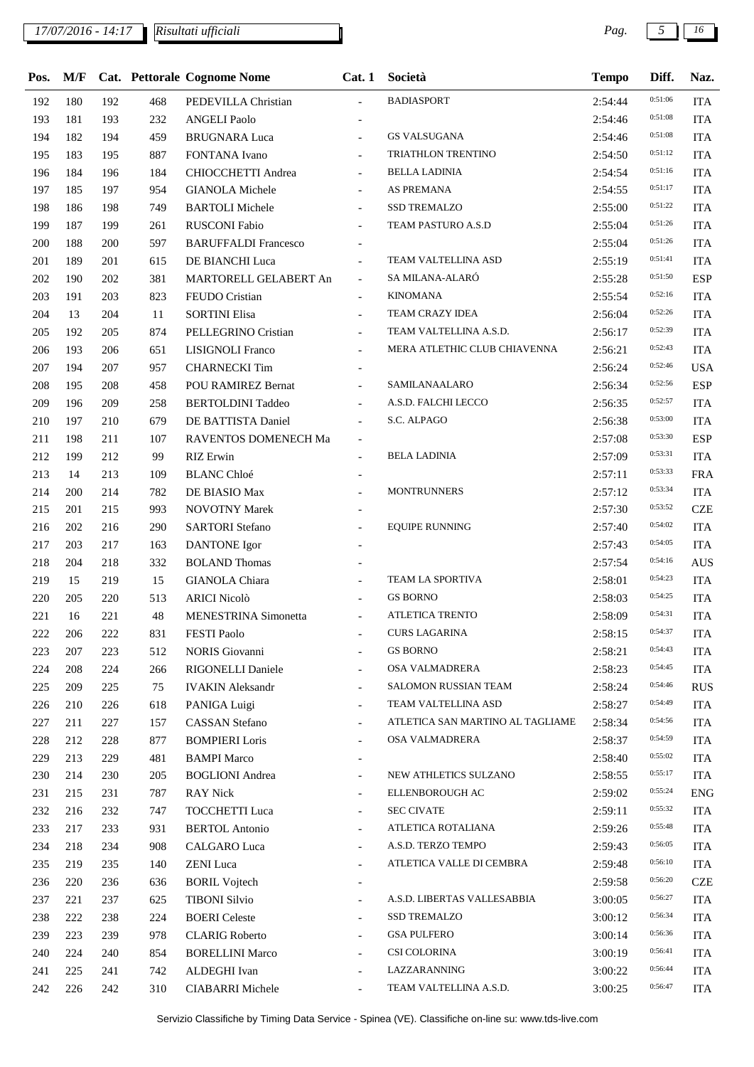## *17/07/2016 - 14:17 Pag. 5 16*

| Pos. | M/F |     |     | Cat. Pettorale Cognome Nome | Cat.1                    | Società                          | <b>Tempo</b> | Diff.   | Naz.       |
|------|-----|-----|-----|-----------------------------|--------------------------|----------------------------------|--------------|---------|------------|
| 192  | 180 | 192 | 468 | PEDEVILLA Christian         | $\overline{a}$           | <b>BADIASPORT</b>                | 2:54:44      | 0:51:06 | <b>ITA</b> |
| 193  | 181 | 193 | 232 | <b>ANGELI Paolo</b>         |                          |                                  | 2:54:46      | 0:51:08 | <b>ITA</b> |
| 194  | 182 | 194 | 459 | <b>BRUGNARA Luca</b>        | $\overline{\phantom{a}}$ | <b>GS VALSUGANA</b>              | 2:54:46      | 0:51:08 | <b>ITA</b> |
| 195  | 183 | 195 | 887 | FONTANA Ivano               |                          | TRIATHLON TRENTINO               | 2:54:50      | 0:51:12 | <b>ITA</b> |
| 196  | 184 | 196 | 184 | CHIOCCHETTI Andrea          | $\blacksquare$           | <b>BELLA LADINIA</b>             | 2:54:54      | 0:51:16 | <b>ITA</b> |
| 197  | 185 | 197 | 954 | <b>GIANOLA Michele</b>      | $\overline{\phantom{a}}$ | AS PREMANA                       | 2:54:55      | 0:51:17 | <b>ITA</b> |
| 198  | 186 | 198 | 749 | <b>BARTOLI</b> Michele      | $\overline{\phantom{0}}$ | <b>SSD TREMALZO</b>              | 2:55:00      | 0:51:22 | <b>ITA</b> |
| 199  | 187 | 199 | 261 | <b>RUSCONI Fabio</b>        |                          | TEAM PASTURO A.S.D               | 2:55:04      | 0:51:26 | <b>ITA</b> |
| 200  | 188 | 200 | 597 | <b>BARUFFALDI</b> Francesco |                          |                                  | 2:55:04      | 0:51:26 | <b>ITA</b> |
| 201  | 189 | 201 | 615 | DE BIANCHI Luca             | $\frac{1}{2}$            | TEAM VALTELLINA ASD              | 2:55:19      | 0:51:41 | <b>ITA</b> |
| 202  | 190 | 202 | 381 | MARTORELL GELABERT An       | $\mathcal{L}$            | SA MILANA-ALARÓ                  | 2:55:28      | 0:51:50 | <b>ESP</b> |
| 203  | 191 | 203 | 823 | FEUDO Cristian              | $\overline{\phantom{0}}$ | <b>KINOMANA</b>                  | 2:55:54      | 0:52:16 | <b>ITA</b> |
| 204  | 13  | 204 | 11  | <b>SORTINI Elisa</b>        | $\overline{\phantom{0}}$ | TEAM CRAZY IDEA                  | 2:56:04      | 0:52:26 | <b>ITA</b> |
| 205  | 192 | 205 | 874 | PELLEGRINO Cristian         | $\overline{\phantom{0}}$ | TEAM VALTELLINA A.S.D.           | 2:56:17      | 0:52:39 | <b>ITA</b> |
| 206  | 193 | 206 | 651 | LISIGNOLI Franco            |                          | MERA ATLETHIC CLUB CHIAVENNA     | 2:56:21      | 0:52:43 | <b>ITA</b> |
| 207  | 194 | 207 | 957 | <b>CHARNECKI</b> Tim        |                          |                                  | 2:56:24      | 0:52:46 | <b>USA</b> |
| 208  | 195 | 208 | 458 | POU RAMIREZ Bernat          | ÷.                       | SAMILANAALARO                    | 2:56:34      | 0:52:56 | <b>ESP</b> |
| 209  | 196 | 209 | 258 | <b>BERTOLDINI Taddeo</b>    | $\overline{\phantom{0}}$ | A.S.D. FALCHI LECCO              | 2:56:35      | 0:52:57 | <b>ITA</b> |
| 210  | 197 | 210 | 679 | DE BATTISTA Daniel          | $\overline{\phantom{0}}$ | S.C. ALPAGO                      | 2:56:38      | 0:53:00 | <b>ITA</b> |
| 211  | 198 | 211 | 107 | RAVENTOS DOMENECH Ma        |                          |                                  | 2:57:08      | 0:53:30 | <b>ESP</b> |
| 212  | 199 | 212 | 99  | <b>RIZ</b> Erwin            |                          | <b>BELA LADINIA</b>              | 2:57:09      | 0:53:31 | <b>ITA</b> |
| 213  | 14  | 213 | 109 | <b>BLANC</b> Chloé          |                          |                                  | 2:57:11      | 0:53:33 | <b>FRA</b> |
| 214  | 200 | 214 | 782 | DE BIASIO Max               |                          | <b>MONTRUNNERS</b>               | 2:57:12      | 0:53:34 | <b>ITA</b> |
| 215  | 201 | 215 | 993 | <b>NOVOTNY Marek</b>        | $\blacksquare$           |                                  | 2:57:30      | 0:53:52 | <b>CZE</b> |
| 216  | 202 | 216 | 290 | <b>SARTORI</b> Stefano      | $\frac{1}{2}$            | <b>EQUIPE RUNNING</b>            | 2:57:40      | 0:54:02 | <b>ITA</b> |
| 217  | 203 | 217 | 163 | <b>DANTONE</b> Igor         |                          |                                  | 2:57:43      | 0:54:05 | <b>ITA</b> |
| 218  | 204 | 218 | 332 | <b>BOLAND Thomas</b>        |                          |                                  | 2:57:54      | 0:54:16 | <b>AUS</b> |
| 219  | 15  | 219 | 15  | <b>GIANOLA</b> Chiara       | $\overline{\phantom{0}}$ | TEAM LA SPORTIVA                 | 2:58:01      | 0:54:23 | <b>ITA</b> |
| 220  | 205 | 220 | 513 | <b>ARICI Nicolò</b>         |                          | <b>GS BORNO</b>                  | 2:58:03      | 0:54:25 | <b>ITA</b> |
| 221  | 16  | 221 | 48  | <b>MENESTRINA</b> Simonetta | $\overline{\phantom{a}}$ | ATLETICA TRENTO                  | 2:58:09      | 0:54:31 | <b>ITA</b> |
| 222  | 206 | 222 | 831 | <b>FESTI Paolo</b>          |                          | <b>CURS LAGARINA</b>             | 2:58:15      | 0:54:37 | <b>ITA</b> |
| 223  | 207 | 223 | 512 | NORIS Giovanni              |                          | <b>GS BORNO</b>                  | 2:58:21      | 0:54:43 | <b>ITA</b> |
| 224  | 208 | 224 | 266 | RIGONELLI Daniele           | $\overline{\phantom{0}}$ | OSA VALMADRERA                   | 2:58:23      | 0:54:45 | <b>ITA</b> |
| 225  | 209 | 225 | 75  | <b>IVAKIN</b> Aleksandr     |                          | SALOMON RUSSIAN TEAM             | 2:58:24      | 0:54:46 | <b>RUS</b> |
| 226  | 210 | 226 | 618 | PANIGA Luigi                | $\overline{a}$           | TEAM VALTELLINA ASD              | 2:58:27      | 0:54:49 | <b>ITA</b> |
| 227  | 211 | 227 | 157 | <b>CASSAN</b> Stefano       | $\overline{\phantom{a}}$ | ATLETICA SAN MARTINO AL TAGLIAME | 2:58:34      | 0:54:56 | <b>ITA</b> |
| 228  | 212 | 228 | 877 | <b>BOMPIERI</b> Loris       | $\overline{\phantom{a}}$ | OSA VALMADRERA                   | 2:58:37      | 0:54:59 | <b>ITA</b> |
| 229  | 213 | 229 | 481 | <b>BAMPI Marco</b>          |                          |                                  | 2:58:40      | 0:55:02 | <b>ITA</b> |
| 230  | 214 | 230 | 205 | <b>BOGLIONI</b> Andrea      | $\overline{\phantom{a}}$ | NEW ATHLETICS SULZANO            | 2:58:55      | 0:55:17 | <b>ITA</b> |
| 231  | 215 | 231 | 787 | <b>RAY Nick</b>             | $\blacksquare$           | ELLENBOROUGH AC                  | 2:59:02      | 0:55:24 | <b>ENG</b> |
|      |     |     |     |                             | $\overline{a}$           | <b>SEC CIVATE</b>                |              | 0:55:32 |            |
| 232  | 216 | 232 | 747 | TOCCHETTI Luca              |                          | ATLETICA ROTALIANA               | 2:59:11      | 0:55:48 | <b>ITA</b> |
| 233  | 217 | 233 | 931 | <b>BERTOL Antonio</b>       |                          | A.S.D. TERZO TEMPO               | 2:59:26      | 0:56:05 | <b>ITA</b> |
| 234  | 218 | 234 | 908 | CALGARO Luca                |                          | ATLETICA VALLE DI CEMBRA         | 2:59:43      | 0:56:10 | <b>ITA</b> |
| 235  | 219 | 235 | 140 | <b>ZENI</b> Luca            |                          |                                  | 2:59:48      | 0:56:20 | <b>ITA</b> |
| 236  | 220 | 236 | 636 | <b>BORIL Vojtech</b>        |                          |                                  | 2:59:58      | 0:56:27 | <b>CZE</b> |
| 237  | 221 | 237 | 625 | <b>TIBONI Silvio</b>        | $\overline{\phantom{0}}$ | A.S.D. LIBERTAS VALLESABBIA      | 3:00:05      | 0:56:34 | <b>ITA</b> |
| 238  | 222 | 238 | 224 | <b>BOERI</b> Celeste        | $\overline{a}$           | SSD TREMALZO                     | 3:00:12      | 0:56:36 | <b>ITA</b> |
| 239  | 223 | 239 | 978 | <b>CLARIG Roberto</b>       | $\overline{\phantom{a}}$ | <b>GSA PULFERO</b>               | 3:00:14      | 0:56:41 | <b>ITA</b> |
| 240  | 224 | 240 | 854 | <b>BORELLINI Marco</b>      | $\overline{\phantom{a}}$ | CSI COLORINA                     | 3:00:19      | 0:56:44 | <b>ITA</b> |
| 241  | 225 | 241 | 742 | ALDEGHI Ivan                |                          | LAZZARANNING                     | 3:00:22      |         | <b>ITA</b> |
| 242  | 226 | 242 | 310 | <b>CIABARRI</b> Michele     | $\overline{\phantom{0}}$ | TEAM VALTELLINA A.S.D.           | 3:00:25      | 0:56:47 | <b>ITA</b> |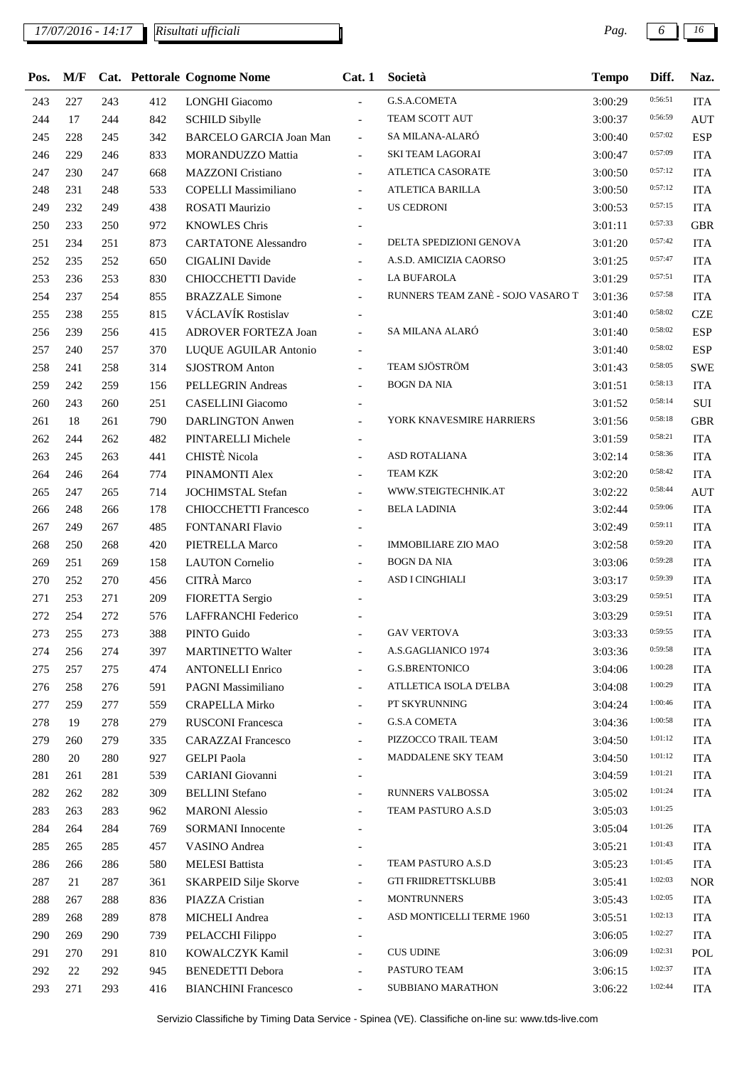## *17/07/2016 - 14:17 Pag. 6 16*

*Risultati ufficiali*

| Pos. | M/F |     |     | Cat. Pettorale Cognome Nome    | Cat.1                    | Società                           | <b>Tempo</b> | Diff.   | Naz.       |
|------|-----|-----|-----|--------------------------------|--------------------------|-----------------------------------|--------------|---------|------------|
| 243  | 227 | 243 | 412 | <b>LONGHI</b> Giacomo          | $\mathbf{r}$             | G.S.A.COMETA                      | 3:00:29      | 0:56:51 | <b>ITA</b> |
| 244  | 17  | 244 | 842 | <b>SCHILD Sibylle</b>          | $\blacksquare$           | TEAM SCOTT AUT                    | 3:00:37      | 0:56:59 | <b>AUT</b> |
| 245  | 228 | 245 | 342 | <b>BARCELO GARCIA Joan Man</b> | $\overline{\phantom{a}}$ | SA MILANA-ALARÓ                   | 3:00:40      | 0:57:02 | <b>ESP</b> |
| 246  | 229 | 246 | 833 | MORANDUZZO Mattia              | $\blacksquare$           | <b>SKI TEAM LAGORAI</b>           | 3:00:47      | 0:57:09 | <b>ITA</b> |
| 247  | 230 | 247 | 668 | <b>MAZZONI</b> Cristiano       | $\overline{\phantom{a}}$ | ATLETICA CASORATE                 | 3:00:50      | 0:57:12 | <b>ITA</b> |
| 248  | 231 | 248 | 533 | <b>COPELLI Massimiliano</b>    | $\overline{\phantom{a}}$ | ATLETICA BARILLA                  | 3:00:50      | 0:57:12 | <b>ITA</b> |
| 249  | 232 | 249 | 438 | <b>ROSATI Maurizio</b>         |                          | US CEDRONI                        | 3:00:53      | 0:57:15 | <b>ITA</b> |
| 250  | 233 | 250 | 972 | <b>KNOWLES Chris</b>           |                          |                                   | 3:01:11      | 0:57:33 | <b>GBR</b> |
| 251  | 234 | 251 | 873 | <b>CARTATONE Alessandro</b>    | $\blacksquare$           | DELTA SPEDIZIONI GENOVA           | 3:01:20      | 0:57:42 | <b>ITA</b> |
| 252  | 235 | 252 | 650 | <b>CIGALINI</b> Davide         |                          | A.S.D. AMICIZIA CAORSO            | 3:01:25      | 0:57:47 | <b>ITA</b> |
| 253  | 236 | 253 | 830 | <b>CHIOCCHETTI Davide</b>      | $\overline{\phantom{a}}$ | LA BUFAROLA                       | 3:01:29      | 0:57:51 | <b>ITA</b> |
| 254  | 237 | 254 | 855 | <b>BRAZZALE Simone</b>         | $\overline{\phantom{a}}$ | RUNNERS TEAM ZANÈ - SOJO VASARO T | 3:01:36      | 0:57:58 | <b>ITA</b> |
| 255  | 238 | 255 | 815 | VÁCLAVÍK Rostislav             | $\overline{\phantom{a}}$ |                                   | 3:01:40      | 0:58:02 | <b>CZE</b> |
| 256  | 239 | 256 | 415 | ADROVER FORTEZA Joan           | $\overline{\phantom{a}}$ | SA MILANA ALARÓ                   | 3:01:40      | 0:58:02 | <b>ESP</b> |
| 257  | 240 | 257 | 370 | LUQUE AGUILAR Antonio          | $\blacksquare$           |                                   | 3:01:40      | 0:58:02 | <b>ESP</b> |
| 258  | 241 | 258 | 314 | <b>SJOSTROM Anton</b>          | $\blacksquare$           | TEAM SJÖSTRÖM                     | 3:01:43      | 0:58:05 | <b>SWE</b> |
| 259  | 242 | 259 | 156 | PELLEGRIN Andreas              | $\overline{\phantom{a}}$ | <b>BOGN DA NIA</b>                | 3:01:51      | 0:58:13 | <b>ITA</b> |
| 260  | 243 | 260 | 251 | CASELLINI Giacomo              | $\overline{\phantom{a}}$ |                                   | 3:01:52      | 0:58:14 | $\rm SUI$  |
| 261  | 18  | 261 | 790 | <b>DARLINGTON Anwen</b>        | $\blacksquare$           | YORK KNAVESMIRE HARRIERS          | 3:01:56      | 0:58:18 | <b>GBR</b> |
| 262  | 244 | 262 | 482 | PINTARELLI Michele             | $\overline{\phantom{a}}$ |                                   | 3:01:59      | 0:58:21 | <b>ITA</b> |
| 263  | 245 | 263 | 441 | <b>CHISTÈ</b> Nicola           |                          | ASD ROTALIANA                     | 3:02:14      | 0:58:36 | <b>ITA</b> |
| 264  | 246 | 264 | 774 | PINAMONTI Alex                 | $\blacksquare$           | <b>TEAM KZK</b>                   | 3:02:20      | 0:58:42 | <b>ITA</b> |
| 265  | 247 | 265 | 714 | <b>JOCHIMSTAL Stefan</b>       | $\blacksquare$           | WWW.STEIGTECHNIK.AT               | 3:02:22      | 0:58:44 | <b>AUT</b> |
| 266  | 248 | 266 | 178 | <b>CHIOCCHETTI Francesco</b>   | $\overline{\phantom{a}}$ | <b>BELA LADINIA</b>               | 3:02:44      | 0:59:06 | <b>ITA</b> |
| 267  | 249 | 267 | 485 | FONTANARI Flavio               | $\overline{\phantom{a}}$ |                                   | 3:02:49      | 0:59:11 | <b>ITA</b> |
| 268  | 250 | 268 | 420 | PIETRELLA Marco                | $\overline{\phantom{a}}$ | <b>IMMOBILIARE ZIO MAO</b>        | 3:02:58      | 0:59:20 | <b>ITA</b> |
| 269  | 251 | 269 | 158 | <b>LAUTON</b> Cornelio         | $\overline{\phantom{a}}$ | <b>BOGN DA NIA</b>                | 3:03:06      | 0:59:28 | <b>ITA</b> |
| 270  | 252 | 270 | 456 | CITRÀ Marco                    |                          | ASD I CINGHIALI                   | 3:03:17      | 0:59:39 | <b>ITA</b> |
| 271  | 253 | 271 | 209 | FIORETTA Sergio                |                          |                                   | 3:03:29      | 0:59:51 | <b>ITA</b> |
| 272  | 254 | 272 | 576 | LAFFRANCHI Federico            |                          |                                   | 3:03:29      | 0:59:51 | <b>ITA</b> |
| 273  | 255 | 273 | 388 | PINTO Guido                    |                          | <b>GAV VERTOVA</b>                | 3:03:33      | 0:59:55 | <b>ITA</b> |
| 274  | 256 | 274 | 397 | <b>MARTINETTO Walter</b>       | $\blacksquare$           | A.S.GAGLIANICO 1974               | 3:03:36      | 0:59:58 | <b>ITA</b> |
| 275  | 257 | 275 | 474 | <b>ANTONELLI Enrico</b>        |                          | <b>G.S.BRENTONICO</b>             | 3:04:06      | 1:00:28 | <b>ITA</b> |
| 276  | 258 | 276 | 591 | PAGNI Massimiliano             | $\overline{\phantom{a}}$ | ATLLETICA ISOLA D'ELBA            | 3:04:08      | 1:00:29 | <b>ITA</b> |
| 277  | 259 | 277 | 559 | <b>CRAPELLA Mirko</b>          | $\overline{\phantom{a}}$ | PT SKYRUNNING                     | 3:04:24      | 1:00:46 | <b>ITA</b> |
| 278  | 19  | 278 | 279 | <b>RUSCONI Francesca</b>       | $\overline{\phantom{a}}$ | <b>G.S.A COMETA</b>               | 3:04:36      | 1:00:58 | <b>ITA</b> |
| 279  | 260 | 279 | 335 | <b>CARAZZAI</b> Francesco      | $\overline{\phantom{a}}$ | PIZZOCCO TRAIL TEAM               | 3:04:50      | 1:01:12 | <b>ITA</b> |
| 280  | 20  | 280 | 927 | <b>GELPI</b> Paola             | $\overline{\phantom{0}}$ | MADDALENE SKY TEAM                | 3:04:50      | 1:01:12 | <b>ITA</b> |
| 281  | 261 | 281 | 539 | CARIANI Giovanni               |                          |                                   | 3:04:59      | 1:01:21 | <b>ITA</b> |
| 282  | 262 | 282 | 309 | <b>BELLINI</b> Stefano         | $\overline{\phantom{a}}$ | RUNNERS VALBOSSA                  | 3:05:02      | 1:01:24 | <b>ITA</b> |
| 283  | 263 | 283 | 962 | <b>MARONI</b> Alessio          | $\overline{\phantom{a}}$ | TEAM PASTURO A.S.D                | 3:05:03      | 1:01:25 |            |
| 284  | 264 | 284 | 769 | <b>SORMANI</b> Innocente       |                          |                                   | 3:05:04      | 1:01:26 | <b>ITA</b> |
| 285  | 265 | 285 | 457 | VASINO Andrea                  |                          |                                   | 3:05:21      | 1:01:43 | <b>ITA</b> |
| 286  | 266 | 286 | 580 | <b>MELESI</b> Battista         |                          | TEAM PASTURO A.S.D                | 3:05:23      | 1:01:45 | <b>ITA</b> |
| 287  | 21  | 287 | 361 | <b>SKARPEID Silje Skorve</b>   | $\blacksquare$           | <b>GTI FRIIDRETTSKLUBB</b>        | 3:05:41      | 1:02:03 | <b>NOR</b> |
| 288  | 267 | 288 | 836 | PIAZZA Cristian                | $\overline{\phantom{a}}$ | <b>MONTRUNNERS</b>                | 3:05:43      | 1:02:05 | <b>ITA</b> |
| 289  | 268 | 289 | 878 | <b>MICHELI</b> Andrea          | $\overline{\phantom{a}}$ | ASD MONTICELLI TERME 1960         | 3:05:51      | 1:02:13 | <b>ITA</b> |
| 290  | 269 | 290 | 739 | PELACCHI Filippo               |                          |                                   | 3:06:05      | 1:02:27 | <b>ITA</b> |
| 291  | 270 | 291 | 810 | KOWALCZYK Kamil                | $\overline{\phantom{a}}$ | <b>CUS UDINE</b>                  | 3:06:09      | 1:02:31 | POL        |
| 292  | 22  | 292 | 945 | <b>BENEDETTI</b> Debora        | $\overline{\phantom{a}}$ | PASTURO TEAM                      | 3:06:15      | 1:02:37 | <b>ITA</b> |
| 293  | 271 | 293 | 416 | <b>BIANCHINI Francesco</b>     |                          | SUBBIANO MARATHON                 | 3:06:22      | 1:02:44 | <b>ITA</b> |
|      |     |     |     |                                |                          |                                   |              |         |            |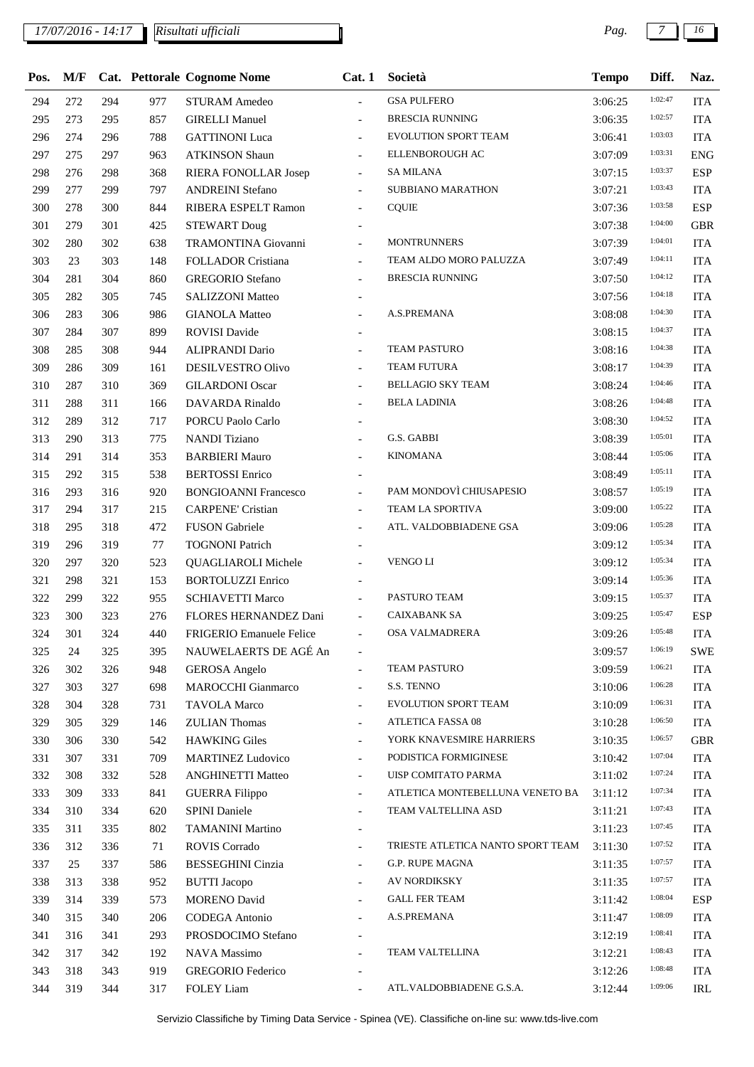*17/07/2016 - 14:17 Pag. 7 16*

*Risultati ufficiali*

| Pos. | M/F |     |     | Cat. Pettorale Cognome Nome     | Cat.1                    | Società                           | <b>Tempo</b> | Diff.   | Naz.       |
|------|-----|-----|-----|---------------------------------|--------------------------|-----------------------------------|--------------|---------|------------|
| 294  | 272 | 294 | 977 | <b>STURAM Amedeo</b>            | $\overline{a}$           | <b>GSA PULFERO</b>                | 3:06:25      | 1:02:47 | <b>ITA</b> |
| 295  | 273 | 295 | 857 | <b>GIRELLI Manuel</b>           | $\blacksquare$           | <b>BRESCIA RUNNING</b>            | 3:06:35      | 1:02:57 | <b>ITA</b> |
| 296  | 274 | 296 | 788 | <b>GATTINONI</b> Luca           | $\overline{\phantom{a}}$ | EVOLUTION SPORT TEAM              | 3:06:41      | 1:03:03 | <b>ITA</b> |
| 297  | 275 | 297 | 963 | <b>ATKINSON Shaun</b>           | $\overline{\phantom{a}}$ | ELLENBOROUGH AC                   | 3:07:09      | 1:03:31 | <b>ENG</b> |
| 298  | 276 | 298 | 368 | RIERA FONOLLAR Josep            | $\overline{\phantom{a}}$ | <b>SA MILANA</b>                  | 3:07:15      | 1:03:37 | <b>ESP</b> |
| 299  | 277 | 299 | 797 | <b>ANDREINI Stefano</b>         | $\overline{a}$           | SUBBIANO MARATHON                 | 3:07:21      | 1:03:43 | <b>ITA</b> |
| 300  | 278 | 300 | 844 | RIBERA ESPELT Ramon             | $\overline{a}$           | <b>CQUIE</b>                      | 3:07:36      | 1:03:58 | <b>ESP</b> |
| 301  | 279 | 301 | 425 | <b>STEWART Doug</b>             |                          |                                   | 3:07:38      | 1:04:00 | <b>GBR</b> |
| 302  | 280 | 302 | 638 | TRAMONTINA Giovanni             | $\overline{\phantom{a}}$ | <b>MONTRUNNERS</b>                | 3:07:39      | 1:04:01 | <b>ITA</b> |
| 303  | 23  | 303 | 148 | <b>FOLLADOR Cristiana</b>       | $\overline{\phantom{a}}$ | TEAM ALDO MORO PALUZZA            | 3:07:49      | 1:04:11 | <b>ITA</b> |
| 304  | 281 | 304 | 860 | <b>GREGORIO</b> Stefano         | $\overline{\phantom{a}}$ | <b>BRESCIA RUNNING</b>            | 3:07:50      | 1:04:12 | <b>ITA</b> |
| 305  | 282 | 305 | 745 | <b>SALIZZONI Matteo</b>         | $\overline{\phantom{a}}$ |                                   | 3:07:56      | 1:04:18 | <b>ITA</b> |
| 306  | 283 | 306 | 986 | <b>GIANOLA Matteo</b>           | $\overline{a}$           | A.S.PREMANA                       | 3:08:08      | 1:04:30 | <b>ITA</b> |
| 307  | 284 | 307 | 899 | <b>ROVISI</b> Davide            |                          |                                   | 3:08:15      | 1:04:37 | <b>ITA</b> |
| 308  | 285 | 308 | 944 | <b>ALIPRANDI Dario</b>          | $\overline{\phantom{a}}$ | TEAM PASTURO                      | 3:08:16      | 1:04:38 | <b>ITA</b> |
| 309  | 286 | 309 | 161 | DESILVESTRO Olivo               | $\overline{\phantom{a}}$ | <b>TEAM FUTURA</b>                | 3:08:17      | 1:04:39 | <b>ITA</b> |
| 310  | 287 | 310 | 369 | <b>GILARDONI Oscar</b>          | $\blacksquare$           | <b>BELLAGIO SKY TEAM</b>          | 3:08:24      | 1:04:46 | <b>ITA</b> |
| 311  | 288 | 311 | 166 | DAVARDA Rinaldo                 | $\overline{\phantom{a}}$ | <b>BELA LADINIA</b>               | 3:08:26      | 1:04:48 | <b>ITA</b> |
| 312  | 289 | 312 | 717 | PORCU Paolo Carlo               | $\overline{\phantom{a}}$ |                                   | 3:08:30      | 1:04:52 | <b>ITA</b> |
| 313  | 290 | 313 | 775 | <b>NANDI Tiziano</b>            | $\overline{\phantom{a}}$ | G.S. GABBI                        | 3:08:39      | 1:05:01 | <b>ITA</b> |
| 314  | 291 | 314 | 353 | <b>BARBIERI Mauro</b>           | $\blacksquare$           | <b>KINOMANA</b>                   | 3:08:44      | 1:05:06 | <b>ITA</b> |
| 315  | 292 | 315 | 538 | <b>BERTOSSI</b> Enrico          | $\overline{\phantom{a}}$ |                                   | 3:08:49      | 1:05:11 | <b>ITA</b> |
| 316  | 293 | 316 | 920 | <b>BONGIOANNI Francesco</b>     | $\blacksquare$           | PAM MONDOVÌ CHIUSAPESIO           | 3:08:57      | 1:05:19 | <b>ITA</b> |
| 317  | 294 | 317 | 215 | <b>CARPENE' Cristian</b>        | $\overline{a}$           | TEAM LA SPORTIVA                  | 3:09:00      | 1:05:22 | <b>ITA</b> |
| 318  | 295 | 318 | 472 | <b>FUSON</b> Gabriele           | $\overline{\phantom{0}}$ | ATL. VALDOBBIADENE GSA            | 3:09:06      | 1:05:28 | <b>ITA</b> |
| 319  | 296 | 319 | 77  | <b>TOGNONI Patrich</b>          |                          |                                   | 3:09:12      | 1:05:34 | <b>ITA</b> |
| 320  | 297 | 320 | 523 | <b>QUAGLIAROLI Michele</b>      | $\blacksquare$           | <b>VENGO LI</b>                   | 3:09:12      | 1:05:34 | <b>ITA</b> |
| 321  | 298 | 321 | 153 | <b>BORTOLUZZI Enrico</b>        | $\overline{\phantom{a}}$ |                                   | 3:09:14      | 1:05:36 | <b>ITA</b> |
| 322  | 299 | 322 | 955 | <b>SCHIAVETTI Marco</b>         |                          | PASTURO TEAM                      | 3:09:15      | 1:05:37 | <b>ITA</b> |
| 323  | 300 | 323 | 276 | FLORES HERNANDEZ Dani           | $\overline{\phantom{a}}$ | <b>CAIXABANK SA</b>               | 3:09:25      | 1:05:47 | <b>ESP</b> |
| 324  | 301 | 324 | 440 | <b>FRIGERIO Emanuele Felice</b> |                          | OSA VALMADRERA                    | 3:09:26      | 1:05:48 | <b>ITA</b> |
| 325  | 24  | 325 | 395 | NAUWELAERTS DE AGÉ An           |                          |                                   | 3:09:57      | 1:06:19 | <b>SWE</b> |
| 326  | 302 | 326 | 948 | <b>GEROSA</b> Angelo            | $\blacksquare$           | <b>TEAM PASTURO</b>               | 3:09:59      | 1:06:21 | <b>ITA</b> |
| 327  | 303 | 327 | 698 | <b>MAROCCHI</b> Gianmarco       | $\overline{\phantom{a}}$ | S.S. TENNO                        | 3:10:06      | 1:06:28 | <b>ITA</b> |
| 328  | 304 | 328 | 731 | <b>TAVOLA Marco</b>             | $\blacksquare$           | EVOLUTION SPORT TEAM              | 3:10:09      | 1:06:31 | <b>ITA</b> |
| 329  | 305 | 329 | 146 | <b>ZULIAN</b> Thomas            | $\overline{\phantom{a}}$ | <b>ATLETICA FASSA 08</b>          | 3:10:28      | 1:06:50 | <b>ITA</b> |
| 330  | 306 | 330 | 542 | <b>HAWKING Giles</b>            | $\overline{\phantom{0}}$ | YORK KNAVESMIRE HARRIERS          | 3:10:35      | 1:06:57 | <b>GBR</b> |
| 331  | 307 | 331 | 709 | <b>MARTINEZ Ludovico</b>        | $\overline{\phantom{a}}$ | PODISTICA FORMIGINESE             | 3:10:42      | 1:07:04 | <b>ITA</b> |
| 332  | 308 | 332 | 528 | <b>ANGHINETTI Matteo</b>        | $\blacksquare$           | UISP COMITATO PARMA               | 3:11:02      | 1:07:24 | <b>ITA</b> |
| 333  | 309 | 333 | 841 | <b>GUERRA Filippo</b>           | $\overline{\phantom{a}}$ | ATLETICA MONTEBELLUNA VENETO BA   | 3:11:12      | 1:07:34 | <b>ITA</b> |
| 334  | 310 | 334 | 620 | <b>SPINI Daniele</b>            | $\overline{\phantom{a}}$ | TEAM VALTELLINA ASD               | 3:11:21      | 1:07:43 | <b>ITA</b> |
| 335  | 311 | 335 | 802 | <b>TAMANINI Martino</b>         | $\overline{\phantom{a}}$ |                                   | 3:11:23      | 1:07:45 | <b>ITA</b> |
| 336  | 312 | 336 | 71  | <b>ROVIS Corrado</b>            | $\overline{\phantom{a}}$ | TRIESTE ATLETICA NANTO SPORT TEAM | 3:11:30      | 1:07:52 | <b>ITA</b> |
| 337  | 25  | 337 | 586 | <b>BESSEGHINI</b> Cinzia        | $\overline{\phantom{a}}$ | <b>G.P. RUPE MAGNA</b>            | 3:11:35      | 1:07:57 | <b>ITA</b> |
| 338  | 313 | 338 | 952 | <b>BUTTI</b> Jacopo             | $\overline{\phantom{a}}$ | <b>AV NORDIKSKY</b>               | 3:11:35      | 1:07:57 | <b>ITA</b> |
| 339  | 314 | 339 | 573 | <b>MORENO David</b>             | $\overline{\phantom{a}}$ | <b>GALL FER TEAM</b>              | 3:11:42      | 1:08:04 | <b>ESP</b> |
| 340  | 315 | 340 | 206 | CODEGA Antonio                  | $\overline{\phantom{a}}$ | A.S.PREMANA                       | 3:11:47      | 1:08:09 | <b>ITA</b> |
| 341  | 316 | 341 | 293 | PROSDOCIMO Stefano              | $\blacksquare$           |                                   | 3:12:19      | 1:08:41 | <b>ITA</b> |
| 342  | 317 | 342 | 192 | NAVA Massimo                    | $\overline{a}$           | TEAM VALTELLINA                   | 3:12:21      | 1:08:43 | <b>ITA</b> |
| 343  | 318 | 343 | 919 | <b>GREGORIO</b> Federico        |                          |                                   | 3:12:26      | 1:08:48 | <b>ITA</b> |
| 344  | 319 | 344 | 317 | <b>FOLEY</b> Liam               | $\overline{\phantom{a}}$ | ATL.VALDOBBIADENE G.S.A.          | 3:12:44      | 1:09:06 | IRL        |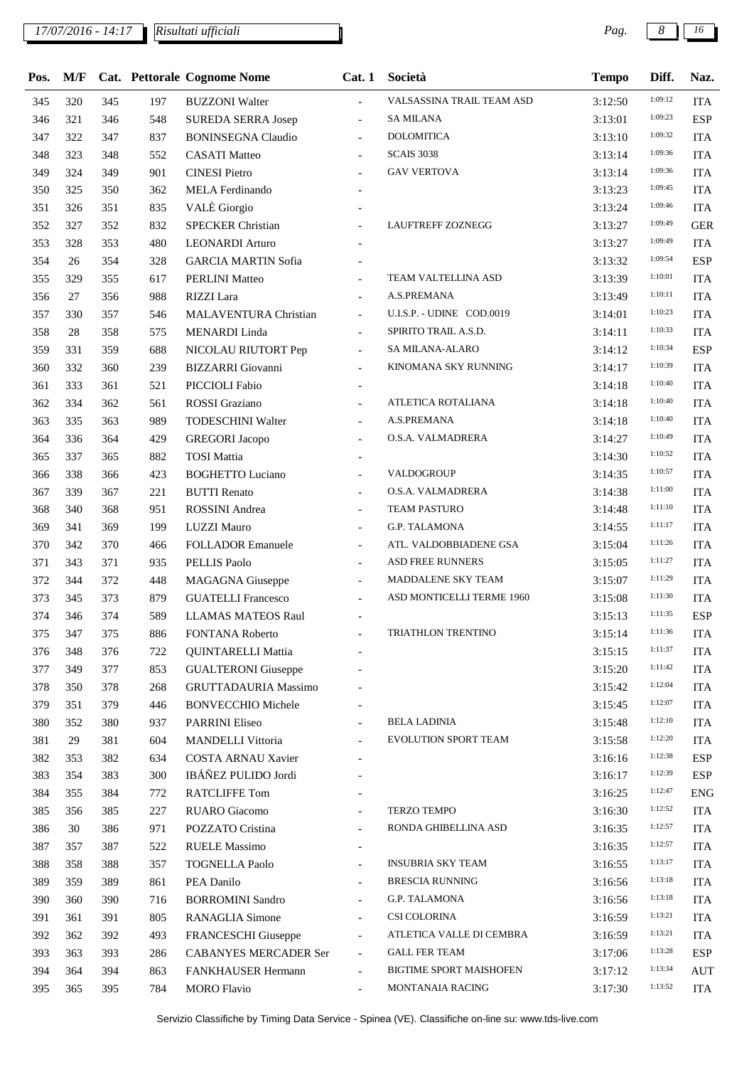| Pos. | M/F |     |     | Cat. Pettorale Cognome Nome  | Cat.1                    | Società                        | <b>Tempo</b> | Diff.   | Naz.       |
|------|-----|-----|-----|------------------------------|--------------------------|--------------------------------|--------------|---------|------------|
| 345  | 320 | 345 | 197 | <b>BUZZONI</b> Walter        | $\overline{a}$           | VALSASSINA TRAIL TEAM ASD      | 3:12:50      | 1:09:12 | <b>ITA</b> |
| 346  | 321 | 346 | 548 | <b>SUREDA SERRA Josep</b>    | $\overline{\phantom{0}}$ | <b>SA MILANA</b>               | 3:13:01      | 1:09:23 | <b>ESP</b> |
| 347  | 322 | 347 | 837 | <b>BONINSEGNA Claudio</b>    | $\overline{\phantom{a}}$ | <b>DOLOMITICA</b>              | 3:13:10      | 1:09:32 | <b>ITA</b> |
| 348  | 323 | 348 | 552 | <b>CASATI Matteo</b>         |                          | <b>SCAIS 3038</b>              | 3:13:14      | 1:09:36 | <b>ITA</b> |
| 349  | 324 | 349 | 901 | <b>CINESI Pietro</b>         | $\overline{a}$           | <b>GAV VERTOVA</b>             | 3:13:14      | 1:09:36 | <b>ITA</b> |
| 350  | 325 | 350 | 362 | <b>MELA</b> Ferdinando       |                          |                                | 3:13:23      | 1:09:45 | <b>ITA</b> |
| 351  | 326 | 351 | 835 | VALÈ Giorgio                 | $\overline{\phantom{a}}$ |                                | 3:13:24      | 1:09:46 | <b>ITA</b> |
| 352  | 327 | 352 | 832 | <b>SPECKER Christian</b>     | $\overline{a}$           | <b>LAUFTREFF ZOZNEGG</b>       | 3:13:27      | 1:09:49 | <b>GER</b> |
| 353  | 328 | 353 | 480 | <b>LEONARDI</b> Arturo       |                          |                                | 3:13:27      | 1:09:49 | <b>ITA</b> |
| 354  | 26  | 354 | 328 | <b>GARCIA MARTIN Sofia</b>   |                          |                                | 3:13:32      | 1:09:54 | <b>ESP</b> |
| 355  | 329 | 355 | 617 | <b>PERLINI Matteo</b>        |                          | TEAM VALTELLINA ASD            | 3:13:39      | 1:10:01 | <b>ITA</b> |
| 356  | 27  | 356 | 988 | RIZZI Lara                   |                          | A.S.PREMANA                    | 3:13:49      | 1:10:11 | <b>ITA</b> |
| 357  | 330 | 357 | 546 | MALAVENTURA Christian        | $\overline{\phantom{0}}$ | U.I.S.P. - UDINE COD.0019      | 3:14:01      | 1:10:23 | <b>ITA</b> |
| 358  | 28  | 358 | 575 | MENARDI Linda                | $\overline{\phantom{a}}$ | SPIRITO TRAIL A.S.D.           | 3:14:11      | 1:10:33 | <b>ITA</b> |
| 359  | 331 | 359 | 688 | NICOLAU RIUTORT Pep          | $\blacksquare$           | SA MILANA-ALARO                | 3:14:12      | 1:10:34 | <b>ESP</b> |
| 360  | 332 | 360 | 239 | <b>BIZZARRI</b> Giovanni     | $\overline{\phantom{0}}$ | KINOMANA SKY RUNNING           | 3:14:17      | 1:10:39 | <b>ITA</b> |
| 361  | 333 | 361 | 521 | PICCIOLI Fabio               |                          |                                | 3:14:18      | 1:10:40 | <b>ITA</b> |
| 362  | 334 | 362 | 561 | ROSSI Graziano               | $\overline{\phantom{a}}$ | ATLETICA ROTALIANA             | 3:14:18      | 1:10:40 | <b>ITA</b> |
| 363  | 335 | 363 | 989 | <b>TODESCHINI Walter</b>     | $\overline{\phantom{0}}$ | A.S.PREMANA                    | 3:14:18      | 1:10:40 | <b>ITA</b> |
| 364  | 336 | 364 | 429 | <b>GREGORI</b> Jacopo        | $\overline{\phantom{a}}$ | O.S.A. VALMADRERA              | 3:14:27      | 1:10:49 | <b>ITA</b> |
| 365  | 337 | 365 | 882 | <b>TOSI</b> Mattia           | $\overline{\phantom{a}}$ |                                | 3:14:30      | 1:10:52 | <b>ITA</b> |
| 366  | 338 | 366 | 423 | <b>BOGHETTO Luciano</b>      | $\overline{a}$           | VALDOGROUP                     | 3:14:35      | 1:10:57 | <b>ITA</b> |
| 367  | 339 | 367 | 221 | <b>BUTTI</b> Renato          | $\overline{a}$           | O.S.A. VALMADRERA              | 3:14:38      | 1:11:00 | <b>ITA</b> |
| 368  | 340 | 368 | 951 | ROSSINI Andrea               | $\overline{\phantom{a}}$ | <b>TEAM PASTURO</b>            | 3:14:48      | 1:11:10 | <b>ITA</b> |
| 369  | 341 | 369 | 199 | <b>LUZZI Mauro</b>           | $\overline{\phantom{0}}$ | <b>G.P. TALAMONA</b>           | 3:14:55      | 1:11:17 | <b>ITA</b> |
| 370  | 342 | 370 | 466 | <b>FOLLADOR Emanuele</b>     | $\frac{1}{2}$            | ATL. VALDOBBIADENE GSA         | 3:15:04      | 1:11:26 | <b>ITA</b> |
| 371  | 343 | 371 | 935 | <b>PELLIS Paolo</b>          |                          | <b>ASD FREE RUNNERS</b>        | 3:15:05      | 1:11:27 | <b>ITA</b> |
| 372  | 344 | 372 | 448 | <b>MAGAGNA</b> Giuseppe      | $\overline{\phantom{0}}$ | MADDALENE SKY TEAM             | 3:15:07      | 1:11:29 | <b>ITA</b> |
| 373  | 345 | 373 | 879 | <b>GUATELLI Francesco</b>    | $\frac{1}{2}$            | ASD MONTICELLI TERME 1960      | 3:15:08      | 1:11:30 | <b>ITA</b> |
| 374  | 346 | 374 | 589 | <b>LLAMAS MATEOS Raul</b>    |                          |                                | 3:15:13      | 1:11:35 | <b>ESP</b> |
| 375  | 347 | 375 | 886 | <b>FONTANA Roberto</b>       |                          | TRIATHLON TRENTINO             | 3:15:14      | 1:11:36 | <b>ITA</b> |
| 376  | 348 | 376 | 722 | <b>QUINTARELLI Mattia</b>    |                          |                                | 3:15:15      | 1:11:37 | <b>ITA</b> |
| 377  | 349 | 377 | 853 | <b>GUALTERONI</b> Giuseppe   |                          |                                | 3:15:20      | 1:11:42 | <b>ITA</b> |
| 378  | 350 | 378 | 268 | <b>GRUTTADAURIA Massimo</b>  |                          |                                | 3:15:42      | 1:12:04 | <b>ITA</b> |
| 379  | 351 | 379 | 446 | <b>BONVECCHIO Michele</b>    |                          |                                | 3:15:45      | 1:12:07 | <b>ITA</b> |
| 380  | 352 | 380 | 937 | PARRINI Eliseo               |                          | <b>BELA LADINIA</b>            | 3:15:48      | 1:12:10 | <b>ITA</b> |
| 381  | 29  | 381 | 604 | <b>MANDELLI Vittoria</b>     |                          | EVOLUTION SPORT TEAM           | 3:15:58      | 1:12:20 | <b>ITA</b> |
| 382  | 353 | 382 | 634 | COSTA ARNAU Xavier           |                          |                                | 3:16:16      | 1:12:38 | <b>ESP</b> |
| 383  | 354 | 383 | 300 | IBÁÑEZ PULIDO Jordi          |                          |                                | 3:16:17      | 1:12:39 | <b>ESP</b> |
| 384  | 355 | 384 | 772 | <b>RATCLIFFE Tom</b>         |                          |                                | 3:16:25      | 1:12:47 | <b>ENG</b> |
| 385  | 356 | 385 | 227 | RUARO Giacomo                | $\overline{a}$           | TERZO TEMPO                    | 3:16:30      | 1:12:52 | <b>ITA</b> |
| 386  | 30  | 386 | 971 | POZZATO Cristina             |                          | RONDA GHIBELLINA ASD           | 3:16:35      | 1:12:57 | <b>ITA</b> |
| 387  | 357 | 387 | 522 | <b>RUELE Massimo</b>         |                          |                                | 3:16:35      | 1:12:57 | <b>ITA</b> |
| 388  | 358 | 388 | 357 | <b>TOGNELLA Paolo</b>        | $\overline{a}$           | <b>INSUBRIA SKY TEAM</b>       | 3:16:55      | 1:13:17 | <b>ITA</b> |
| 389  | 359 | 389 | 861 | PEA Danilo                   | $\overline{a}$           | <b>BRESCIA RUNNING</b>         | 3:16:56      | 1:13:18 | <b>ITA</b> |
| 390  | 360 | 390 | 716 | <b>BORROMINI Sandro</b>      | $\overline{\phantom{0}}$ | G.P. TALAMONA                  | 3:16:56      | 1:13:18 | <b>ITA</b> |
| 391  | 361 | 391 | 805 | RANAGLIA Simone              | $\overline{\phantom{a}}$ | CSI COLORINA                   | 3:16:59      | 1:13:21 | <b>ITA</b> |
| 392  | 362 | 392 | 493 | FRANCESCHI Giuseppe          | $\overline{\phantom{a}}$ | ATLETICA VALLE DI CEMBRA       | 3:16:59      | 1:13:21 | <b>ITA</b> |
| 393  | 363 | 393 | 286 | <b>CABANYES MERCADER Ser</b> | $\overline{\phantom{0}}$ | <b>GALL FER TEAM</b>           | 3:17:06      | 1:13:28 | <b>ESP</b> |
| 394  | 364 | 394 | 863 | FANKHAUSER Hermann           | $\overline{\phantom{a}}$ | <b>BIGTIME SPORT MAISHOFEN</b> | 3:17:12      | 1:13:34 | <b>AUT</b> |
| 395  | 365 | 395 | 784 | <b>MORO</b> Flavio           | $\overline{a}$           | MONTANAIA RACING               | 3:17:30      | 1:13:52 | <b>ITA</b> |
|      |     |     |     |                              |                          |                                |              |         |            |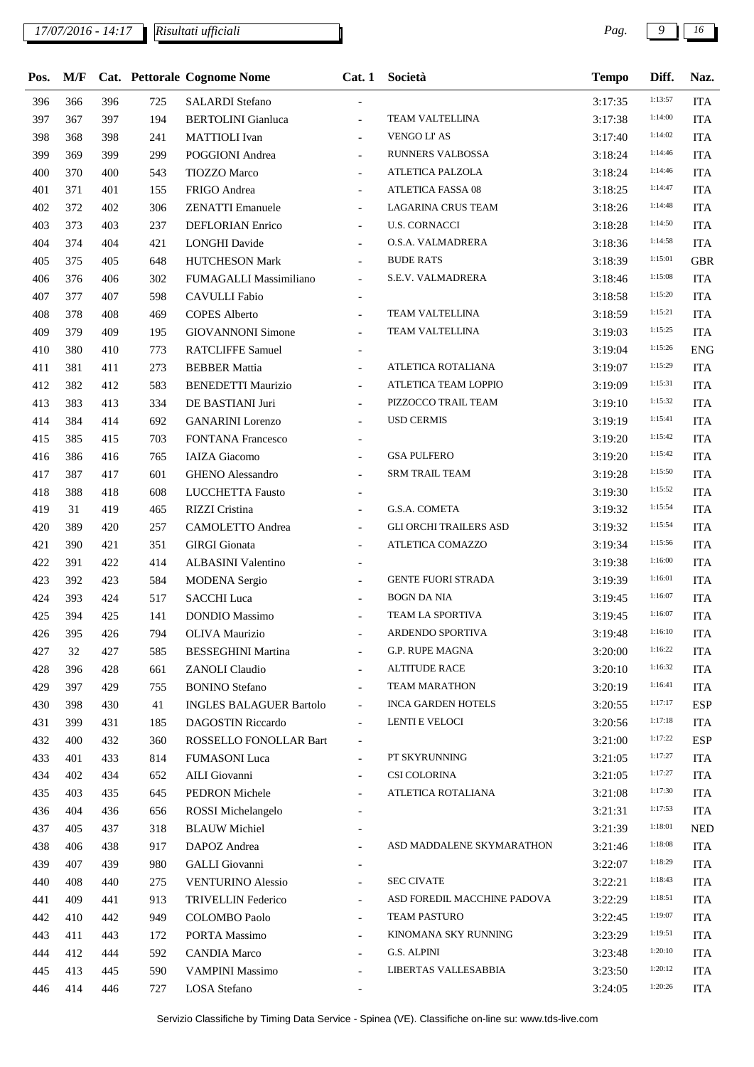## *17/07/2016 - 14:17 Pag. 9 16*

*Risultati ufficiali*

| Pos. | M/F |     |     | Cat. Pettorale Cognome Nome    | Cat.1                        | Società                       | <b>Tempo</b> | Diff.   | Naz.       |
|------|-----|-----|-----|--------------------------------|------------------------------|-------------------------------|--------------|---------|------------|
| 396  | 366 | 396 | 725 | <b>SALARDI Stefano</b>         |                              |                               | 3:17:35      | 1:13:57 | <b>ITA</b> |
| 397  | 367 | 397 | 194 | <b>BERTOLINI</b> Gianluca      | $\blacksquare$               | <b>TEAM VALTELLINA</b>        | 3:17:38      | 1:14:00 | <b>ITA</b> |
| 398  | 368 | 398 | 241 | <b>MATTIOLI</b> Ivan           | $\overline{a}$               | <b>VENGO LI' AS</b>           | 3:17:40      | 1:14:02 | <b>ITA</b> |
| 399  | 369 | 399 | 299 | <b>POGGIONI</b> Andrea         | $\overline{a}$               | RUNNERS VALBOSSA              | 3:18:24      | 1:14:46 | <b>ITA</b> |
| 400  | 370 | 400 | 543 | TIOZZO Marco                   |                              | ATLETICA PALZOLA              | 3:18:24      | 1:14:46 | <b>ITA</b> |
| 401  | 371 | 401 | 155 | FRIGO Andrea                   | $\overline{a}$               | <b>ATLETICA FASSA 08</b>      | 3:18:25      | 1:14:47 | <b>ITA</b> |
| 402  | 372 | 402 | 306 | <b>ZENATTI</b> Emanuele        |                              | <b>LAGARINA CRUS TEAM</b>     | 3:18:26      | 1:14:48 | <b>ITA</b> |
| 403  | 373 | 403 | 237 | DEFLORIAN Enrico               |                              | <b>U.S. CORNACCI</b>          | 3:18:28      | 1:14:50 | <b>ITA</b> |
| 404  | 374 | 404 | 421 | <b>LONGHI</b> Davide           | $\overline{a}$               | O.S.A. VALMADRERA             | 3:18:36      | 1:14:58 | <b>ITA</b> |
| 405  | 375 | 405 | 648 | <b>HUTCHESON Mark</b>          | $\overline{\phantom{0}}$     | <b>BUDE RATS</b>              | 3:18:39      | 1:15:01 | <b>GBR</b> |
| 406  | 376 | 406 | 302 | FUMAGALLI Massimiliano         | $\blacksquare$               | S.E.V. VALMADRERA             | 3:18:46      | 1:15:08 | <b>ITA</b> |
| 407  | 377 | 407 | 598 | <b>CAVULLI</b> Fabio           |                              |                               | 3:18:58      | 1:15:20 | <b>ITA</b> |
| 408  | 378 | 408 | 469 | <b>COPES Alberto</b>           |                              | TEAM VALTELLINA               | 3:18:59      | 1:15:21 | <b>ITA</b> |
| 409  | 379 | 409 | 195 | <b>GIOVANNONI Simone</b>       | $\overline{a}$               | TEAM VALTELLINA               | 3:19:03      | 1:15:25 | <b>ITA</b> |
| 410  | 380 | 410 | 773 | <b>RATCLIFFE Samuel</b>        |                              |                               | 3:19:04      | 1:15:26 | <b>ENG</b> |
| 411  | 381 | 411 | 273 | <b>BEBBER Mattia</b>           | $\overline{\phantom{0}}$     | ATLETICA ROTALIANA            | 3:19:07      | 1:15:29 | <b>ITA</b> |
| 412  | 382 | 412 | 583 | <b>BENEDETTI Maurizio</b>      | $\overline{a}$               | ATLETICA TEAM LOPPIO          | 3:19:09      | 1:15:31 | <b>ITA</b> |
| 413  | 383 | 413 | 334 | DE BASTIANI Juri               | $\overline{a}$               | PIZZOCCO TRAIL TEAM           | 3:19:10      | 1:15:32 | <b>ITA</b> |
| 414  | 384 | 414 | 692 | <b>GANARINI</b> Lorenzo        |                              | <b>USD CERMIS</b>             | 3:19:19      | 1:15:41 | <b>ITA</b> |
| 415  | 385 | 415 | 703 | <b>FONTANA Francesco</b>       |                              |                               | 3:19:20      | 1:15:42 | <b>ITA</b> |
| 416  | 386 | 416 | 765 | <b>IAIZA</b> Giacomo           | $\overline{a}$               | <b>GSA PULFERO</b>            | 3:19:20      | 1:15:42 | <b>ITA</b> |
| 417  | 387 | 417 | 601 | <b>GHENO</b> Alessandro        | $\overline{a}$               | <b>SRM TRAIL TEAM</b>         | 3:19:28      | 1:15:50 | <b>ITA</b> |
| 418  | 388 | 418 | 608 | LUCCHETTA Fausto               |                              |                               | 3:19:30      | 1:15:52 | <b>ITA</b> |
| 419  | 31  | 419 | 465 | RIZZI Cristina                 | $\overline{a}$               | G.S.A. COMETA                 | 3:19:32      | 1:15:54 | <b>ITA</b> |
| 420  | 389 | 420 | 257 | <b>CAMOLETTO Andrea</b>        | $\overline{\phantom{0}}$     | <b>GLI ORCHI TRAILERS ASD</b> | 3:19:32      | 1:15:54 | <b>ITA</b> |
| 421  | 390 | 421 | 351 | <b>GIRGI</b> Gionata           |                              | ATLETICA COMAZZO              | 3:19:34      | 1:15:56 | <b>ITA</b> |
| 422  | 391 | 422 | 414 | ALBASINI Valentino             | $\overline{\phantom{a}}$     |                               | 3:19:38      | 1:16:00 | <b>ITA</b> |
| 423  | 392 | 423 | 584 | <b>MODENA</b> Sergio           | $\overline{\phantom{0}}$     | <b>GENTE FUORI STRADA</b>     | 3:19:39      | 1:16:01 | <b>ITA</b> |
| 424  | 393 | 424 | 517 | <b>SACCHI</b> Luca             |                              | <b>BOGN DA NIA</b>            | 3:19:45      | 1:16:07 | <b>ITA</b> |
| 425  | 394 | 425 | 141 | <b>DONDIO</b> Massimo          |                              | TEAM LA SPORTIVA              | 3:19:45      | 1:16:07 | <b>ITA</b> |
| 426  | 395 | 426 | 794 | OLIVA Maurizio                 |                              | ARDENDO SPORTIVA              | 3:19:48      | 1:16:10 | ITA        |
| 427  | 32  | 427 | 585 | <b>BESSEGHINI Martina</b>      |                              | G.P. RUPE MAGNA               | 3:20:00      | 1:16:22 | <b>ITA</b> |
| 428  | 396 | 428 | 661 | <b>ZANOLI</b> Claudio          | $\overline{a}$               | <b>ALTITUDE RACE</b>          | 3:20:10      | 1:16:32 | <b>ITA</b> |
| 429  | 397 | 429 | 755 | <b>BONINO</b> Stefano          | $\overline{\phantom{0}}$     | <b>TEAM MARATHON</b>          | 3:20:19      | 1:16:41 | <b>ITA</b> |
| 430  | 398 | 430 | 41  | <b>INGLES BALAGUER Bartolo</b> | $\overline{\phantom{a}}$     | <b>INCA GARDEN HOTELS</b>     | 3:20:55      | 1:17:17 | <b>ESP</b> |
| 431  | 399 | 431 | 185 | DAGOSTIN Riccardo              | $\blacksquare$               | LENTI E VELOCI                | 3:20:56      | 1:17:18 | <b>ITA</b> |
| 432  | 400 | 432 | 360 | ROSSELLO FONOLLAR Bart         | $\qquad \qquad \blacksquare$ |                               | 3:21:00      | 1:17:22 | <b>ESP</b> |
| 433  | 401 | 433 | 814 | <b>FUMASONI</b> Luca           | $\overline{\phantom{a}}$     | PT SKYRUNNING                 | 3:21:05      | 1:17:27 | <b>ITA</b> |
| 434  | 402 | 434 | 652 | AILI Giovanni                  | $\overline{a}$               | CSI COLORINA                  | 3:21:05      | 1:17:27 | <b>ITA</b> |
| 435  | 403 | 435 | 645 | PEDRON Michele                 |                              | ATLETICA ROTALIANA            | 3:21:08      | 1:17:30 | <b>ITA</b> |
| 436  | 404 | 436 | 656 | ROSSI Michelangelo             |                              |                               | 3:21:31      | 1:17:53 | <b>ITA</b> |
| 437  | 405 | 437 | 318 | <b>BLAUW</b> Michiel           |                              |                               | 3:21:39      | 1:18:01 | <b>NED</b> |
| 438  | 406 | 438 | 917 | DAPOZ Andrea                   |                              | ASD MADDALENE SKYMARATHON     | 3:21:46      | 1:18:08 | <b>ITA</b> |
| 439  | 407 | 439 | 980 | GALLI Giovanni                 |                              |                               | 3:22:07      | 1:18:29 | <b>ITA</b> |
| 440  | 408 | 440 | 275 | <b>VENTURINO Alessio</b>       | $\overline{\phantom{a}}$     | <b>SEC CIVATE</b>             | 3:22:21      | 1:18:43 | <b>ITA</b> |
| 441  | 409 | 441 | 913 | <b>TRIVELLIN Federico</b>      | $\overline{\phantom{0}}$     | ASD FOREDIL MACCHINE PADOVA   | 3:22:29      | 1:18:51 | <b>ITA</b> |
| 442  | 410 | 442 | 949 | <b>COLOMBO Paolo</b>           |                              | TEAM PASTURO                  | 3:22:45      | 1:19:07 | <b>ITA</b> |
| 443  | 411 | 443 | 172 | PORTA Massimo                  | $\overline{a}$               | KINOMANA SKY RUNNING          | 3:23:29      | 1:19:51 | <b>ITA</b> |
| 444  | 412 | 444 | 592 | <b>CANDIA Marco</b>            | $\overline{\phantom{0}}$     | G.S. ALPINI                   | 3:23:48      | 1:20:10 | <b>ITA</b> |
| 445  | 413 | 445 | 590 | <b>VAMPINI Massimo</b>         | $\overline{\phantom{a}}$     | LIBERTAS VALLESABBIA          | 3:23:50      | 1:20:12 | <b>ITA</b> |
| 446  | 414 | 446 | 727 | LOSA Stefano                   |                              |                               | 3:24:05      | 1:20:26 | ITA        |
|      |     |     |     |                                |                              |                               |              |         |            |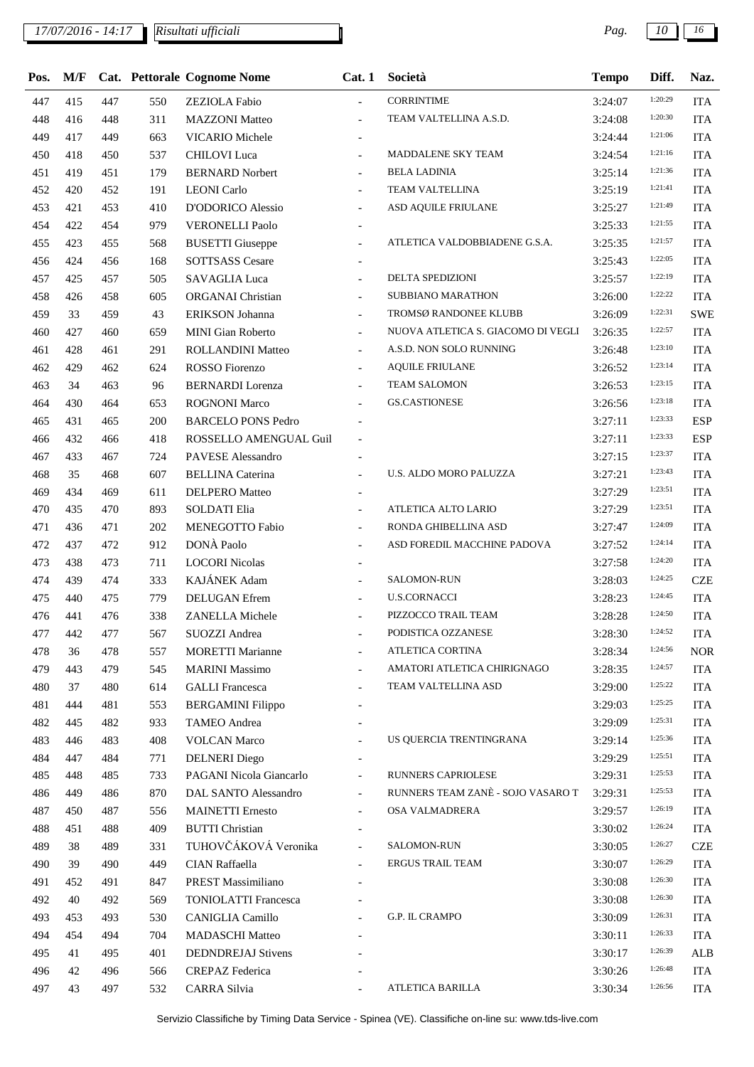| Pos. | M/F |     |     | Cat. Pettorale Cognome Nome | Cat.1                    | Società                            | <b>Tempo</b> | Diff.   | Naz.       |
|------|-----|-----|-----|-----------------------------|--------------------------|------------------------------------|--------------|---------|------------|
| 447  | 415 | 447 | 550 | <b>ZEZIOLA</b> Fabio        |                          | <b>CORRINTIME</b>                  | 3:24:07      | 1:20:29 | <b>ITA</b> |
| 448  | 416 | 448 | 311 | <b>MAZZONI</b> Matteo       | $\overline{a}$           | TEAM VALTELLINA A.S.D.             | 3:24:08      | 1:20:30 | <b>ITA</b> |
| 449  | 417 | 449 | 663 | <b>VICARIO</b> Michele      | $\overline{\phantom{a}}$ |                                    | 3:24:44      | 1:21:06 | <b>ITA</b> |
| 450  | 418 | 450 | 537 | <b>CHILOVI</b> Luca         | $\overline{a}$           | MADDALENE SKY TEAM                 | 3:24:54      | 1:21:16 | <b>ITA</b> |
| 451  | 419 | 451 | 179 | <b>BERNARD Norbert</b>      | $\blacksquare$           | <b>BELA LADINIA</b>                | 3:25:14      | 1:21:36 | <b>ITA</b> |
| 452  | 420 | 452 | 191 | <b>LEONI</b> Carlo          | $\overline{\phantom{a}}$ | TEAM VALTELLINA                    | 3:25:19      | 1:21:41 | <b>ITA</b> |
| 453  | 421 | 453 | 410 | D'ODORICO Alessio           | $\overline{\phantom{a}}$ | ASD AQUILE FRIULANE                | 3:25:27      | 1:21:49 | <b>ITA</b> |
| 454  | 422 | 454 | 979 | <b>VERONELLI Paolo</b>      | $\overline{\phantom{a}}$ |                                    | 3:25:33      | 1:21:55 | <b>ITA</b> |
| 455  | 423 | 455 | 568 | <b>BUSETTI</b> Giuseppe     |                          | ATLETICA VALDOBBIADENE G.S.A.      | 3:25:35      | 1:21:57 | <b>ITA</b> |
| 456  | 424 | 456 | 168 | <b>SOTTSASS Cesare</b>      |                          |                                    | 3:25:43      | 1:22:05 | <b>ITA</b> |
| 457  | 425 | 457 | 505 | SAVAGLIA Luca               | $\overline{\phantom{a}}$ | DELTA SPEDIZIONI                   | 3:25:57      | 1:22:19 | <b>ITA</b> |
| 458  | 426 | 458 | 605 | ORGANAI Christian           | $\overline{\phantom{0}}$ | <b>SUBBIANO MARATHON</b>           | 3:26:00      | 1:22:22 | <b>ITA</b> |
| 459  | 33  | 459 | 43  | ERIKSON Johanna             | $\blacksquare$           | TROMSØ RANDONEE KLUBB              | 3:26:09      | 1:22:31 | <b>SWE</b> |
| 460  | 427 | 460 | 659 | <b>MINI Gian Roberto</b>    | $\frac{1}{2}$            | NUOVA ATLETICA S. GIACOMO DI VEGLI | 3:26:35      | 1:22:57 | <b>ITA</b> |
| 461  | 428 | 461 | 291 | ROLLANDINI Matteo           | $\overline{\phantom{a}}$ | A.S.D. NON SOLO RUNNING            | 3:26:48      | 1:23:10 | <b>ITA</b> |
| 462  | 429 | 462 | 624 | ROSSO Fiorenzo              | $\overline{a}$           | <b>AQUILE FRIULANE</b>             | 3:26:52      | 1:23:14 | <b>ITA</b> |
| 463  | 34  | 463 | 96  | <b>BERNARDI</b> Lorenza     | $\overline{\phantom{a}}$ | <b>TEAM SALOMON</b>                | 3:26:53      | 1:23:15 | <b>ITA</b> |
| 464  | 430 | 464 | 653 | <b>ROGNONI Marco</b>        |                          | <b>GS.CASTIONESE</b>               | 3:26:56      | 1:23:18 | <b>ITA</b> |
| 465  | 431 | 465 | 200 | <b>BARCELO PONS Pedro</b>   |                          |                                    | 3:27:11      | 1:23:33 | <b>ESP</b> |
| 466  | 432 | 466 | 418 | ROSSELLO AMENGUAL Guil      | $\overline{\phantom{a}}$ |                                    | 3:27:11      | 1:23:33 | <b>ESP</b> |
| 467  | 433 | 467 | 724 | PAVESE Alessandro           | $\overline{\phantom{a}}$ |                                    | 3:27:15      | 1:23:37 | <b>ITA</b> |
| 468  | 35  | 468 | 607 | <b>BELLINA</b> Caterina     |                          | U.S. ALDO MORO PALUZZA             | 3:27:21      | 1:23:43 | <b>ITA</b> |
| 469  | 434 | 469 | 611 | <b>DELPERO</b> Matteo       | $\overline{\phantom{a}}$ |                                    | 3:27:29      | 1:23:51 | <b>ITA</b> |
| 470  | 435 | 470 | 893 | <b>SOLDATI Elia</b>         | $\overline{\phantom{0}}$ | ATLETICA ALTO LARIO                | 3:27:29      | 1:23:51 | <b>ITA</b> |
| 471  | 436 | 471 | 202 | MENEGOTTO Fabio             | $\blacksquare$           | RONDA GHIBELLINA ASD               | 3:27:47      | 1:24:09 | <b>ITA</b> |
| 472  | 437 | 472 | 912 | DONÀ Paolo                  | $\frac{1}{2}$            | ASD FOREDIL MACCHINE PADOVA        | 3:27:52      | 1:24:14 | <b>ITA</b> |
| 473  | 438 | 473 | 711 | <b>LOCORI Nicolas</b>       | $\overline{\phantom{a}}$ |                                    | 3:27:58      | 1:24:20 | <b>ITA</b> |
| 474  | 439 | 474 | 333 | KAJÁNEK Adam                | $\overline{a}$           | SALOMON-RUN                        | 3:28:03      | 1:24:25 | <b>CZE</b> |
| 475  | 440 | 475 | 779 | <b>DELUGAN</b> Efrem        | $\overline{a}$           | <b>U.S.CORNACCI</b>                | 3:28:23      | 1:24:45 | <b>ITA</b> |
| 476  | 441 | 476 | 338 | ZANELLA Michele             |                          | PIZZOCCO TRAIL TEAM                | 3:28:28      | 1:24:50 | <b>ITA</b> |
| 477  | 442 | 477 | 567 | SUOZZI Andrea               |                          | PODISTICA OZZANESE                 | 3:28:30      | 1:24:52 | <b>ITA</b> |
| 478  | 36  | 478 | 557 | <b>MORETTI Marianne</b>     | $\overline{\phantom{a}}$ | ATLETICA CORTINA                   | 3:28:34      | 1:24:56 | <b>NOR</b> |
| 479  | 443 | 479 | 545 | <b>MARINI Massimo</b>       | $\overline{\phantom{0}}$ | AMATORI ATLETICA CHIRIGNAGO        | 3:28:35      | 1:24:57 | <b>ITA</b> |
| 480  | 37  | 480 | 614 | <b>GALLI</b> Francesca      |                          | TEAM VALTELLINA ASD                | 3:29:00      | 1:25:22 | <b>ITA</b> |
| 481  | 444 | 481 | 553 | <b>BERGAMINI Filippo</b>    |                          |                                    | 3:29:03      | 1:25:25 | <b>ITA</b> |
| 482  | 445 | 482 | 933 | <b>TAMEO</b> Andrea         |                          |                                    | 3:29:09      | 1:25:31 | <b>ITA</b> |
| 483  | 446 | 483 | 408 | <b>VOLCAN Marco</b>         |                          | US QUERCIA TRENTINGRANA            | 3:29:14      | 1:25:36 | <b>ITA</b> |
| 484  | 447 | 484 | 771 | <b>DELNERI</b> Diego        |                          |                                    | 3:29:29      | 1:25:51 | <b>ITA</b> |
| 485  | 448 | 485 | 733 | PAGANI Nicola Giancarlo     | $\overline{a}$           | RUNNERS CAPRIOLESE                 | 3:29:31      | 1:25:53 | <b>ITA</b> |
| 486  | 449 | 486 | 870 | DAL SANTO Alessandro        | $\blacksquare$           | RUNNERS TEAM ZANÈ - SOJO VASARO T  | 3:29:31      | 1:25:53 | <b>ITA</b> |
| 487  | 450 | 487 | 556 | <b>MAINETTI</b> Ernesto     |                          | OSA VALMADRERA                     | 3:29:57      | 1:26:19 | <b>ITA</b> |
| 488  | 451 | 488 | 409 | <b>BUTTI Christian</b>      |                          |                                    | 3:30:02      | 1:26:24 | <b>ITA</b> |
| 489  | 38  | 489 | 331 | TUHOVČÁKOVÁ Veronika        |                          | SALOMON-RUN                        | 3:30:05      | 1:26:27 | <b>CZE</b> |
| 490  | 39  | 490 | 449 | CIAN Raffaella              |                          | <b>ERGUS TRAIL TEAM</b>            | 3:30:07      | 1:26:29 | <b>ITA</b> |
| 491  | 452 | 491 | 847 | PREST Massimiliano          |                          |                                    | 3:30:08      | 1:26:30 | <b>ITA</b> |
| 492  | 40  | 492 | 569 | <b>TONIOLATTI Francesca</b> |                          |                                    | 3:30:08      | 1:26:30 | <b>ITA</b> |
| 493  | 453 | 493 | 530 | CANIGLIA Camillo            |                          | G.P. IL CRAMPO                     | 3:30:09      | 1:26:31 | <b>ITA</b> |
| 494  | 454 | 494 | 704 | <b>MADASCHI</b> Matteo      |                          |                                    | 3:30:11      | 1:26:33 | <b>ITA</b> |
| 495  | 41  | 495 | 401 | <b>DEDNDREJAJ Stivens</b>   |                          |                                    | 3:30:17      | 1:26:39 | <b>ALB</b> |
| 496  | 42  | 496 | 566 | CREPAZ Federica             |                          |                                    | 3:30:26      | 1:26:48 | <b>ITA</b> |
| 497  | 43  | 497 | 532 | CARRA Silvia                |                          | ATLETICA BARILLA                   | 3:30:34      | 1:26:56 | <b>ITA</b> |
|      |     |     |     |                             |                          |                                    |              |         |            |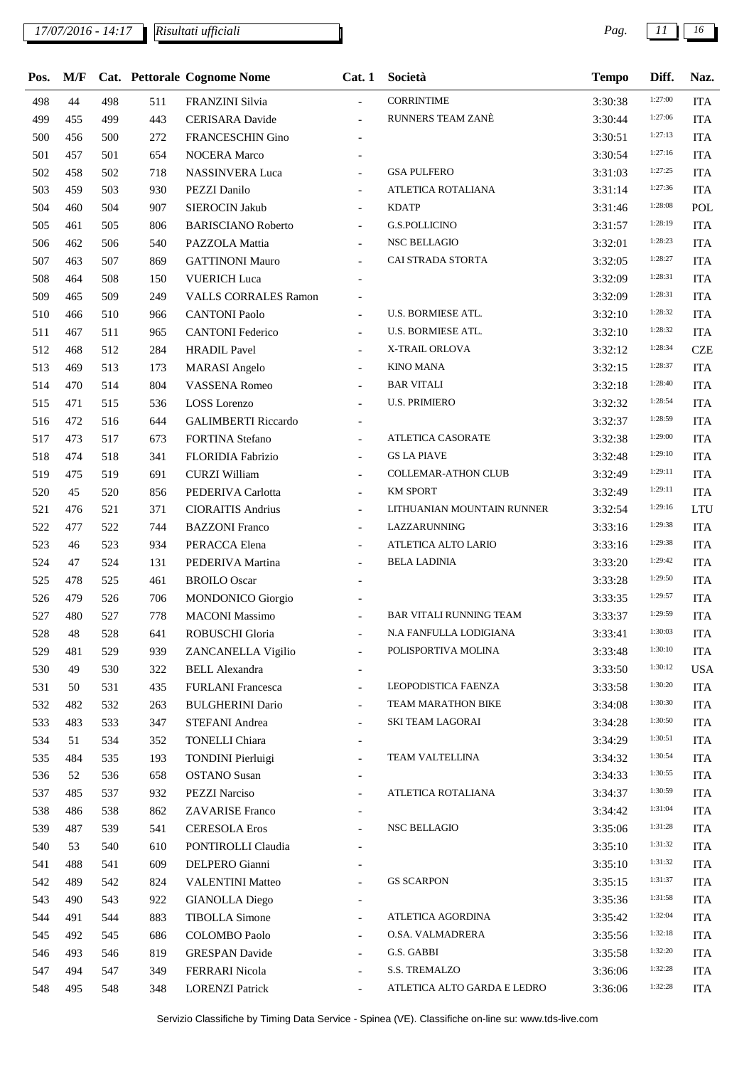## *17/07/2016 - 14:17 Pag. 11 16*

| Pos. | M/F |     |     | <b>Cat.</b> Pettorale Cognome Nome | Cat.1                    | Società                        | <b>Tempo</b> | Diff.   | Naz.       |
|------|-----|-----|-----|------------------------------------|--------------------------|--------------------------------|--------------|---------|------------|
| 498  | 44  | 498 | 511 | FRANZINI Silvia                    | $\overline{a}$           | <b>CORRINTIME</b>              | 3:30:38      | 1:27:00 | <b>ITA</b> |
| 499  | 455 | 499 | 443 | <b>CERISARA</b> Davide             |                          | RUNNERS TEAM ZANÈ              | 3:30:44      | 1:27:06 | <b>ITA</b> |
| 500  | 456 | 500 | 272 | <b>FRANCESCHIN Gino</b>            |                          |                                | 3:30:51      | 1:27:13 | <b>ITA</b> |
| 501  | 457 | 501 | 654 | <b>NOCERA Marco</b>                |                          |                                | 3:30:54      | 1:27:16 | <b>ITA</b> |
| 502  | 458 | 502 | 718 | <b>NASSINVERA Luca</b>             | $\overline{\phantom{a}}$ | <b>GSA PULFERO</b>             | 3:31:03      | 1:27:25 | <b>ITA</b> |
| 503  | 459 | 503 | 930 | PEZZI Danilo                       | $\overline{\phantom{0}}$ | ATLETICA ROTALIANA             | 3:31:14      | 1:27:36 | <b>ITA</b> |
| 504  | 460 | 504 | 907 | <b>SIEROCIN Jakub</b>              | $\overline{\phantom{0}}$ | <b>KDATP</b>                   | 3:31:46      | 1:28:08 | POL        |
| 505  | 461 | 505 | 806 | <b>BARISCIANO Roberto</b>          | $\frac{1}{2}$            | <b>G.S.POLLICINO</b>           | 3:31:57      | 1:28:19 | <b>ITA</b> |
| 506  | 462 | 506 | 540 | PAZZOLA Mattia                     |                          | <b>NSC BELLAGIO</b>            | 3:32:01      | 1:28:23 | <b>ITA</b> |
| 507  | 463 | 507 | 869 | <b>GATTINONI Mauro</b>             | $\overline{a}$           | CAI STRADA STORTA              | 3:32:05      | 1:28:27 | <b>ITA</b> |
| 508  | 464 | 508 | 150 | <b>VUERICH Luca</b>                |                          |                                | 3:32:09      | 1:28:31 | <b>ITA</b> |
| 509  | 465 | 509 | 249 | <b>VALLS CORRALES Ramon</b>        |                          |                                | 3:32:09      | 1:28:31 | <b>ITA</b> |
| 510  | 466 | 510 | 966 | <b>CANTONI Paolo</b>               | $\overline{\phantom{0}}$ | <b>U.S. BORMIESE ATL.</b>      | 3:32:10      | 1:28:32 | <b>ITA</b> |
| 511  | 467 | 511 | 965 | <b>CANTONI Federico</b>            | $\blacksquare$           | U.S. BORMIESE ATL.             | 3:32:10      | 1:28:32 | <b>ITA</b> |
| 512  | 468 | 512 | 284 | <b>HRADIL Pavel</b>                | $\overline{\phantom{0}}$ | X-TRAIL ORLOVA                 | 3:32:12      | 1:28:34 | <b>CZE</b> |
| 513  | 469 | 513 | 173 | <b>MARASI</b> Angelo               | $\overline{\phantom{a}}$ | KINO MANA                      | 3:32:15      | 1:28:37 | <b>ITA</b> |
| 514  | 470 | 514 | 804 | <b>VASSENA Romeo</b>               | $\overline{\phantom{a}}$ | <b>BAR VITALI</b>              | 3:32:18      | 1:28:40 | <b>ITA</b> |
| 515  | 471 | 515 | 536 | <b>LOSS</b> Lorenzo                | $\overline{\phantom{0}}$ | <b>U.S. PRIMIERO</b>           | 3:32:32      | 1:28:54 | <b>ITA</b> |
| 516  | 472 | 516 | 644 | <b>GALIMBERTI Riccardo</b>         |                          |                                | 3:32:37      | 1:28:59 | <b>ITA</b> |
| 517  | 473 | 517 | 673 | FORTINA Stefano                    | $\overline{\phantom{a}}$ | ATLETICA CASORATE              | 3:32:38      | 1:29:00 | <b>ITA</b> |
| 518  | 474 | 518 | 341 | FLORIDIA Fabrizio                  | $\overline{\phantom{0}}$ | <b>GS LA PIAVE</b>             | 3:32:48      | 1:29:10 | <b>ITA</b> |
| 519  | 475 | 519 | 691 | <b>CURZI William</b>               | $\overline{\phantom{a}}$ | <b>COLLEMAR-ATHON CLUB</b>     | 3:32:49      | 1:29:11 | <b>ITA</b> |
| 520  | 45  | 520 | 856 | PEDERIVA Carlotta                  | $\blacksquare$           | <b>KM SPORT</b>                | 3:32:49      | 1:29:11 | <b>ITA</b> |
| 521  | 476 | 521 | 371 | <b>CIORAITIS Andrius</b>           | $\frac{1}{2}$            | LITHUANIAN MOUNTAIN RUNNER     | 3:32:54      | 1:29:16 | <b>LTU</b> |
| 522  | 477 | 522 | 744 | <b>BAZZONI</b> Franco              | $\frac{1}{2}$            | LAZZARUNNING                   | 3:33:16      | 1:29:38 | <b>ITA</b> |
| 523  | 46  | 523 | 934 | PERACCA Elena                      | $\blacksquare$           | ATLETICA ALTO LARIO            | 3:33:16      | 1:29:38 | <b>ITA</b> |
| 524  | 47  | 524 | 131 | PEDERIVA Martina                   | ÷.                       | <b>BELA LADINIA</b>            | 3:33:20      | 1:29:42 | <b>ITA</b> |
| 525  | 478 | 525 | 461 | <b>BROILO</b> Oscar                |                          |                                | 3:33:28      | 1:29:50 | <b>ITA</b> |
| 526  | 479 | 526 | 706 | <b>MONDONICO</b> Giorgio           |                          |                                | 3:33:35      | 1:29:57 | <b>ITA</b> |
| 527  | 480 | 527 | 778 | <b>MACONI</b> Massimo              | $\overline{\phantom{a}}$ | <b>BAR VITALI RUNNING TEAM</b> | 3:33:37      | 1:29:59 | <b>ITA</b> |
| 528  | 48  | 528 | 641 | ROBUSCHI Gloria                    |                          | N.A FANFULLA LODIGIANA         | 3:33:41      | 1:30:03 | $\rm ITA$  |
| 529  | 481 | 529 | 939 | ZANCANELLA Vigilio                 | $\overline{\phantom{a}}$ | POLISPORTIVA MOLINA            | 3:33:48      | 1:30:10 | <b>ITA</b> |
| 530  | 49  | 530 | 322 | <b>BELL Alexandra</b>              |                          |                                | 3:33:50      | 1:30:12 | <b>USA</b> |
| 531  | 50  | 531 | 435 | <b>FURLANI</b> Francesca           | $\overline{\phantom{a}}$ | LEOPODISTICA FAENZA            | 3:33:58      | 1:30:20 | <b>ITA</b> |
| 532  | 482 | 532 | 263 | <b>BULGHERINI Dario</b>            | $\overline{\phantom{a}}$ | TEAM MARATHON BIKE             | 3:34:08      | 1:30:30 | <b>ITA</b> |
| 533  | 483 | 533 | 347 | STEFANI Andrea                     | $\overline{\phantom{a}}$ | SKI TEAM LAGORAI               | 3:34:28      | 1:30:50 | <b>ITA</b> |
| 534  | 51  | 534 | 352 | <b>TONELLI</b> Chiara              |                          |                                | 3:34:29      | 1:30:51 | ITA        |
| 535  | 484 | 535 | 193 | <b>TONDINI</b> Pierluigi           | $\overline{\phantom{a}}$ | TEAM VALTELLINA                | 3:34:32      | 1:30:54 | <b>ITA</b> |
| 536  | 52  | 536 | 658 | <b>OSTANO</b> Susan                |                          |                                | 3:34:33      | 1:30:55 | <b>ITA</b> |
| 537  | 485 | 537 | 932 | <b>PEZZI Narciso</b>               | $\overline{\phantom{a}}$ | ATLETICA ROTALIANA             | 3:34:37      | 1:30:59 | <b>ITA</b> |
| 538  | 486 | 538 | 862 | ZAVARISE Franco                    |                          |                                | 3:34:42      | 1:31:04 | <b>ITA</b> |
| 539  | 487 | 539 | 541 | <b>CERESOLA Eros</b>               | $\overline{\phantom{a}}$ | NSC BELLAGIO                   | 3:35:06      | 1:31:28 | <b>ITA</b> |
| 540  | 53  | 540 | 610 | PONTIROLLI Claudia                 |                          |                                | 3:35:10      | 1:31:32 | ITA        |
| 541  | 488 | 541 | 609 | DELPERO Gianni                     | $\overline{\phantom{a}}$ |                                | 3:35:10      | 1:31:32 | <b>ITA</b> |
| 542  | 489 | 542 | 824 | <b>VALENTINI Matteo</b>            |                          | <b>GS SCARPON</b>              | 3:35:15      | 1:31:37 | <b>ITA</b> |
| 543  | 490 | 543 | 922 | <b>GIANOLLA Diego</b>              |                          |                                | 3:35:36      | 1:31:58 | <b>ITA</b> |
| 544  | 491 | 544 | 883 | <b>TIBOLLA Simone</b>              | $\overline{\phantom{a}}$ | ATLETICA AGORDINA              | 3:35:42      | 1:32:04 | <b>ITA</b> |
| 545  | 492 | 545 | 686 | <b>COLOMBO Paolo</b>               |                          | O.SA. VALMADRERA               | 3:35:56      | 1:32:18 | <b>ITA</b> |
| 546  | 493 | 546 | 819 | <b>GRESPAN Davide</b>              | $\overline{\phantom{a}}$ | G.S. GABBI                     | 3:35:58      | 1:32:20 | <b>ITA</b> |
| 547  | 494 | 547 | 349 | FERRARI Nicola                     | $\overline{\phantom{0}}$ | S.S. TREMALZO                  | 3:36:06      | 1:32:28 | <b>ITA</b> |
| 548  | 495 | 548 | 348 | <b>LORENZI Patrick</b>             |                          | ATLETICA ALTO GARDA E LEDRO    | 3:36:06      | 1:32:28 | <b>ITA</b> |
|      |     |     |     |                                    |                          |                                |              |         |            |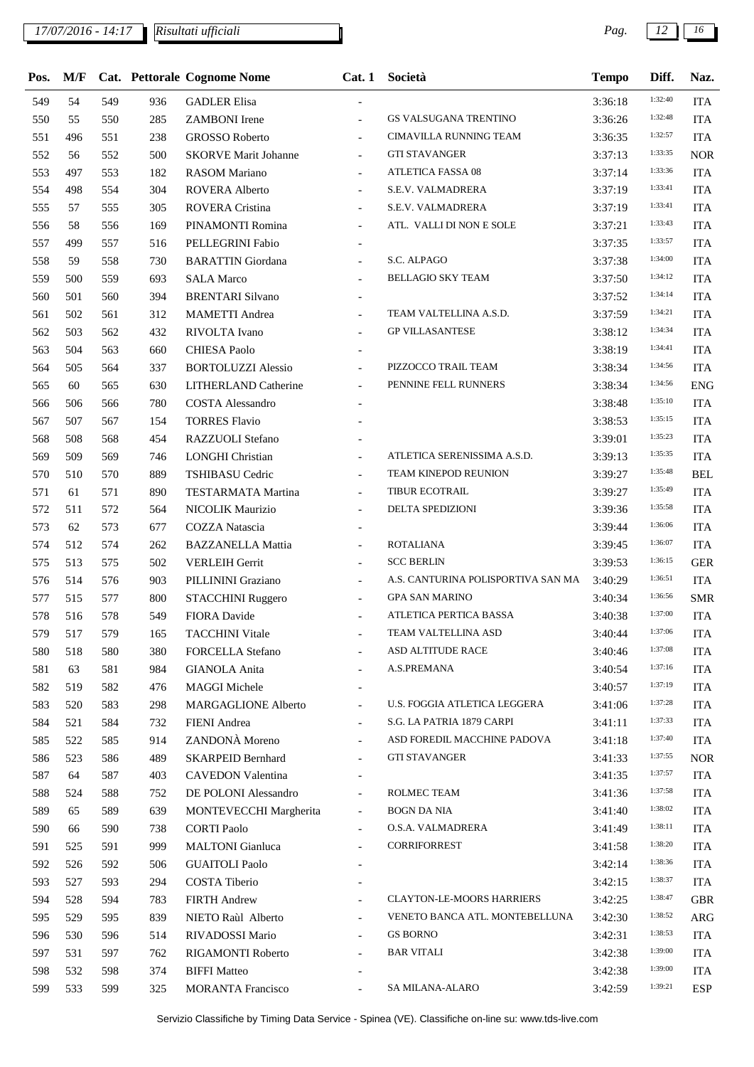| Pos. | M/F |     |     | <b>Cat.</b> Pettorale Cognome Nome | Cat.1                    | Società                            | <b>Tempo</b> | Diff.   | Naz.       |
|------|-----|-----|-----|------------------------------------|--------------------------|------------------------------------|--------------|---------|------------|
| 549  | 54  | 549 | 936 | <b>GADLER Elisa</b>                | $\overline{\phantom{a}}$ |                                    | 3:36:18      | 1:32:40 | <b>ITA</b> |
| 550  | 55  | 550 | 285 | <b>ZAMBONI</b> Irene               | $\blacksquare$           | GS VALSUGANA TRENTINO              | 3:36:26      | 1:32:48 | <b>ITA</b> |
| 551  | 496 | 551 | 238 | <b>GROSSO Roberto</b>              | $\blacksquare$           | CIMAVILLA RUNNING TEAM             | 3:36:35      | 1:32:57 | <b>ITA</b> |
| 552  | 56  | 552 | 500 | <b>SKORVE Marit Johanne</b>        | $\overline{\phantom{a}}$ | <b>GTI STAVANGER</b>               | 3:37:13      | 1:33:35 | <b>NOR</b> |
| 553  | 497 | 553 | 182 | <b>RASOM Mariano</b>               | $\blacksquare$           | <b>ATLETICA FASSA 08</b>           | 3:37:14      | 1:33:36 | <b>ITA</b> |
| 554  | 498 | 554 | 304 | ROVERA Alberto                     | $\blacksquare$           | S.E.V. VALMADRERA                  | 3:37:19      | 1:33:41 | <b>ITA</b> |
| 555  | 57  | 555 | 305 | ROVERA Cristina                    | $\blacksquare$           | S.E.V. VALMADRERA                  | 3:37:19      | 1:33:41 | <b>ITA</b> |
| 556  | 58  | 556 | 169 | PINAMONTI Romina                   | $\overline{\phantom{a}}$ | ATL. VALLI DI NON E SOLE           | 3:37:21      | 1:33:43 | <b>ITA</b> |
| 557  | 499 | 557 | 516 | PELLEGRINI Fabio                   |                          |                                    | 3:37:35      | 1:33:57 | <b>ITA</b> |
| 558  | 59  | 558 | 730 | <b>BARATTIN</b> Giordana           | $\blacksquare$           | S.C. ALPAGO                        | 3:37:38      | 1:34:00 | <b>ITA</b> |
| 559  | 500 | 559 | 693 | <b>SALA Marco</b>                  | $\overline{\phantom{a}}$ | BELLAGIO SKY TEAM                  | 3:37:50      | 1:34:12 | <b>ITA</b> |
| 560  | 501 | 560 | 394 | <b>BRENTARI Silvano</b>            |                          |                                    | 3:37:52      | 1:34:14 | <b>ITA</b> |
| 561  | 502 | 561 | 312 | <b>MAMETTI</b> Andrea              | $\blacksquare$           | TEAM VALTELLINA A.S.D.             | 3:37:59      | 1:34:21 | <b>ITA</b> |
| 562  | 503 | 562 | 432 | RIVOLTA Ivano                      | $\overline{\phantom{a}}$ | <b>GP VILLASANTESE</b>             | 3:38:12      | 1:34:34 | <b>ITA</b> |
| 563  | 504 | 563 | 660 | <b>CHIESA Paolo</b>                |                          |                                    | 3:38:19      | 1:34:41 | <b>ITA</b> |
| 564  | 505 | 564 | 337 | <b>BORTOLUZZI Alessio</b>          | $\blacksquare$           | PIZZOCCO TRAIL TEAM                | 3:38:34      | 1:34:56 | <b>ITA</b> |
| 565  | 60  | 565 | 630 | <b>LITHERLAND Catherine</b>        | $\overline{\phantom{a}}$ | PENNINE FELL RUNNERS               | 3:38:34      | 1:34:56 | <b>ENG</b> |
| 566  | 506 | 566 | 780 | <b>COSTA Alessandro</b>            |                          |                                    | 3:38:48      | 1:35:10 | <b>ITA</b> |
| 567  | 507 | 567 | 154 | <b>TORRES Flavio</b>               |                          |                                    | 3:38:53      | 1:35:15 | <b>ITA</b> |
| 568  | 508 | 568 | 454 | RAZZUOLI Stefano                   |                          |                                    | 3:39:01      | 1:35:23 | <b>ITA</b> |
| 569  | 509 | 569 | 746 | <b>LONGHI Christian</b>            | $\blacksquare$           | ATLETICA SERENISSIMA A.S.D.        | 3:39:13      | 1:35:35 | <b>ITA</b> |
| 570  | 510 | 570 | 889 | <b>TSHIBASU Cedric</b>             | $\overline{\phantom{a}}$ | TEAM KINEPOD REUNION               | 3:39:27      | 1:35:48 | <b>BEL</b> |
| 571  | 61  | 571 | 890 | <b>TESTARMATA Martina</b>          | $\overline{\phantom{a}}$ | TIBUR ECOTRAIL                     | 3:39:27      | 1:35:49 | <b>ITA</b> |
| 572  | 511 | 572 | 564 | NICOLIK Maurizio                   | $\overline{\phantom{a}}$ | DELTA SPEDIZIONI                   | 3:39:36      | 1:35:58 | <b>ITA</b> |
| 573  | 62  | 573 | 677 | COZZA Natascia                     |                          |                                    | 3:39:44      | 1:36:06 | <b>ITA</b> |
| 574  | 512 | 574 | 262 | <b>BAZZANELLA Mattia</b>           | $\overline{\phantom{a}}$ | <b>ROTALIANA</b>                   | 3:39:45      | 1:36:07 | <b>ITA</b> |
| 575  | 513 | 575 | 502 | <b>VERLEIH Gerrit</b>              | $\blacksquare$           | <b>SCC BERLIN</b>                  | 3:39:53      | 1:36:15 | <b>GER</b> |
| 576  | 514 | 576 | 903 | PILLININI Graziano                 | $\blacksquare$           | A.S. CANTURINA POLISPORTIVA SAN MA | 3:40:29      | 1:36:51 | <b>ITA</b> |
| 577  | 515 | 577 | 800 | STACCHINI Ruggero                  | $\overline{\phantom{a}}$ | <b>GPA SAN MARINO</b>              | 3:40:34      | 1:36:56 | <b>SMR</b> |
| 578  | 516 | 578 | 549 | FIORA Davide                       | $\blacksquare$           | ATLETICA PERTICA BASSA             | 3:40:38      | 1:37:00 | <b>ITA</b> |
| 579  | 517 | 579 | 165 | <b>TACCHINI Vitale</b>             |                          | TEAM VALTELLINA ASD                | 3:40:44      | 1:37:06 | <b>ITA</b> |
| 580  | 518 | 580 | 380 | <b>FORCELLA Stefano</b>            | $\overline{\phantom{a}}$ | ASD ALTITUDE RACE                  | 3:40:46      | 1:37:08 | <b>ITA</b> |
| 581  | 63  | 581 | 984 | <b>GIANOLA</b> Anita               |                          | A.S.PREMANA                        | 3:40:54      | 1:37:16 | <b>ITA</b> |
| 582  | 519 | 582 | 476 | <b>MAGGI Michele</b>               |                          |                                    | 3:40:57      | 1:37:19 | <b>ITA</b> |
| 583  | 520 | 583 | 298 | <b>MARGAGLIONE Alberto</b>         | $\overline{\phantom{a}}$ | U.S. FOGGIA ATLETICA LEGGERA       | 3:41:06      | 1:37:28 | <b>ITA</b> |
| 584  | 521 | 584 | 732 | FIENI Andrea                       |                          | S.G. LA PATRIA 1879 CARPI          | 3:41:11      | 1:37:33 | <b>ITA</b> |
| 585  | 522 | 585 | 914 | ZANDONÀ Moreno                     | $\blacksquare$           | ASD FOREDIL MACCHINE PADOVA        | 3:41:18      | 1:37:40 | <b>ITA</b> |
| 586  | 523 | 586 | 489 | <b>SKARPEID Bernhard</b>           | $\overline{\phantom{a}}$ | <b>GTI STAVANGER</b>               | 3:41:33      | 1:37:55 | <b>NOR</b> |
| 587  | 64  | 587 | 403 | <b>CAVEDON Valentina</b>           |                          |                                    | 3:41:35      | 1:37:57 | <b>ITA</b> |
| 588  | 524 | 588 | 752 | DE POLONI Alessandro               | $\blacksquare$           | ROLMEC TEAM                        | 3:41:36      | 1:37:58 | <b>ITA</b> |
| 589  | 65  | 589 | 639 | MONTEVECCHI Margherita             | $\overline{\phantom{a}}$ | <b>BOGN DA NIA</b>                 | 3:41:40      | 1:38:02 | <b>ITA</b> |
| 590  | 66  | 590 | 738 | <b>CORTI Paolo</b>                 |                          | O.S.A. VALMADRERA                  | 3:41:49      | 1:38:11 | <b>ITA</b> |
| 591  | 525 | 591 | 999 | <b>MALTONI</b> Gianluca            | $\blacksquare$           | <b>CORRIFORREST</b>                | 3:41:58      | 1:38:20 | <b>ITA</b> |
| 592  | 526 | 592 | 506 | <b>GUAITOLI Paolo</b>              |                          |                                    | 3:42:14      | 1:38:36 | <b>ITA</b> |
| 593  | 527 | 593 | 294 | COSTA Tiberio                      |                          |                                    | 3:42:15      | 1:38:37 | <b>ITA</b> |
| 594  | 528 | 594 | 783 | <b>FIRTH Andrew</b>                | $\blacksquare$           | <b>CLAYTON-LE-MOORS HARRIERS</b>   | 3:42:25      | 1:38:47 | <b>GBR</b> |
| 595  | 529 | 595 | 839 | NIETO Raùl Alberto                 | $\overline{\phantom{a}}$ | VENETO BANCA ATL. MONTEBELLUNA     | 3:42:30      | 1:38:52 | <b>ARG</b> |
| 596  | 530 | 596 | 514 | RIVADOSSI Mario                    | $\overline{\phantom{a}}$ | <b>GS BORNO</b>                    | 3:42:31      | 1:38:53 | <b>ITA</b> |
| 597  | 531 | 597 | 762 | RIGAMONTI Roberto                  | $\blacksquare$           | <b>BAR VITALI</b>                  | 3:42:38      | 1:39:00 | <b>ITA</b> |
| 598  | 532 | 598 | 374 | <b>BIFFI Matteo</b>                |                          |                                    | 3:42:38      | 1:39:00 | <b>ITA</b> |
| 599  | 533 | 599 | 325 | <b>MORANTA Francisco</b>           |                          | SA MILANA-ALARO                    | 3:42:59      | 1:39:21 | <b>ESP</b> |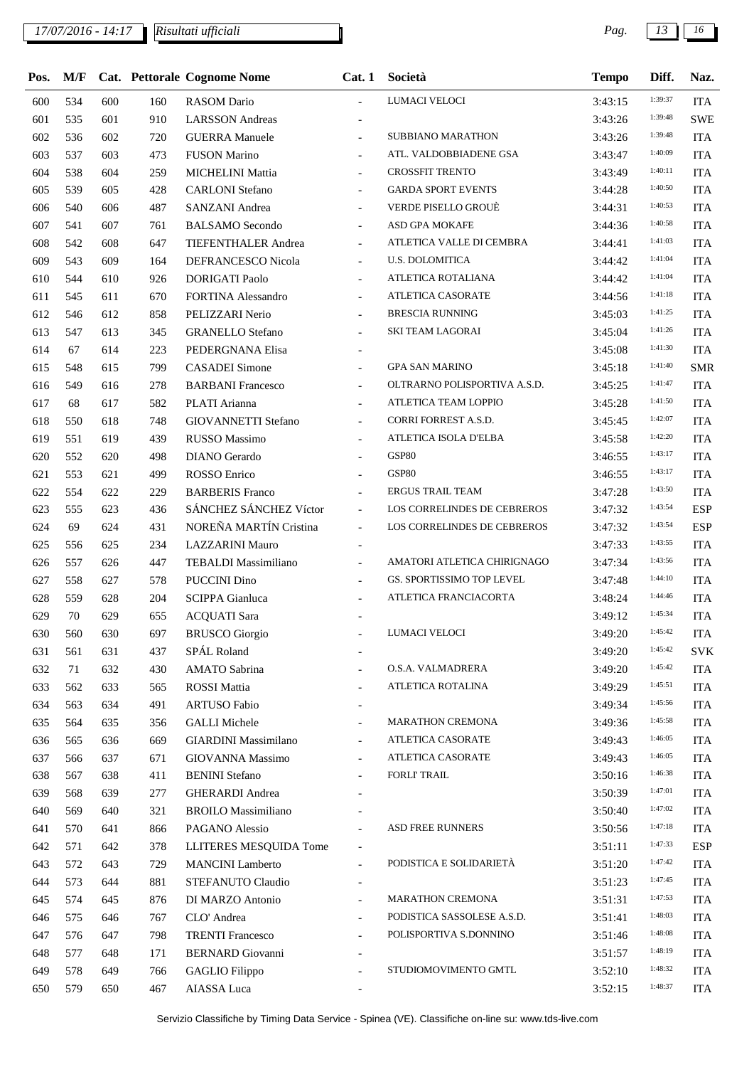| Pos. | M/F |     |     | Cat. Pettorale Cognome Nome | Cat.1                    | Società                      | <b>Tempo</b> | Diff.   | Naz.       |
|------|-----|-----|-----|-----------------------------|--------------------------|------------------------------|--------------|---------|------------|
| 600  | 534 | 600 | 160 | <b>RASOM</b> Dario          |                          | LUMACI VELOCI                | 3:43:15      | 1:39:37 | <b>ITA</b> |
| 601  | 535 | 601 | 910 | <b>LARSSON</b> Andreas      |                          |                              | 3:43:26      | 1:39:48 | <b>SWE</b> |
| 602  | 536 | 602 | 720 | <b>GUERRA Manuele</b>       | $\overline{\phantom{a}}$ | <b>SUBBIANO MARATHON</b>     | 3:43:26      | 1:39:48 | <b>ITA</b> |
| 603  | 537 | 603 | 473 | <b>FUSON Marino</b>         | $\blacksquare$           | ATL. VALDOBBIADENE GSA       | 3:43:47      | 1:40:09 | <b>ITA</b> |
| 604  | 538 | 604 | 259 | MICHELINI Mattia            | $\blacksquare$           | <b>CROSSFIT TRENTO</b>       | 3:43:49      | 1:40:11 | <b>ITA</b> |
| 605  | 539 | 605 | 428 | <b>CARLONI</b> Stefano      | $\overline{\phantom{a}}$ | <b>GARDA SPORT EVENTS</b>    | 3:44:28      | 1:40:50 | <b>ITA</b> |
| 606  | 540 | 606 | 487 | SANZANI Andrea              | $\blacksquare$           | <b>VERDE PISELLO GROUÈ</b>   | 3:44:31      | 1:40:53 | <b>ITA</b> |
| 607  | 541 | 607 | 761 | <b>BALSAMO</b> Secondo      | $\blacksquare$           | ASD GPA MOKAFE               | 3:44:36      | 1:40:58 | <b>ITA</b> |
| 608  | 542 | 608 | 647 | TIEFENTHALER Andrea         | $\blacksquare$           | ATLETICA VALLE DI CEMBRA     | 3:44:41      | 1:41:03 | <b>ITA</b> |
| 609  | 543 | 609 | 164 | DEFRANCESCO Nicola          | $\blacksquare$           | <b>U.S. DOLOMITICA</b>       | 3:44:42      | 1:41:04 | <b>ITA</b> |
| 610  | 544 | 610 | 926 | <b>DORIGATI Paolo</b>       | $\blacksquare$           | ATLETICA ROTALIANA           | 3:44:42      | 1:41:04 | <b>ITA</b> |
| 611  | 545 | 611 | 670 | FORTINA Alessandro          | $\overline{\phantom{a}}$ | ATLETICA CASORATE            | 3:44:56      | 1:41:18 | <b>ITA</b> |
| 612  | 546 | 612 | 858 | PELIZZARI Nerio             | $\blacksquare$           | <b>BRESCIA RUNNING</b>       | 3:45:03      | 1:41:25 | <b>ITA</b> |
| 613  | 547 | 613 | 345 | <b>GRANELLO Stefano</b>     | $\blacksquare$           | <b>SKI TEAM LAGORAI</b>      | 3:45:04      | 1:41:26 | <b>ITA</b> |
| 614  | 67  | 614 | 223 | PEDERGNANA Elisa            |                          |                              | 3:45:08      | 1:41:30 | <b>ITA</b> |
| 615  | 548 | 615 | 799 | <b>CASADEI</b> Simone       | $\overline{\phantom{a}}$ | <b>GPA SAN MARINO</b>        | 3:45:18      | 1:41:40 | <b>SMR</b> |
| 616  | 549 | 616 | 278 | <b>BARBANI</b> Francesco    | $\blacksquare$           | OLTRARNO POLISPORTIVA A.S.D. | 3:45:25      | 1:41:47 | <b>ITA</b> |
| 617  | 68  | 617 | 582 | PLATI Arianna               |                          | ATLETICA TEAM LOPPIO         | 3:45:28      | 1:41:50 | <b>ITA</b> |
| 618  | 550 | 618 | 748 | GIOVANNETTI Stefano         | $\overline{\phantom{a}}$ | CORRI FORREST A.S.D.         | 3:45:45      | 1:42:07 | <b>ITA</b> |
| 619  | 551 | 619 | 439 | <b>RUSSO Massimo</b>        | $\blacksquare$           | ATLETICA ISOLA D'ELBA        | 3:45:58      | 1:42:20 | <b>ITA</b> |
| 620  | 552 | 620 | 498 | <b>DIANO</b> Gerardo        |                          | <b>GSP80</b>                 | 3:46:55      | 1:43:17 | <b>ITA</b> |
| 621  | 553 | 621 | 499 | ROSSO Enrico                | $\overline{\phantom{a}}$ | <b>GSP80</b>                 | 3:46:55      | 1:43:17 | <b>ITA</b> |
| 622  | 554 | 622 | 229 | <b>BARBERIS</b> Franco      | $\blacksquare$           | <b>ERGUS TRAIL TEAM</b>      | 3:47:28      | 1:43:50 | <b>ITA</b> |
| 623  | 555 | 623 | 436 | SÁNCHEZ SÁNCHEZ Víctor      | $\mathcal{L}$            | LOS CORRELINDES DE CEBREROS  | 3:47:32      | 1:43:54 | <b>ESP</b> |
| 624  | 69  | 624 | 431 | NOREÑA MARTÍN Cristina      | $\overline{\phantom{a}}$ | LOS CORRELINDES DE CEBREROS  | 3:47:32      | 1:43:54 | <b>ESP</b> |
| 625  | 556 | 625 | 234 | <b>LAZZARINI Mauro</b>      |                          |                              | 3:47:33      | 1:43:55 | <b>ITA</b> |
| 626  | 557 | 626 | 447 | <b>TEBALDI</b> Massimiliano | $\blacksquare$           | AMATORI ATLETICA CHIRIGNAGO  | 3:47:34      | 1:43:56 | <b>ITA</b> |
| 627  | 558 | 627 | 578 | <b>PUCCINI Dino</b>         | $\blacksquare$           | GS. SPORTISSIMO TOP LEVEL    | 3:47:48      | 1:44:10 | <b>ITA</b> |
| 628  | 559 | 628 | 204 | <b>SCIPPA</b> Gianluca      |                          | ATLETICA FRANCIACORTA        | 3:48:24      | 1:44:46 | <b>ITA</b> |
| 629  | 70  | 629 | 655 | <b>ACQUATI</b> Sara         |                          |                              | 3:49:12      | 1:45:34 | <b>ITA</b> |
| 630  | 560 | 630 | 697 | <b>BRUSCO</b> Giorgio       |                          | LUMACI VELOCI                | 3:49:20      | 1:45:42 | <b>ITA</b> |
| 631  | 561 | 631 | 437 | SPÁL Roland                 |                          |                              | 3:49:20      | 1:45:42 | <b>SVK</b> |
| 632  | 71  | 632 | 430 | <b>AMATO Sabrina</b>        |                          | O.S.A. VALMADRERA            | 3:49:20      | 1:45:42 | <b>ITA</b> |
| 633  | 562 | 633 | 565 | <b>ROSSI</b> Mattia         | $\blacksquare$           | ATLETICA ROTALINA            | 3:49:29      | 1:45:51 | <b>ITA</b> |
| 634  | 563 | 634 | 491 | <b>ARTUSO Fabio</b>         |                          |                              | 3:49:34      | 1:45:56 | <b>ITA</b> |
| 635  | 564 | 635 | 356 | <b>GALLI</b> Michele        | $\overline{\phantom{a}}$ | <b>MARATHON CREMONA</b>      | 3:49:36      | 1:45:58 | <b>ITA</b> |
| 636  | 565 | 636 | 669 | <b>GIARDINI</b> Massimilano | $\overline{\phantom{a}}$ | ATLETICA CASORATE            | 3:49:43      | 1:46:05 | <b>ITA</b> |
| 637  | 566 | 637 | 671 | GIOVANNA Massimo            |                          | ATLETICA CASORATE            | 3:49:43      | 1:46:05 | <b>ITA</b> |
| 638  | 567 | 638 | 411 | <b>BENINI</b> Stefano       |                          | <b>FORLI' TRAIL</b>          | 3:50:16      | 1:46:38 | <b>ITA</b> |
| 639  | 568 | 639 | 277 | <b>GHERARDI</b> Andrea      |                          |                              | 3:50:39      | 1:47:01 | <b>ITA</b> |
| 640  | 569 | 640 | 321 | <b>BROILO Massimiliano</b>  |                          |                              | 3:50:40      | 1:47:02 | <b>ITA</b> |
| 641  | 570 | 641 | 866 | PAGANO Alessio              |                          | ASD FREE RUNNERS             | 3:50:56      | 1:47:18 | <b>ITA</b> |
| 642  | 571 | 642 | 378 | LLITERES MESQUIDA Tome      | $\overline{\phantom{a}}$ |                              | 3:51:11      | 1:47:33 | <b>ESP</b> |
| 643  | 572 | 643 | 729 | <b>MANCINI</b> Lamberto     | $\overline{\phantom{a}}$ | PODISTICA E SOLIDARIETÀ      | 3:51:20      | 1:47:42 | <b>ITA</b> |
| 644  | 573 | 644 | 881 | STEFANUTO Claudio           | $\overline{\phantom{a}}$ |                              | 3:51:23      | 1:47:45 | <b>ITA</b> |
| 645  | 574 | 645 | 876 | DI MARZO Antonio            | $\overline{\phantom{a}}$ | MARATHON CREMONA             | 3:51:31      | 1:47:53 | <b>ITA</b> |
| 646  | 575 | 646 | 767 | CLO' Andrea                 | $\overline{\phantom{a}}$ | PODISTICA SASSOLESE A.S.D.   | 3:51:41      | 1:48:03 | <b>ITA</b> |
| 647  | 576 | 647 | 798 | <b>TRENTI Francesco</b>     |                          | POLISPORTIVA S.DONNINO       | 3:51:46      | 1:48:08 | <b>ITA</b> |
| 648  | 577 | 648 | 171 | <b>BERNARD</b> Giovanni     | $\overline{\phantom{a}}$ |                              | 3:51:57      | 1:48:19 | <b>ITA</b> |
| 649  | 578 | 649 | 766 | <b>GAGLIO</b> Filippo       |                          | STUDIOMOVIMENTO GMTL         | 3:52:10      | 1:48:32 | <b>ITA</b> |
| 650  | 579 | 650 | 467 | AIASSA Luca                 |                          |                              | 3:52:15      | 1:48:37 | <b>ITA</b> |
|      |     |     |     |                             |                          |                              |              |         |            |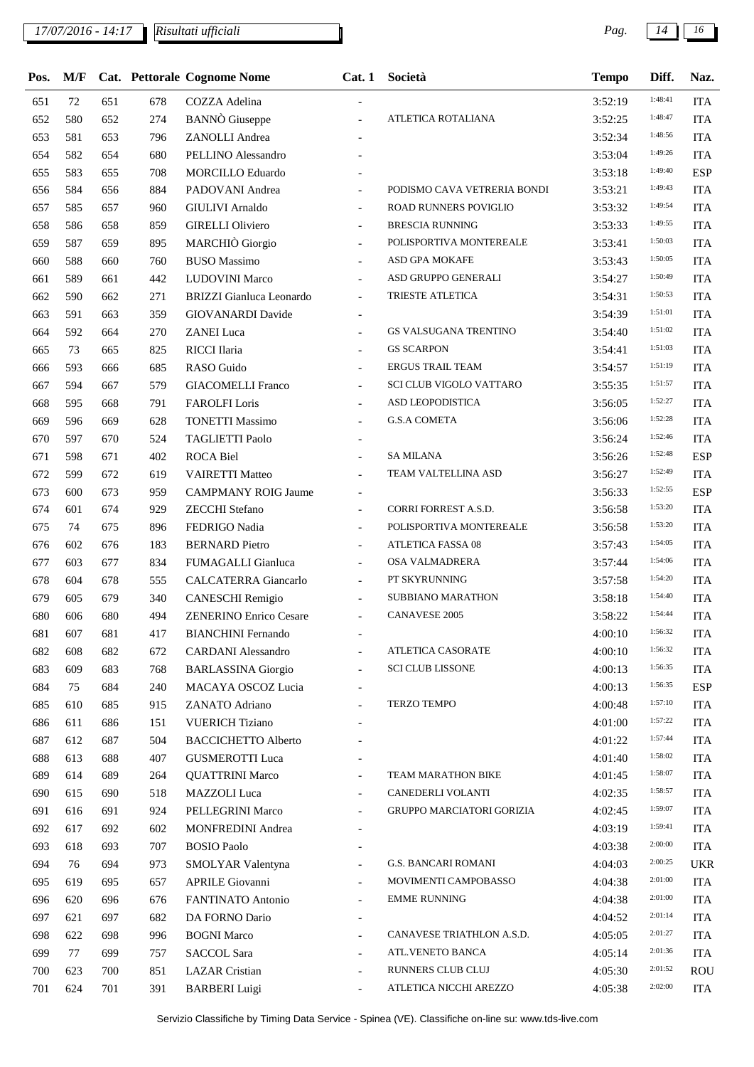| Pos. | M/F |     |     | Cat. Pettorale Cognome Nome     | Cat.1                    | Società                          | <b>Tempo</b> | Diff.   | Naz.       |
|------|-----|-----|-----|---------------------------------|--------------------------|----------------------------------|--------------|---------|------------|
| 651  | 72  | 651 | 678 | COZZA Adelina                   |                          |                                  | 3:52:19      | 1:48:41 | <b>ITA</b> |
| 652  | 580 | 652 | 274 | <b>BANNO</b> Giuseppe           |                          | ATLETICA ROTALIANA               | 3:52:25      | 1:48:47 | <b>ITA</b> |
| 653  | 581 | 653 | 796 | ZANOLLI Andrea                  |                          |                                  | 3:52:34      | 1:48:56 | <b>ITA</b> |
| 654  | 582 | 654 | 680 | PELLINO Alessandro              |                          |                                  | 3:53:04      | 1:49:26 | <b>ITA</b> |
| 655  | 583 | 655 | 708 | MORCILLO Eduardo                |                          |                                  | 3:53:18      | 1:49:40 | <b>ESP</b> |
| 656  | 584 | 656 | 884 | PADOVANI Andrea                 | $\overline{\phantom{a}}$ | PODISMO CAVA VETRERIA BONDI      | 3:53:21      | 1:49:43 | <b>ITA</b> |
| 657  | 585 | 657 | 960 | <b>GIULIVI</b> Arnaldo          | $\blacksquare$           | ROAD RUNNERS POVIGLIO            | 3:53:32      | 1:49:54 | <b>ITA</b> |
| 658  | 586 | 658 | 859 | <b>GIRELLI Oliviero</b>         | $\overline{\phantom{a}}$ | <b>BRESCIA RUNNING</b>           | 3:53:33      | 1:49:55 | <b>ITA</b> |
| 659  | 587 | 659 | 895 | MARCHIÒ Giorgio                 | $\overline{\phantom{a}}$ | POLISPORTIVA MONTEREALE          | 3:53:41      | 1:50:03 | <b>ITA</b> |
| 660  | 588 | 660 | 760 | <b>BUSO</b> Massimo             | $\blacksquare$           | ASD GPA MOKAFE                   | 3:53:43      | 1:50:05 | <b>ITA</b> |
| 661  | 589 | 661 | 442 | <b>LUDOVINI Marco</b>           |                          | ASD GRUPPO GENERALI              | 3:54:27      | 1:50:49 | <b>ITA</b> |
| 662  | 590 | 662 | 271 | <b>BRIZZI</b> Gianluca Leonardo | $\overline{\phantom{a}}$ | TRIESTE ATLETICA                 | 3:54:31      | 1:50:53 | <b>ITA</b> |
| 663  | 591 | 663 | 359 | <b>GIOVANARDI</b> Davide        |                          |                                  | 3:54:39      | 1:51:01 | <b>ITA</b> |
| 664  | 592 | 664 | 270 | <b>ZANEI</b> Luca               |                          | <b>GS VALSUGANA TRENTINO</b>     | 3:54:40      | 1:51:02 | <b>ITA</b> |
| 665  | 73  | 665 | 825 | RICCI Ilaria                    | $\overline{\phantom{a}}$ | <b>GS SCARPON</b>                | 3:54:41      | 1:51:03 | <b>ITA</b> |
| 666  | 593 | 666 | 685 | RASO Guido                      | $\overline{\phantom{a}}$ | <b>ERGUS TRAIL TEAM</b>          | 3:54:57      | 1:51:19 | <b>ITA</b> |
| 667  | 594 | 667 | 579 | <b>GIACOMELLI Franco</b>        | $\overline{\phantom{a}}$ | <b>SCI CLUB VIGOLO VATTARO</b>   | 3:55:35      | 1:51:57 | <b>ITA</b> |
| 668  | 595 | 668 | 791 | <b>FAROLFI</b> Loris            | $\overline{\phantom{a}}$ | ASD LEOPODISTICA                 | 3:56:05      | 1:52:27 | <b>ITA</b> |
| 669  | 596 | 669 | 628 | <b>TONETTI Massimo</b>          | $\overline{\phantom{a}}$ | <b>G.S.A COMETA</b>              | 3:56:06      | 1:52:28 | <b>ITA</b> |
| 670  | 597 | 670 | 524 | <b>TAGLIETTI Paolo</b>          |                          |                                  | 3:56:24      | 1:52:46 | <b>ITA</b> |
| 671  | 598 | 671 | 402 | ROCA Biel                       | $\overline{a}$           | <b>SA MILANA</b>                 | 3:56:26      | 1:52:48 | <b>ESP</b> |
| 672  | 599 | 672 | 619 | <b>VAIRETTI Matteo</b>          | $\overline{\phantom{a}}$ | TEAM VALTELLINA ASD              | 3:56:27      | 1:52:49 | <b>ITA</b> |
| 673  | 600 | 673 | 959 | <b>CAMPMANY ROIG Jaume</b>      |                          |                                  | 3:56:33      | 1:52:55 | <b>ESP</b> |
| 674  | 601 | 674 | 929 | <b>ZECCHI</b> Stefano           | $\overline{\phantom{a}}$ | CORRI FORREST A.S.D.             | 3:56:58      | 1:53:20 | <b>ITA</b> |
| 675  | 74  | 675 | 896 | FEDRIGO Nadia                   | $\blacksquare$           | POLISPORTIVA MONTEREALE          | 3:56:58      | 1:53:20 | <b>ITA</b> |
| 676  | 602 | 676 | 183 | <b>BERNARD</b> Pietro           |                          | <b>ATLETICA FASSA 08</b>         | 3:57:43      | 1:54:05 | <b>ITA</b> |
| 677  | 603 | 677 | 834 | FUMAGALLI Gianluca              | $\overline{\phantom{a}}$ | OSA VALMADRERA                   | 3:57:44      | 1:54:06 | <b>ITA</b> |
| 678  | 604 | 678 | 555 | CALCATERRA Giancarlo            | $\blacksquare$           | PT SKYRUNNING                    | 3:57:58      | 1:54:20 | <b>ITA</b> |
| 679  | 605 | 679 | 340 | CANESCHI Remigio                | $\overline{\phantom{a}}$ | <b>SUBBIANO MARATHON</b>         | 3:58:18      | 1:54:40 | <b>ITA</b> |
| 680  | 606 | 680 | 494 | <b>ZENERINO Enrico Cesare</b>   | $\overline{\phantom{a}}$ | <b>CANAVESE 2005</b>             | 3:58:22      | 1:54:44 | <b>ITA</b> |
| 681  | 607 | 681 | 417 | <b>BIANCHINI</b> Fernando       |                          |                                  | 4:00:10      | 1:56:32 | <b>ITA</b> |
| 682  | 608 | 682 | 672 | <b>CARDANI</b> Alessandro       | $\overline{\phantom{a}}$ | ATLETICA CASORATE                | 4:00:10      | 1:56:32 | <b>ITA</b> |
| 683  | 609 | 683 | 768 | <b>BARLASSINA Giorgio</b>       | $\overline{a}$           | <b>SCI CLUB LISSONE</b>          | 4:00:13      | 1:56:35 | <b>ITA</b> |
| 684  | 75  | 684 | 240 | MACAYA OSCOZ Lucia              |                          |                                  | 4:00:13      | 1:56:35 | <b>ESP</b> |
| 685  | 610 | 685 | 915 | ZANATO Adriano                  |                          | <b>TERZO TEMPO</b>               | 4:00:48      | 1:57:10 | <b>ITA</b> |
| 686  | 611 | 686 | 151 | <b>VUERICH Tiziano</b>          |                          |                                  | 4:01:00      | 1:57:22 | <b>ITA</b> |
| 687  | 612 | 687 | 504 | <b>BACCICHETTO Alberto</b>      |                          |                                  | 4:01:22      | 1:57:44 | <b>ITA</b> |
| 688  | 613 | 688 | 407 | <b>GUSMEROTTI Luca</b>          |                          |                                  | 4:01:40      | 1:58:02 | <b>ITA</b> |
| 689  | 614 | 689 | 264 | <b>QUATTRINI Marco</b>          | Ξ.                       | TEAM MARATHON BIKE               | 4:01:45      | 1:58:07 | <b>ITA</b> |
| 690  | 615 | 690 | 518 | MAZZOLI Luca                    | $\blacksquare$           | CANEDERLI VOLANTI                | 4:02:35      | 1:58:57 | <b>ITA</b> |
| 691  | 616 | 691 | 924 | PELLEGRINI Marco                |                          | <b>GRUPPO MARCIATORI GORIZIA</b> | 4:02:45      | 1:59:07 | <b>ITA</b> |
| 692  | 617 | 692 | 602 | <b>MONFREDINI Andrea</b>        |                          |                                  | 4:03:19      | 1:59:41 | <b>ITA</b> |
| 693  | 618 | 693 | 707 | <b>BOSIO Paolo</b>              |                          |                                  | 4:03:38      | 2:00:00 | <b>ITA</b> |
| 694  | 76  | 694 | 973 | SMOLYAR Valentyna               | $\overline{\phantom{a}}$ | G.S. BANCARI ROMANI              | 4:04:03      | 2:00:25 | <b>UKR</b> |
| 695  | 619 | 695 | 657 | <b>APRILE Giovanni</b>          | $\overline{\phantom{a}}$ | MOVIMENTI CAMPOBASSO             | 4:04:38      | 2:01:00 | <b>ITA</b> |
| 696  | 620 | 696 | 676 | FANTINATO Antonio               | $\overline{\phantom{a}}$ | <b>EMME RUNNING</b>              | 4:04:38      | 2:01:00 | <b>ITA</b> |
| 697  | 621 | 697 | 682 | DA FORNO Dario                  |                          |                                  | 4:04:52      | 2:01:14 | <b>ITA</b> |
| 698  | 622 | 698 | 996 | <b>BOGNI</b> Marco              | Ξ.                       | CANAVESE TRIATHLON A.S.D.        | 4:05:05      | 2:01:27 | <b>ITA</b> |
| 699  | 77  | 699 | 757 | SACCOL Sara                     |                          | ATL.VENETO BANCA                 | 4:05:14      | 2:01:36 | <b>ITA</b> |
| 700  | 623 | 700 | 851 | <b>LAZAR</b> Cristian           |                          | RUNNERS CLUB CLUJ                | 4:05:30      | 2:01:52 | ROU        |
| 701  | 624 | 701 | 391 | <b>BARBERI</b> Luigi            | $\overline{\phantom{a}}$ | ATLETICA NICCHI AREZZO           | 4:05:38      | 2:02:00 | <b>ITA</b> |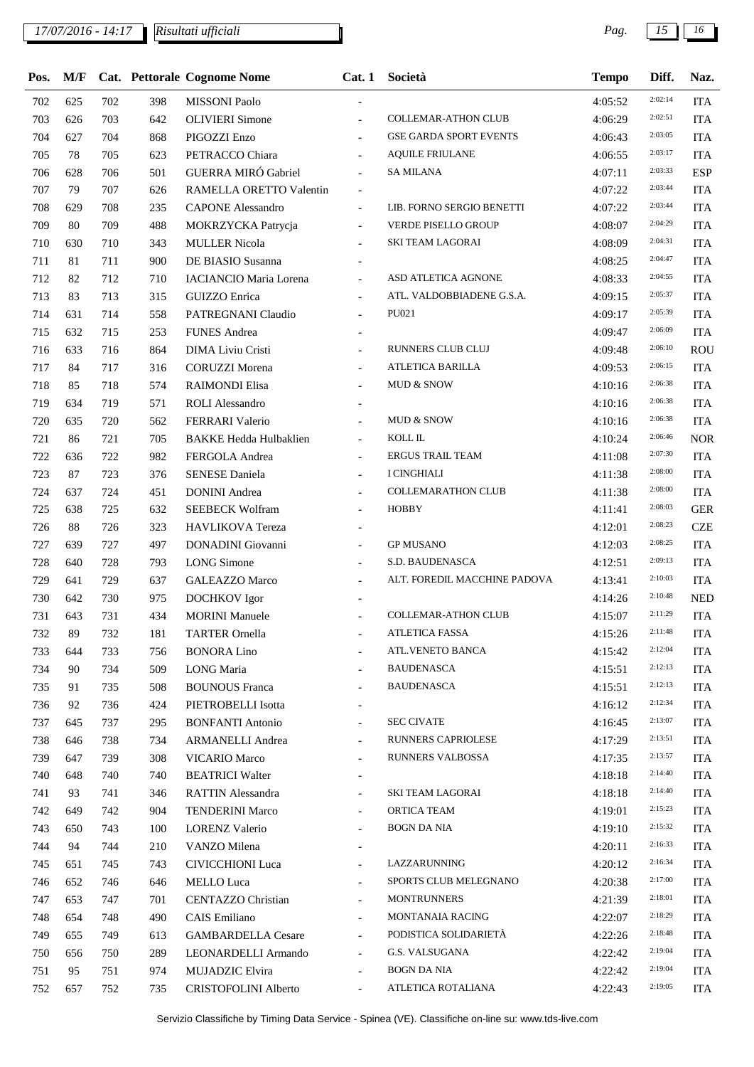## *17/07/2016 - 14:17 Pag. 15 16*

| 2:02:14<br>702<br>625<br>702<br>398<br><b>MISSONI Paolo</b><br>4:05:52<br><b>ITA</b><br>2:02:51<br><b>COLLEMAR-ATHON CLUB</b><br><b>ITA</b><br>703<br>626<br>703<br>642<br><b>OLIVIERI</b> Simone<br>4:06:29<br>2:03:05<br>704<br>704<br>PIGOZZI Enzo<br><b>GSE GARDA SPORT EVENTS</b><br><b>ITA</b><br>627<br>868<br>4:06:43<br>$\overline{\phantom{a}}$<br>2:03:17<br>705<br>78<br>705<br>PETRACCO Chiara<br><b>AQUILE FRIULANE</b><br><b>ITA</b><br>623<br>4:06:55<br>$\overline{a}$<br>2:03:33<br><b>ESP</b><br><b>GUERRA MIRÓ Gabriel</b><br><b>SA MILANA</b><br>706<br>628<br>706<br>501<br>4:07:11<br>$\overline{a}$<br>2:03:44<br>707<br>79<br>707<br>RAMELLA ORETTO Valentin<br><b>ITA</b><br>626<br>4:07:22<br>$\overline{\phantom{a}}$<br>2:03:44<br>LIB. FORNO SERGIO BENETTI<br>708<br>708<br>235<br><b>CAPONE</b> Alessandro<br><b>ITA</b><br>629<br>4:07:22<br>÷.<br>2:04:29<br>709<br><b>VERDE PISELLO GROUP</b><br><b>ITA</b><br>80<br>709<br>488<br>MOKRZYCKA Patrycja<br>4:08:07<br>$\blacksquare$<br>2:04:31<br>710<br>710<br>343<br><b>MULLER Nicola</b><br><b>SKI TEAM LAGORAI</b><br><b>ITA</b><br>630<br>4:08:09<br>2:04:47<br>711<br>711<br>900<br><b>ITA</b><br>81<br>DE BIASIO Susanna<br>4:08:25<br>2:04:55<br>ASD ATLETICA AGNONE<br>712<br><b>ITA</b><br>82<br>712<br>710<br><b>IACIANCIO Maria Lorena</b><br>4:08:33<br>$\frac{1}{2}$<br>2:05:37<br>713<br>83<br>713<br>ATL. VALDOBBIADENE G.S.A.<br><b>ITA</b><br>315<br><b>GUIZZO</b> Enrica<br>4:09:15<br>$\overline{\phantom{a}}$<br>PU021<br>2:05:39<br>714<br>714<br>558<br><b>ITA</b><br>631<br>PATREGNANI Claudio<br>4:09:17<br>$\overline{\phantom{a}}$<br>2:06:09<br>715<br><b>FUNES</b> Andrea<br><b>ITA</b><br>632<br>715<br>253<br>4:09:47<br>2:06:10<br>ROU<br>716<br>633<br>864<br>DIMA Liviu Cristi<br>RUNNERS CLUB CLUJ<br>716<br>4:09:48<br>$\overline{\phantom{a}}$<br>2:06:15<br>717<br>84<br>717<br>316<br><b>CORUZZI Morena</b><br>ATLETICA BARILLA<br><b>ITA</b><br>4:09:53<br>$\frac{1}{2}$<br>2:06:38<br>718<br><b>MUD &amp; SNOW</b><br><b>ITA</b><br>85<br>718<br>574<br><b>RAIMONDI Elisa</b><br>4:10:16<br>$\overline{a}$<br>2:06:38<br>719<br><b>ROLI</b> Alessandro<br><b>ITA</b><br>634<br>719<br>571<br>4:10:16<br>$\overline{\phantom{0}}$<br>2:06:38<br>720<br>720<br>FERRARI Valerio<br>MUD & SNOW<br><b>ITA</b><br>635<br>562<br>4:10:16<br>$\overline{a}$<br>2:06:46<br>$\operatorname{KOLL}$ IL<br>721<br>86<br>721<br>705<br><b>BAKKE Hedda Hulbaklien</b><br><b>NOR</b><br>4:10:24<br>$\overline{a}$<br>2:07:30<br><b>ERGUS TRAIL TEAM</b><br>722<br>982<br><b>ITA</b><br>636<br>722<br>FERGOLA Andrea<br>4:11:08<br>$\frac{1}{2}$<br>2:08:00<br>723<br><b>I CINGHIALI</b><br><b>ITA</b><br>87<br>723<br>376<br><b>SENESE Daniela</b><br>4:11:38<br>$\overline{a}$<br>2:08:00<br>724<br><b>COLLEMARATHON CLUB</b><br><b>ITA</b><br>637<br>724<br>451<br><b>DONINI</b> Andrea<br>4:11:38<br>$\overline{a}$<br>2:08:03<br>725<br><b>HOBBY</b><br><b>GER</b><br>638<br>725<br>632<br><b>SEEBECK Wolfram</b><br>4:11:41<br>$\frac{1}{2}$<br>2:08:23<br>726<br>323<br><b>CZE</b><br>88<br>726<br>HAVLIKOVA Tereza<br>4:12:01<br>2:08:25<br><b>GP MUSANO</b><br><b>ITA</b><br>727<br>639<br>727<br>497<br><b>DONADINI</b> Giovanni<br>4:12:03<br>$\overline{a}$<br>2:09:13<br>728<br><b>LONG</b> Simone<br>S.D. BAUDENASCA<br><b>ITA</b><br>640<br>728<br>793<br>4:12:51<br>$\frac{1}{2}$<br>2:10:03<br>729<br>ALT. FOREDIL MACCHINE PADOVA<br><b>ITA</b><br>641<br>729<br>637<br><b>GALEAZZO Marco</b><br>4:13:41<br>$\mathcal{L}$<br>2:10:48<br>730<br>642<br>730<br>975<br><b>DOCHKOV</b> Igor<br><b>NED</b><br>4:14:26<br>2:11:29<br><b>COLLEMAR-ATHON CLUB</b><br>731<br>643<br>731<br>434<br><b>MORINI</b> Manuele<br><b>ITA</b><br>4:15:07<br>2:11:48<br>732<br><b>ITA</b><br>732<br>89<br>181<br>ATLETICA FASSA<br>4:15:26<br><b>TARTER Ornella</b><br>2:12:04<br>ATL.VENETO BANCA<br>733<br>733<br>756<br><b>BONORA Lino</b><br>4:15:42<br><b>ITA</b><br>644<br>$\overline{\phantom{a}}$<br>2:12:13<br><b>BAUDENASCA</b><br>734<br>734<br>509<br><b>LONG</b> Maria<br>4:15:51<br><b>ITA</b><br>90<br>$\overline{\phantom{a}}$<br>2:12:13<br><b>BAUDENASCA</b><br>508<br><b>BOUNOUS</b> Franca<br><b>ITA</b><br>735<br>91<br>735<br>4:15:51<br>$\overline{\phantom{a}}$<br>2:12:34<br>424<br>PIETROBELLI Isotta<br><b>ITA</b><br>736<br>92<br>736<br>4:16:12<br>2:13:07<br><b>SEC CIVATE</b><br>737<br>645<br>737<br>295<br><b>BONFANTI Antonio</b><br>4:16:45<br><b>ITA</b><br>$\overline{\phantom{a}}$<br>2:13:51<br><b>RUNNERS CAPRIOLESE</b><br><b>ARMANELLI</b> Andrea<br><b>ITA</b><br>738<br>646<br>738<br>734<br>4:17:29<br>$\overline{\phantom{a}}$<br>2:13:57<br>RUNNERS VALBOSSA<br>739<br>739<br>308<br><b>VICARIO Marco</b><br><b>ITA</b><br>647<br>4:17:35<br>2:14:40<br>740<br><b>BEATRICI Walter</b><br><b>ITA</b><br>648<br>740<br>740<br>4:18:18<br>$\overline{\phantom{0}}$<br>2:14:40<br>SKI TEAM LAGORAI<br>741<br><b>RATTIN Alessandra</b><br><b>ITA</b><br>93<br>741<br>346<br>4:18:18<br>$\overline{\phantom{a}}$<br>2:15:23<br>ORTICA TEAM<br>742<br>904<br><b>TENDERINI Marco</b><br><b>ITA</b><br>649<br>742<br>4:19:01<br>2:15:32<br>BOGN DA NIA<br>743<br><b>LORENZ Valerio</b><br>4:19:10<br><b>ITA</b><br>650<br>743<br>100<br>2:16:33<br>744<br><b>ITA</b><br>94<br>744<br>210<br>VANZO Milena<br>4:20:11<br>2:16:34<br>LAZZARUNNING<br><b>CIVICCHIONI</b> Luca<br><b>ITA</b><br>745<br>651<br>745<br>743<br>4:20:12<br>$\overline{\phantom{a}}$<br>2:17:00<br>SPORTS CLUB MELEGNANO<br>652<br>646<br><b>MELLO</b> Luca<br>4:20:38<br><b>ITA</b><br>746<br>746<br>$\blacksquare$<br>2:18:01<br><b>MONTRUNNERS</b><br>701<br><b>CENTAZZO Christian</b><br><b>ITA</b><br>747<br>653<br>747<br>4:21:39<br>$\overline{\phantom{a}}$<br>2:18:29<br><b>MONTANAIA RACING</b><br>748<br>654<br>490<br>CAIS Emiliano<br><b>ITA</b><br>748<br>4:22:07<br>2:18:48<br>PODISTICA SOLIDARIETÀ<br>749<br><b>GAMBARDELLA Cesare</b><br><b>ITA</b><br>655<br>749<br>613<br>4:22:26<br>$\overline{\phantom{0}}$<br>2:19:04<br>G.S. VALSUGANA<br>750<br>289<br>LEONARDELLI Armando<br><b>ITA</b><br>656<br>750<br>4:22:42<br>$\overline{\phantom{0}}$<br>2:19:04<br>BOGN DA NIA<br>751<br>95<br>751<br>974<br>MUJADZIC Elvira<br><b>ITA</b><br>4:22:42<br>2:19:05<br>ATLETICA ROTALIANA<br>752<br>657<br>752<br>CRISTOFOLINI Alberto<br>4:22:43<br><b>ITA</b><br>735<br>$\overline{\phantom{a}}$ | Pos. | M/F |  | Cat. Pettorale Cognome Nome | Cat.1 | Società | <b>Tempo</b> | Diff. | Naz. |
|-----------------------------------------------------------------------------------------------------------------------------------------------------------------------------------------------------------------------------------------------------------------------------------------------------------------------------------------------------------------------------------------------------------------------------------------------------------------------------------------------------------------------------------------------------------------------------------------------------------------------------------------------------------------------------------------------------------------------------------------------------------------------------------------------------------------------------------------------------------------------------------------------------------------------------------------------------------------------------------------------------------------------------------------------------------------------------------------------------------------------------------------------------------------------------------------------------------------------------------------------------------------------------------------------------------------------------------------------------------------------------------------------------------------------------------------------------------------------------------------------------------------------------------------------------------------------------------------------------------------------------------------------------------------------------------------------------------------------------------------------------------------------------------------------------------------------------------------------------------------------------------------------------------------------------------------------------------------------------------------------------------------------------------------------------------------------------------------------------------------------------------------------------------------------------------------------------------------------------------------------------------------------------------------------------------------------------------------------------------------------------------------------------------------------------------------------------------------------------------------------------------------------------------------------------------------------------------------------------------------------------------------------------------------------------------------------------------------------------------------------------------------------------------------------------------------------------------------------------------------------------------------------------------------------------------------------------------------------------------------------------------------------------------------------------------------------------------------------------------------------------------------------------------------------------------------------------------------------------------------------------------------------------------------------------------------------------------------------------------------------------------------------------------------------------------------------------------------------------------------------------------------------------------------------------------------------------------------------------------------------------------------------------------------------------------------------------------------------------------------------------------------------------------------------------------------------------------------------------------------------------------------------------------------------------------------------------------------------------------------------------------------------------------------------------------------------------------------------------------------------------------------------------------------------------------------------------------------------------------------------------------------------------------------------------------------------------------------------------------------------------------------------------------------------------------------------------------------------------------------------------------------------------------------------------------------------------------------------------------------------------------------------------------------------------------------------------------------------------------------------------------------------------------------------------------------------------------------------------------------------------------------------------------------------------------------------------------------------------------------------------------------------------------------------------------------------------------------------------------------------------------------------------------------------------------------------------------------------------------------------------------------------------------------------------------------------------------------------------------------------------------------------------------------------------------------------------------------------------------------------------------------------------------------------------------------------------------------------------------------------------------------------------------------------------------------------------------------------------------------------------------------------------------------------------------------------------------------------------------------------------------------------------------------------------------------------------------------------------------------------------------------------------------------------------------------------------------------------------------------------------------------------------------------------------------------------------------------------------------------------------------------------------------------------------------------------------------------------------------------------------------------------------------------------------------------|------|-----|--|-----------------------------|-------|---------|--------------|-------|------|
|                                                                                                                                                                                                                                                                                                                                                                                                                                                                                                                                                                                                                                                                                                                                                                                                                                                                                                                                                                                                                                                                                                                                                                                                                                                                                                                                                                                                                                                                                                                                                                                                                                                                                                                                                                                                                                                                                                                                                                                                                                                                                                                                                                                                                                                                                                                                                                                                                                                                                                                                                                                                                                                                                                                                                                                                                                                                                                                                                                                                                                                                                                                                                                                                                                                                                                                                                                                                                                                                                                                                                                                                                                                                                                                                                                                                                                                                                                                                                                                                                                                                                                                                                                                                                                                                                                                                                                                                                                                                                                                                                                                                                                                                                                                                                                                                                                                                                                                                                                                                                                                                                                                                                                                                                                                                                                                                                                                                                                                                                                                                                                                                                                                                                                                                                                                                                                                                                                                                                                                                                                                                                                                                                                                                                                                                                                                                                                                                                                         |      |     |  |                             |       |         |              |       |      |
|                                                                                                                                                                                                                                                                                                                                                                                                                                                                                                                                                                                                                                                                                                                                                                                                                                                                                                                                                                                                                                                                                                                                                                                                                                                                                                                                                                                                                                                                                                                                                                                                                                                                                                                                                                                                                                                                                                                                                                                                                                                                                                                                                                                                                                                                                                                                                                                                                                                                                                                                                                                                                                                                                                                                                                                                                                                                                                                                                                                                                                                                                                                                                                                                                                                                                                                                                                                                                                                                                                                                                                                                                                                                                                                                                                                                                                                                                                                                                                                                                                                                                                                                                                                                                                                                                                                                                                                                                                                                                                                                                                                                                                                                                                                                                                                                                                                                                                                                                                                                                                                                                                                                                                                                                                                                                                                                                                                                                                                                                                                                                                                                                                                                                                                                                                                                                                                                                                                                                                                                                                                                                                                                                                                                                                                                                                                                                                                                                                         |      |     |  |                             |       |         |              |       |      |
|                                                                                                                                                                                                                                                                                                                                                                                                                                                                                                                                                                                                                                                                                                                                                                                                                                                                                                                                                                                                                                                                                                                                                                                                                                                                                                                                                                                                                                                                                                                                                                                                                                                                                                                                                                                                                                                                                                                                                                                                                                                                                                                                                                                                                                                                                                                                                                                                                                                                                                                                                                                                                                                                                                                                                                                                                                                                                                                                                                                                                                                                                                                                                                                                                                                                                                                                                                                                                                                                                                                                                                                                                                                                                                                                                                                                                                                                                                                                                                                                                                                                                                                                                                                                                                                                                                                                                                                                                                                                                                                                                                                                                                                                                                                                                                                                                                                                                                                                                                                                                                                                                                                                                                                                                                                                                                                                                                                                                                                                                                                                                                                                                                                                                                                                                                                                                                                                                                                                                                                                                                                                                                                                                                                                                                                                                                                                                                                                                                         |      |     |  |                             |       |         |              |       |      |
|                                                                                                                                                                                                                                                                                                                                                                                                                                                                                                                                                                                                                                                                                                                                                                                                                                                                                                                                                                                                                                                                                                                                                                                                                                                                                                                                                                                                                                                                                                                                                                                                                                                                                                                                                                                                                                                                                                                                                                                                                                                                                                                                                                                                                                                                                                                                                                                                                                                                                                                                                                                                                                                                                                                                                                                                                                                                                                                                                                                                                                                                                                                                                                                                                                                                                                                                                                                                                                                                                                                                                                                                                                                                                                                                                                                                                                                                                                                                                                                                                                                                                                                                                                                                                                                                                                                                                                                                                                                                                                                                                                                                                                                                                                                                                                                                                                                                                                                                                                                                                                                                                                                                                                                                                                                                                                                                                                                                                                                                                                                                                                                                                                                                                                                                                                                                                                                                                                                                                                                                                                                                                                                                                                                                                                                                                                                                                                                                                                         |      |     |  |                             |       |         |              |       |      |
|                                                                                                                                                                                                                                                                                                                                                                                                                                                                                                                                                                                                                                                                                                                                                                                                                                                                                                                                                                                                                                                                                                                                                                                                                                                                                                                                                                                                                                                                                                                                                                                                                                                                                                                                                                                                                                                                                                                                                                                                                                                                                                                                                                                                                                                                                                                                                                                                                                                                                                                                                                                                                                                                                                                                                                                                                                                                                                                                                                                                                                                                                                                                                                                                                                                                                                                                                                                                                                                                                                                                                                                                                                                                                                                                                                                                                                                                                                                                                                                                                                                                                                                                                                                                                                                                                                                                                                                                                                                                                                                                                                                                                                                                                                                                                                                                                                                                                                                                                                                                                                                                                                                                                                                                                                                                                                                                                                                                                                                                                                                                                                                                                                                                                                                                                                                                                                                                                                                                                                                                                                                                                                                                                                                                                                                                                                                                                                                                                                         |      |     |  |                             |       |         |              |       |      |
|                                                                                                                                                                                                                                                                                                                                                                                                                                                                                                                                                                                                                                                                                                                                                                                                                                                                                                                                                                                                                                                                                                                                                                                                                                                                                                                                                                                                                                                                                                                                                                                                                                                                                                                                                                                                                                                                                                                                                                                                                                                                                                                                                                                                                                                                                                                                                                                                                                                                                                                                                                                                                                                                                                                                                                                                                                                                                                                                                                                                                                                                                                                                                                                                                                                                                                                                                                                                                                                                                                                                                                                                                                                                                                                                                                                                                                                                                                                                                                                                                                                                                                                                                                                                                                                                                                                                                                                                                                                                                                                                                                                                                                                                                                                                                                                                                                                                                                                                                                                                                                                                                                                                                                                                                                                                                                                                                                                                                                                                                                                                                                                                                                                                                                                                                                                                                                                                                                                                                                                                                                                                                                                                                                                                                                                                                                                                                                                                                                         |      |     |  |                             |       |         |              |       |      |
|                                                                                                                                                                                                                                                                                                                                                                                                                                                                                                                                                                                                                                                                                                                                                                                                                                                                                                                                                                                                                                                                                                                                                                                                                                                                                                                                                                                                                                                                                                                                                                                                                                                                                                                                                                                                                                                                                                                                                                                                                                                                                                                                                                                                                                                                                                                                                                                                                                                                                                                                                                                                                                                                                                                                                                                                                                                                                                                                                                                                                                                                                                                                                                                                                                                                                                                                                                                                                                                                                                                                                                                                                                                                                                                                                                                                                                                                                                                                                                                                                                                                                                                                                                                                                                                                                                                                                                                                                                                                                                                                                                                                                                                                                                                                                                                                                                                                                                                                                                                                                                                                                                                                                                                                                                                                                                                                                                                                                                                                                                                                                                                                                                                                                                                                                                                                                                                                                                                                                                                                                                                                                                                                                                                                                                                                                                                                                                                                                                         |      |     |  |                             |       |         |              |       |      |
|                                                                                                                                                                                                                                                                                                                                                                                                                                                                                                                                                                                                                                                                                                                                                                                                                                                                                                                                                                                                                                                                                                                                                                                                                                                                                                                                                                                                                                                                                                                                                                                                                                                                                                                                                                                                                                                                                                                                                                                                                                                                                                                                                                                                                                                                                                                                                                                                                                                                                                                                                                                                                                                                                                                                                                                                                                                                                                                                                                                                                                                                                                                                                                                                                                                                                                                                                                                                                                                                                                                                                                                                                                                                                                                                                                                                                                                                                                                                                                                                                                                                                                                                                                                                                                                                                                                                                                                                                                                                                                                                                                                                                                                                                                                                                                                                                                                                                                                                                                                                                                                                                                                                                                                                                                                                                                                                                                                                                                                                                                                                                                                                                                                                                                                                                                                                                                                                                                                                                                                                                                                                                                                                                                                                                                                                                                                                                                                                                                         |      |     |  |                             |       |         |              |       |      |
|                                                                                                                                                                                                                                                                                                                                                                                                                                                                                                                                                                                                                                                                                                                                                                                                                                                                                                                                                                                                                                                                                                                                                                                                                                                                                                                                                                                                                                                                                                                                                                                                                                                                                                                                                                                                                                                                                                                                                                                                                                                                                                                                                                                                                                                                                                                                                                                                                                                                                                                                                                                                                                                                                                                                                                                                                                                                                                                                                                                                                                                                                                                                                                                                                                                                                                                                                                                                                                                                                                                                                                                                                                                                                                                                                                                                                                                                                                                                                                                                                                                                                                                                                                                                                                                                                                                                                                                                                                                                                                                                                                                                                                                                                                                                                                                                                                                                                                                                                                                                                                                                                                                                                                                                                                                                                                                                                                                                                                                                                                                                                                                                                                                                                                                                                                                                                                                                                                                                                                                                                                                                                                                                                                                                                                                                                                                                                                                                                                         |      |     |  |                             |       |         |              |       |      |
|                                                                                                                                                                                                                                                                                                                                                                                                                                                                                                                                                                                                                                                                                                                                                                                                                                                                                                                                                                                                                                                                                                                                                                                                                                                                                                                                                                                                                                                                                                                                                                                                                                                                                                                                                                                                                                                                                                                                                                                                                                                                                                                                                                                                                                                                                                                                                                                                                                                                                                                                                                                                                                                                                                                                                                                                                                                                                                                                                                                                                                                                                                                                                                                                                                                                                                                                                                                                                                                                                                                                                                                                                                                                                                                                                                                                                                                                                                                                                                                                                                                                                                                                                                                                                                                                                                                                                                                                                                                                                                                                                                                                                                                                                                                                                                                                                                                                                                                                                                                                                                                                                                                                                                                                                                                                                                                                                                                                                                                                                                                                                                                                                                                                                                                                                                                                                                                                                                                                                                                                                                                                                                                                                                                                                                                                                                                                                                                                                                         |      |     |  |                             |       |         |              |       |      |
|                                                                                                                                                                                                                                                                                                                                                                                                                                                                                                                                                                                                                                                                                                                                                                                                                                                                                                                                                                                                                                                                                                                                                                                                                                                                                                                                                                                                                                                                                                                                                                                                                                                                                                                                                                                                                                                                                                                                                                                                                                                                                                                                                                                                                                                                                                                                                                                                                                                                                                                                                                                                                                                                                                                                                                                                                                                                                                                                                                                                                                                                                                                                                                                                                                                                                                                                                                                                                                                                                                                                                                                                                                                                                                                                                                                                                                                                                                                                                                                                                                                                                                                                                                                                                                                                                                                                                                                                                                                                                                                                                                                                                                                                                                                                                                                                                                                                                                                                                                                                                                                                                                                                                                                                                                                                                                                                                                                                                                                                                                                                                                                                                                                                                                                                                                                                                                                                                                                                                                                                                                                                                                                                                                                                                                                                                                                                                                                                                                         |      |     |  |                             |       |         |              |       |      |
|                                                                                                                                                                                                                                                                                                                                                                                                                                                                                                                                                                                                                                                                                                                                                                                                                                                                                                                                                                                                                                                                                                                                                                                                                                                                                                                                                                                                                                                                                                                                                                                                                                                                                                                                                                                                                                                                                                                                                                                                                                                                                                                                                                                                                                                                                                                                                                                                                                                                                                                                                                                                                                                                                                                                                                                                                                                                                                                                                                                                                                                                                                                                                                                                                                                                                                                                                                                                                                                                                                                                                                                                                                                                                                                                                                                                                                                                                                                                                                                                                                                                                                                                                                                                                                                                                                                                                                                                                                                                                                                                                                                                                                                                                                                                                                                                                                                                                                                                                                                                                                                                                                                                                                                                                                                                                                                                                                                                                                                                                                                                                                                                                                                                                                                                                                                                                                                                                                                                                                                                                                                                                                                                                                                                                                                                                                                                                                                                                                         |      |     |  |                             |       |         |              |       |      |
|                                                                                                                                                                                                                                                                                                                                                                                                                                                                                                                                                                                                                                                                                                                                                                                                                                                                                                                                                                                                                                                                                                                                                                                                                                                                                                                                                                                                                                                                                                                                                                                                                                                                                                                                                                                                                                                                                                                                                                                                                                                                                                                                                                                                                                                                                                                                                                                                                                                                                                                                                                                                                                                                                                                                                                                                                                                                                                                                                                                                                                                                                                                                                                                                                                                                                                                                                                                                                                                                                                                                                                                                                                                                                                                                                                                                                                                                                                                                                                                                                                                                                                                                                                                                                                                                                                                                                                                                                                                                                                                                                                                                                                                                                                                                                                                                                                                                                                                                                                                                                                                                                                                                                                                                                                                                                                                                                                                                                                                                                                                                                                                                                                                                                                                                                                                                                                                                                                                                                                                                                                                                                                                                                                                                                                                                                                                                                                                                                                         |      |     |  |                             |       |         |              |       |      |
|                                                                                                                                                                                                                                                                                                                                                                                                                                                                                                                                                                                                                                                                                                                                                                                                                                                                                                                                                                                                                                                                                                                                                                                                                                                                                                                                                                                                                                                                                                                                                                                                                                                                                                                                                                                                                                                                                                                                                                                                                                                                                                                                                                                                                                                                                                                                                                                                                                                                                                                                                                                                                                                                                                                                                                                                                                                                                                                                                                                                                                                                                                                                                                                                                                                                                                                                                                                                                                                                                                                                                                                                                                                                                                                                                                                                                                                                                                                                                                                                                                                                                                                                                                                                                                                                                                                                                                                                                                                                                                                                                                                                                                                                                                                                                                                                                                                                                                                                                                                                                                                                                                                                                                                                                                                                                                                                                                                                                                                                                                                                                                                                                                                                                                                                                                                                                                                                                                                                                                                                                                                                                                                                                                                                                                                                                                                                                                                                                                         |      |     |  |                             |       |         |              |       |      |
|                                                                                                                                                                                                                                                                                                                                                                                                                                                                                                                                                                                                                                                                                                                                                                                                                                                                                                                                                                                                                                                                                                                                                                                                                                                                                                                                                                                                                                                                                                                                                                                                                                                                                                                                                                                                                                                                                                                                                                                                                                                                                                                                                                                                                                                                                                                                                                                                                                                                                                                                                                                                                                                                                                                                                                                                                                                                                                                                                                                                                                                                                                                                                                                                                                                                                                                                                                                                                                                                                                                                                                                                                                                                                                                                                                                                                                                                                                                                                                                                                                                                                                                                                                                                                                                                                                                                                                                                                                                                                                                                                                                                                                                                                                                                                                                                                                                                                                                                                                                                                                                                                                                                                                                                                                                                                                                                                                                                                                                                                                                                                                                                                                                                                                                                                                                                                                                                                                                                                                                                                                                                                                                                                                                                                                                                                                                                                                                                                                         |      |     |  |                             |       |         |              |       |      |
|                                                                                                                                                                                                                                                                                                                                                                                                                                                                                                                                                                                                                                                                                                                                                                                                                                                                                                                                                                                                                                                                                                                                                                                                                                                                                                                                                                                                                                                                                                                                                                                                                                                                                                                                                                                                                                                                                                                                                                                                                                                                                                                                                                                                                                                                                                                                                                                                                                                                                                                                                                                                                                                                                                                                                                                                                                                                                                                                                                                                                                                                                                                                                                                                                                                                                                                                                                                                                                                                                                                                                                                                                                                                                                                                                                                                                                                                                                                                                                                                                                                                                                                                                                                                                                                                                                                                                                                                                                                                                                                                                                                                                                                                                                                                                                                                                                                                                                                                                                                                                                                                                                                                                                                                                                                                                                                                                                                                                                                                                                                                                                                                                                                                                                                                                                                                                                                                                                                                                                                                                                                                                                                                                                                                                                                                                                                                                                                                                                         |      |     |  |                             |       |         |              |       |      |
|                                                                                                                                                                                                                                                                                                                                                                                                                                                                                                                                                                                                                                                                                                                                                                                                                                                                                                                                                                                                                                                                                                                                                                                                                                                                                                                                                                                                                                                                                                                                                                                                                                                                                                                                                                                                                                                                                                                                                                                                                                                                                                                                                                                                                                                                                                                                                                                                                                                                                                                                                                                                                                                                                                                                                                                                                                                                                                                                                                                                                                                                                                                                                                                                                                                                                                                                                                                                                                                                                                                                                                                                                                                                                                                                                                                                                                                                                                                                                                                                                                                                                                                                                                                                                                                                                                                                                                                                                                                                                                                                                                                                                                                                                                                                                                                                                                                                                                                                                                                                                                                                                                                                                                                                                                                                                                                                                                                                                                                                                                                                                                                                                                                                                                                                                                                                                                                                                                                                                                                                                                                                                                                                                                                                                                                                                                                                                                                                                                         |      |     |  |                             |       |         |              |       |      |
|                                                                                                                                                                                                                                                                                                                                                                                                                                                                                                                                                                                                                                                                                                                                                                                                                                                                                                                                                                                                                                                                                                                                                                                                                                                                                                                                                                                                                                                                                                                                                                                                                                                                                                                                                                                                                                                                                                                                                                                                                                                                                                                                                                                                                                                                                                                                                                                                                                                                                                                                                                                                                                                                                                                                                                                                                                                                                                                                                                                                                                                                                                                                                                                                                                                                                                                                                                                                                                                                                                                                                                                                                                                                                                                                                                                                                                                                                                                                                                                                                                                                                                                                                                                                                                                                                                                                                                                                                                                                                                                                                                                                                                                                                                                                                                                                                                                                                                                                                                                                                                                                                                                                                                                                                                                                                                                                                                                                                                                                                                                                                                                                                                                                                                                                                                                                                                                                                                                                                                                                                                                                                                                                                                                                                                                                                                                                                                                                                                         |      |     |  |                             |       |         |              |       |      |
|                                                                                                                                                                                                                                                                                                                                                                                                                                                                                                                                                                                                                                                                                                                                                                                                                                                                                                                                                                                                                                                                                                                                                                                                                                                                                                                                                                                                                                                                                                                                                                                                                                                                                                                                                                                                                                                                                                                                                                                                                                                                                                                                                                                                                                                                                                                                                                                                                                                                                                                                                                                                                                                                                                                                                                                                                                                                                                                                                                                                                                                                                                                                                                                                                                                                                                                                                                                                                                                                                                                                                                                                                                                                                                                                                                                                                                                                                                                                                                                                                                                                                                                                                                                                                                                                                                                                                                                                                                                                                                                                                                                                                                                                                                                                                                                                                                                                                                                                                                                                                                                                                                                                                                                                                                                                                                                                                                                                                                                                                                                                                                                                                                                                                                                                                                                                                                                                                                                                                                                                                                                                                                                                                                                                                                                                                                                                                                                                                                         |      |     |  |                             |       |         |              |       |      |
|                                                                                                                                                                                                                                                                                                                                                                                                                                                                                                                                                                                                                                                                                                                                                                                                                                                                                                                                                                                                                                                                                                                                                                                                                                                                                                                                                                                                                                                                                                                                                                                                                                                                                                                                                                                                                                                                                                                                                                                                                                                                                                                                                                                                                                                                                                                                                                                                                                                                                                                                                                                                                                                                                                                                                                                                                                                                                                                                                                                                                                                                                                                                                                                                                                                                                                                                                                                                                                                                                                                                                                                                                                                                                                                                                                                                                                                                                                                                                                                                                                                                                                                                                                                                                                                                                                                                                                                                                                                                                                                                                                                                                                                                                                                                                                                                                                                                                                                                                                                                                                                                                                                                                                                                                                                                                                                                                                                                                                                                                                                                                                                                                                                                                                                                                                                                                                                                                                                                                                                                                                                                                                                                                                                                                                                                                                                                                                                                                                         |      |     |  |                             |       |         |              |       |      |
|                                                                                                                                                                                                                                                                                                                                                                                                                                                                                                                                                                                                                                                                                                                                                                                                                                                                                                                                                                                                                                                                                                                                                                                                                                                                                                                                                                                                                                                                                                                                                                                                                                                                                                                                                                                                                                                                                                                                                                                                                                                                                                                                                                                                                                                                                                                                                                                                                                                                                                                                                                                                                                                                                                                                                                                                                                                                                                                                                                                                                                                                                                                                                                                                                                                                                                                                                                                                                                                                                                                                                                                                                                                                                                                                                                                                                                                                                                                                                                                                                                                                                                                                                                                                                                                                                                                                                                                                                                                                                                                                                                                                                                                                                                                                                                                                                                                                                                                                                                                                                                                                                                                                                                                                                                                                                                                                                                                                                                                                                                                                                                                                                                                                                                                                                                                                                                                                                                                                                                                                                                                                                                                                                                                                                                                                                                                                                                                                                                         |      |     |  |                             |       |         |              |       |      |
|                                                                                                                                                                                                                                                                                                                                                                                                                                                                                                                                                                                                                                                                                                                                                                                                                                                                                                                                                                                                                                                                                                                                                                                                                                                                                                                                                                                                                                                                                                                                                                                                                                                                                                                                                                                                                                                                                                                                                                                                                                                                                                                                                                                                                                                                                                                                                                                                                                                                                                                                                                                                                                                                                                                                                                                                                                                                                                                                                                                                                                                                                                                                                                                                                                                                                                                                                                                                                                                                                                                                                                                                                                                                                                                                                                                                                                                                                                                                                                                                                                                                                                                                                                                                                                                                                                                                                                                                                                                                                                                                                                                                                                                                                                                                                                                                                                                                                                                                                                                                                                                                                                                                                                                                                                                                                                                                                                                                                                                                                                                                                                                                                                                                                                                                                                                                                                                                                                                                                                                                                                                                                                                                                                                                                                                                                                                                                                                                                                         |      |     |  |                             |       |         |              |       |      |
|                                                                                                                                                                                                                                                                                                                                                                                                                                                                                                                                                                                                                                                                                                                                                                                                                                                                                                                                                                                                                                                                                                                                                                                                                                                                                                                                                                                                                                                                                                                                                                                                                                                                                                                                                                                                                                                                                                                                                                                                                                                                                                                                                                                                                                                                                                                                                                                                                                                                                                                                                                                                                                                                                                                                                                                                                                                                                                                                                                                                                                                                                                                                                                                                                                                                                                                                                                                                                                                                                                                                                                                                                                                                                                                                                                                                                                                                                                                                                                                                                                                                                                                                                                                                                                                                                                                                                                                                                                                                                                                                                                                                                                                                                                                                                                                                                                                                                                                                                                                                                                                                                                                                                                                                                                                                                                                                                                                                                                                                                                                                                                                                                                                                                                                                                                                                                                                                                                                                                                                                                                                                                                                                                                                                                                                                                                                                                                                                                                         |      |     |  |                             |       |         |              |       |      |
|                                                                                                                                                                                                                                                                                                                                                                                                                                                                                                                                                                                                                                                                                                                                                                                                                                                                                                                                                                                                                                                                                                                                                                                                                                                                                                                                                                                                                                                                                                                                                                                                                                                                                                                                                                                                                                                                                                                                                                                                                                                                                                                                                                                                                                                                                                                                                                                                                                                                                                                                                                                                                                                                                                                                                                                                                                                                                                                                                                                                                                                                                                                                                                                                                                                                                                                                                                                                                                                                                                                                                                                                                                                                                                                                                                                                                                                                                                                                                                                                                                                                                                                                                                                                                                                                                                                                                                                                                                                                                                                                                                                                                                                                                                                                                                                                                                                                                                                                                                                                                                                                                                                                                                                                                                                                                                                                                                                                                                                                                                                                                                                                                                                                                                                                                                                                                                                                                                                                                                                                                                                                                                                                                                                                                                                                                                                                                                                                                                         |      |     |  |                             |       |         |              |       |      |
|                                                                                                                                                                                                                                                                                                                                                                                                                                                                                                                                                                                                                                                                                                                                                                                                                                                                                                                                                                                                                                                                                                                                                                                                                                                                                                                                                                                                                                                                                                                                                                                                                                                                                                                                                                                                                                                                                                                                                                                                                                                                                                                                                                                                                                                                                                                                                                                                                                                                                                                                                                                                                                                                                                                                                                                                                                                                                                                                                                                                                                                                                                                                                                                                                                                                                                                                                                                                                                                                                                                                                                                                                                                                                                                                                                                                                                                                                                                                                                                                                                                                                                                                                                                                                                                                                                                                                                                                                                                                                                                                                                                                                                                                                                                                                                                                                                                                                                                                                                                                                                                                                                                                                                                                                                                                                                                                                                                                                                                                                                                                                                                                                                                                                                                                                                                                                                                                                                                                                                                                                                                                                                                                                                                                                                                                                                                                                                                                                                         |      |     |  |                             |       |         |              |       |      |
|                                                                                                                                                                                                                                                                                                                                                                                                                                                                                                                                                                                                                                                                                                                                                                                                                                                                                                                                                                                                                                                                                                                                                                                                                                                                                                                                                                                                                                                                                                                                                                                                                                                                                                                                                                                                                                                                                                                                                                                                                                                                                                                                                                                                                                                                                                                                                                                                                                                                                                                                                                                                                                                                                                                                                                                                                                                                                                                                                                                                                                                                                                                                                                                                                                                                                                                                                                                                                                                                                                                                                                                                                                                                                                                                                                                                                                                                                                                                                                                                                                                                                                                                                                                                                                                                                                                                                                                                                                                                                                                                                                                                                                                                                                                                                                                                                                                                                                                                                                                                                                                                                                                                                                                                                                                                                                                                                                                                                                                                                                                                                                                                                                                                                                                                                                                                                                                                                                                                                                                                                                                                                                                                                                                                                                                                                                                                                                                                                                         |      |     |  |                             |       |         |              |       |      |
|                                                                                                                                                                                                                                                                                                                                                                                                                                                                                                                                                                                                                                                                                                                                                                                                                                                                                                                                                                                                                                                                                                                                                                                                                                                                                                                                                                                                                                                                                                                                                                                                                                                                                                                                                                                                                                                                                                                                                                                                                                                                                                                                                                                                                                                                                                                                                                                                                                                                                                                                                                                                                                                                                                                                                                                                                                                                                                                                                                                                                                                                                                                                                                                                                                                                                                                                                                                                                                                                                                                                                                                                                                                                                                                                                                                                                                                                                                                                                                                                                                                                                                                                                                                                                                                                                                                                                                                                                                                                                                                                                                                                                                                                                                                                                                                                                                                                                                                                                                                                                                                                                                                                                                                                                                                                                                                                                                                                                                                                                                                                                                                                                                                                                                                                                                                                                                                                                                                                                                                                                                                                                                                                                                                                                                                                                                                                                                                                                                         |      |     |  |                             |       |         |              |       |      |
|                                                                                                                                                                                                                                                                                                                                                                                                                                                                                                                                                                                                                                                                                                                                                                                                                                                                                                                                                                                                                                                                                                                                                                                                                                                                                                                                                                                                                                                                                                                                                                                                                                                                                                                                                                                                                                                                                                                                                                                                                                                                                                                                                                                                                                                                                                                                                                                                                                                                                                                                                                                                                                                                                                                                                                                                                                                                                                                                                                                                                                                                                                                                                                                                                                                                                                                                                                                                                                                                                                                                                                                                                                                                                                                                                                                                                                                                                                                                                                                                                                                                                                                                                                                                                                                                                                                                                                                                                                                                                                                                                                                                                                                                                                                                                                                                                                                                                                                                                                                                                                                                                                                                                                                                                                                                                                                                                                                                                                                                                                                                                                                                                                                                                                                                                                                                                                                                                                                                                                                                                                                                                                                                                                                                                                                                                                                                                                                                                                         |      |     |  |                             |       |         |              |       |      |
|                                                                                                                                                                                                                                                                                                                                                                                                                                                                                                                                                                                                                                                                                                                                                                                                                                                                                                                                                                                                                                                                                                                                                                                                                                                                                                                                                                                                                                                                                                                                                                                                                                                                                                                                                                                                                                                                                                                                                                                                                                                                                                                                                                                                                                                                                                                                                                                                                                                                                                                                                                                                                                                                                                                                                                                                                                                                                                                                                                                                                                                                                                                                                                                                                                                                                                                                                                                                                                                                                                                                                                                                                                                                                                                                                                                                                                                                                                                                                                                                                                                                                                                                                                                                                                                                                                                                                                                                                                                                                                                                                                                                                                                                                                                                                                                                                                                                                                                                                                                                                                                                                                                                                                                                                                                                                                                                                                                                                                                                                                                                                                                                                                                                                                                                                                                                                                                                                                                                                                                                                                                                                                                                                                                                                                                                                                                                                                                                                                         |      |     |  |                             |       |         |              |       |      |
|                                                                                                                                                                                                                                                                                                                                                                                                                                                                                                                                                                                                                                                                                                                                                                                                                                                                                                                                                                                                                                                                                                                                                                                                                                                                                                                                                                                                                                                                                                                                                                                                                                                                                                                                                                                                                                                                                                                                                                                                                                                                                                                                                                                                                                                                                                                                                                                                                                                                                                                                                                                                                                                                                                                                                                                                                                                                                                                                                                                                                                                                                                                                                                                                                                                                                                                                                                                                                                                                                                                                                                                                                                                                                                                                                                                                                                                                                                                                                                                                                                                                                                                                                                                                                                                                                                                                                                                                                                                                                                                                                                                                                                                                                                                                                                                                                                                                                                                                                                                                                                                                                                                                                                                                                                                                                                                                                                                                                                                                                                                                                                                                                                                                                                                                                                                                                                                                                                                                                                                                                                                                                                                                                                                                                                                                                                                                                                                                                                         |      |     |  |                             |       |         |              |       |      |
|                                                                                                                                                                                                                                                                                                                                                                                                                                                                                                                                                                                                                                                                                                                                                                                                                                                                                                                                                                                                                                                                                                                                                                                                                                                                                                                                                                                                                                                                                                                                                                                                                                                                                                                                                                                                                                                                                                                                                                                                                                                                                                                                                                                                                                                                                                                                                                                                                                                                                                                                                                                                                                                                                                                                                                                                                                                                                                                                                                                                                                                                                                                                                                                                                                                                                                                                                                                                                                                                                                                                                                                                                                                                                                                                                                                                                                                                                                                                                                                                                                                                                                                                                                                                                                                                                                                                                                                                                                                                                                                                                                                                                                                                                                                                                                                                                                                                                                                                                                                                                                                                                                                                                                                                                                                                                                                                                                                                                                                                                                                                                                                                                                                                                                                                                                                                                                                                                                                                                                                                                                                                                                                                                                                                                                                                                                                                                                                                                                         |      |     |  |                             |       |         |              |       |      |
|                                                                                                                                                                                                                                                                                                                                                                                                                                                                                                                                                                                                                                                                                                                                                                                                                                                                                                                                                                                                                                                                                                                                                                                                                                                                                                                                                                                                                                                                                                                                                                                                                                                                                                                                                                                                                                                                                                                                                                                                                                                                                                                                                                                                                                                                                                                                                                                                                                                                                                                                                                                                                                                                                                                                                                                                                                                                                                                                                                                                                                                                                                                                                                                                                                                                                                                                                                                                                                                                                                                                                                                                                                                                                                                                                                                                                                                                                                                                                                                                                                                                                                                                                                                                                                                                                                                                                                                                                                                                                                                                                                                                                                                                                                                                                                                                                                                                                                                                                                                                                                                                                                                                                                                                                                                                                                                                                                                                                                                                                                                                                                                                                                                                                                                                                                                                                                                                                                                                                                                                                                                                                                                                                                                                                                                                                                                                                                                                                                         |      |     |  |                             |       |         |              |       |      |
|                                                                                                                                                                                                                                                                                                                                                                                                                                                                                                                                                                                                                                                                                                                                                                                                                                                                                                                                                                                                                                                                                                                                                                                                                                                                                                                                                                                                                                                                                                                                                                                                                                                                                                                                                                                                                                                                                                                                                                                                                                                                                                                                                                                                                                                                                                                                                                                                                                                                                                                                                                                                                                                                                                                                                                                                                                                                                                                                                                                                                                                                                                                                                                                                                                                                                                                                                                                                                                                                                                                                                                                                                                                                                                                                                                                                                                                                                                                                                                                                                                                                                                                                                                                                                                                                                                                                                                                                                                                                                                                                                                                                                                                                                                                                                                                                                                                                                                                                                                                                                                                                                                                                                                                                                                                                                                                                                                                                                                                                                                                                                                                                                                                                                                                                                                                                                                                                                                                                                                                                                                                                                                                                                                                                                                                                                                                                                                                                                                         |      |     |  |                             |       |         |              |       |      |
|                                                                                                                                                                                                                                                                                                                                                                                                                                                                                                                                                                                                                                                                                                                                                                                                                                                                                                                                                                                                                                                                                                                                                                                                                                                                                                                                                                                                                                                                                                                                                                                                                                                                                                                                                                                                                                                                                                                                                                                                                                                                                                                                                                                                                                                                                                                                                                                                                                                                                                                                                                                                                                                                                                                                                                                                                                                                                                                                                                                                                                                                                                                                                                                                                                                                                                                                                                                                                                                                                                                                                                                                                                                                                                                                                                                                                                                                                                                                                                                                                                                                                                                                                                                                                                                                                                                                                                                                                                                                                                                                                                                                                                                                                                                                                                                                                                                                                                                                                                                                                                                                                                                                                                                                                                                                                                                                                                                                                                                                                                                                                                                                                                                                                                                                                                                                                                                                                                                                                                                                                                                                                                                                                                                                                                                                                                                                                                                                                                         |      |     |  |                             |       |         |              |       |      |
|                                                                                                                                                                                                                                                                                                                                                                                                                                                                                                                                                                                                                                                                                                                                                                                                                                                                                                                                                                                                                                                                                                                                                                                                                                                                                                                                                                                                                                                                                                                                                                                                                                                                                                                                                                                                                                                                                                                                                                                                                                                                                                                                                                                                                                                                                                                                                                                                                                                                                                                                                                                                                                                                                                                                                                                                                                                                                                                                                                                                                                                                                                                                                                                                                                                                                                                                                                                                                                                                                                                                                                                                                                                                                                                                                                                                                                                                                                                                                                                                                                                                                                                                                                                                                                                                                                                                                                                                                                                                                                                                                                                                                                                                                                                                                                                                                                                                                                                                                                                                                                                                                                                                                                                                                                                                                                                                                                                                                                                                                                                                                                                                                                                                                                                                                                                                                                                                                                                                                                                                                                                                                                                                                                                                                                                                                                                                                                                                                                         |      |     |  |                             |       |         |              |       |      |
|                                                                                                                                                                                                                                                                                                                                                                                                                                                                                                                                                                                                                                                                                                                                                                                                                                                                                                                                                                                                                                                                                                                                                                                                                                                                                                                                                                                                                                                                                                                                                                                                                                                                                                                                                                                                                                                                                                                                                                                                                                                                                                                                                                                                                                                                                                                                                                                                                                                                                                                                                                                                                                                                                                                                                                                                                                                                                                                                                                                                                                                                                                                                                                                                                                                                                                                                                                                                                                                                                                                                                                                                                                                                                                                                                                                                                                                                                                                                                                                                                                                                                                                                                                                                                                                                                                                                                                                                                                                                                                                                                                                                                                                                                                                                                                                                                                                                                                                                                                                                                                                                                                                                                                                                                                                                                                                                                                                                                                                                                                                                                                                                                                                                                                                                                                                                                                                                                                                                                                                                                                                                                                                                                                                                                                                                                                                                                                                                                                         |      |     |  |                             |       |         |              |       |      |
|                                                                                                                                                                                                                                                                                                                                                                                                                                                                                                                                                                                                                                                                                                                                                                                                                                                                                                                                                                                                                                                                                                                                                                                                                                                                                                                                                                                                                                                                                                                                                                                                                                                                                                                                                                                                                                                                                                                                                                                                                                                                                                                                                                                                                                                                                                                                                                                                                                                                                                                                                                                                                                                                                                                                                                                                                                                                                                                                                                                                                                                                                                                                                                                                                                                                                                                                                                                                                                                                                                                                                                                                                                                                                                                                                                                                                                                                                                                                                                                                                                                                                                                                                                                                                                                                                                                                                                                                                                                                                                                                                                                                                                                                                                                                                                                                                                                                                                                                                                                                                                                                                                                                                                                                                                                                                                                                                                                                                                                                                                                                                                                                                                                                                                                                                                                                                                                                                                                                                                                                                                                                                                                                                                                                                                                                                                                                                                                                                                         |      |     |  |                             |       |         |              |       |      |
|                                                                                                                                                                                                                                                                                                                                                                                                                                                                                                                                                                                                                                                                                                                                                                                                                                                                                                                                                                                                                                                                                                                                                                                                                                                                                                                                                                                                                                                                                                                                                                                                                                                                                                                                                                                                                                                                                                                                                                                                                                                                                                                                                                                                                                                                                                                                                                                                                                                                                                                                                                                                                                                                                                                                                                                                                                                                                                                                                                                                                                                                                                                                                                                                                                                                                                                                                                                                                                                                                                                                                                                                                                                                                                                                                                                                                                                                                                                                                                                                                                                                                                                                                                                                                                                                                                                                                                                                                                                                                                                                                                                                                                                                                                                                                                                                                                                                                                                                                                                                                                                                                                                                                                                                                                                                                                                                                                                                                                                                                                                                                                                                                                                                                                                                                                                                                                                                                                                                                                                                                                                                                                                                                                                                                                                                                                                                                                                                                                         |      |     |  |                             |       |         |              |       |      |
|                                                                                                                                                                                                                                                                                                                                                                                                                                                                                                                                                                                                                                                                                                                                                                                                                                                                                                                                                                                                                                                                                                                                                                                                                                                                                                                                                                                                                                                                                                                                                                                                                                                                                                                                                                                                                                                                                                                                                                                                                                                                                                                                                                                                                                                                                                                                                                                                                                                                                                                                                                                                                                                                                                                                                                                                                                                                                                                                                                                                                                                                                                                                                                                                                                                                                                                                                                                                                                                                                                                                                                                                                                                                                                                                                                                                                                                                                                                                                                                                                                                                                                                                                                                                                                                                                                                                                                                                                                                                                                                                                                                                                                                                                                                                                                                                                                                                                                                                                                                                                                                                                                                                                                                                                                                                                                                                                                                                                                                                                                                                                                                                                                                                                                                                                                                                                                                                                                                                                                                                                                                                                                                                                                                                                                                                                                                                                                                                                                         |      |     |  |                             |       |         |              |       |      |
|                                                                                                                                                                                                                                                                                                                                                                                                                                                                                                                                                                                                                                                                                                                                                                                                                                                                                                                                                                                                                                                                                                                                                                                                                                                                                                                                                                                                                                                                                                                                                                                                                                                                                                                                                                                                                                                                                                                                                                                                                                                                                                                                                                                                                                                                                                                                                                                                                                                                                                                                                                                                                                                                                                                                                                                                                                                                                                                                                                                                                                                                                                                                                                                                                                                                                                                                                                                                                                                                                                                                                                                                                                                                                                                                                                                                                                                                                                                                                                                                                                                                                                                                                                                                                                                                                                                                                                                                                                                                                                                                                                                                                                                                                                                                                                                                                                                                                                                                                                                                                                                                                                                                                                                                                                                                                                                                                                                                                                                                                                                                                                                                                                                                                                                                                                                                                                                                                                                                                                                                                                                                                                                                                                                                                                                                                                                                                                                                                                         |      |     |  |                             |       |         |              |       |      |
|                                                                                                                                                                                                                                                                                                                                                                                                                                                                                                                                                                                                                                                                                                                                                                                                                                                                                                                                                                                                                                                                                                                                                                                                                                                                                                                                                                                                                                                                                                                                                                                                                                                                                                                                                                                                                                                                                                                                                                                                                                                                                                                                                                                                                                                                                                                                                                                                                                                                                                                                                                                                                                                                                                                                                                                                                                                                                                                                                                                                                                                                                                                                                                                                                                                                                                                                                                                                                                                                                                                                                                                                                                                                                                                                                                                                                                                                                                                                                                                                                                                                                                                                                                                                                                                                                                                                                                                                                                                                                                                                                                                                                                                                                                                                                                                                                                                                                                                                                                                                                                                                                                                                                                                                                                                                                                                                                                                                                                                                                                                                                                                                                                                                                                                                                                                                                                                                                                                                                                                                                                                                                                                                                                                                                                                                                                                                                                                                                                         |      |     |  |                             |       |         |              |       |      |
|                                                                                                                                                                                                                                                                                                                                                                                                                                                                                                                                                                                                                                                                                                                                                                                                                                                                                                                                                                                                                                                                                                                                                                                                                                                                                                                                                                                                                                                                                                                                                                                                                                                                                                                                                                                                                                                                                                                                                                                                                                                                                                                                                                                                                                                                                                                                                                                                                                                                                                                                                                                                                                                                                                                                                                                                                                                                                                                                                                                                                                                                                                                                                                                                                                                                                                                                                                                                                                                                                                                                                                                                                                                                                                                                                                                                                                                                                                                                                                                                                                                                                                                                                                                                                                                                                                                                                                                                                                                                                                                                                                                                                                                                                                                                                                                                                                                                                                                                                                                                                                                                                                                                                                                                                                                                                                                                                                                                                                                                                                                                                                                                                                                                                                                                                                                                                                                                                                                                                                                                                                                                                                                                                                                                                                                                                                                                                                                                                                         |      |     |  |                             |       |         |              |       |      |
|                                                                                                                                                                                                                                                                                                                                                                                                                                                                                                                                                                                                                                                                                                                                                                                                                                                                                                                                                                                                                                                                                                                                                                                                                                                                                                                                                                                                                                                                                                                                                                                                                                                                                                                                                                                                                                                                                                                                                                                                                                                                                                                                                                                                                                                                                                                                                                                                                                                                                                                                                                                                                                                                                                                                                                                                                                                                                                                                                                                                                                                                                                                                                                                                                                                                                                                                                                                                                                                                                                                                                                                                                                                                                                                                                                                                                                                                                                                                                                                                                                                                                                                                                                                                                                                                                                                                                                                                                                                                                                                                                                                                                                                                                                                                                                                                                                                                                                                                                                                                                                                                                                                                                                                                                                                                                                                                                                                                                                                                                                                                                                                                                                                                                                                                                                                                                                                                                                                                                                                                                                                                                                                                                                                                                                                                                                                                                                                                                                         |      |     |  |                             |       |         |              |       |      |
|                                                                                                                                                                                                                                                                                                                                                                                                                                                                                                                                                                                                                                                                                                                                                                                                                                                                                                                                                                                                                                                                                                                                                                                                                                                                                                                                                                                                                                                                                                                                                                                                                                                                                                                                                                                                                                                                                                                                                                                                                                                                                                                                                                                                                                                                                                                                                                                                                                                                                                                                                                                                                                                                                                                                                                                                                                                                                                                                                                                                                                                                                                                                                                                                                                                                                                                                                                                                                                                                                                                                                                                                                                                                                                                                                                                                                                                                                                                                                                                                                                                                                                                                                                                                                                                                                                                                                                                                                                                                                                                                                                                                                                                                                                                                                                                                                                                                                                                                                                                                                                                                                                                                                                                                                                                                                                                                                                                                                                                                                                                                                                                                                                                                                                                                                                                                                                                                                                                                                                                                                                                                                                                                                                                                                                                                                                                                                                                                                                         |      |     |  |                             |       |         |              |       |      |
|                                                                                                                                                                                                                                                                                                                                                                                                                                                                                                                                                                                                                                                                                                                                                                                                                                                                                                                                                                                                                                                                                                                                                                                                                                                                                                                                                                                                                                                                                                                                                                                                                                                                                                                                                                                                                                                                                                                                                                                                                                                                                                                                                                                                                                                                                                                                                                                                                                                                                                                                                                                                                                                                                                                                                                                                                                                                                                                                                                                                                                                                                                                                                                                                                                                                                                                                                                                                                                                                                                                                                                                                                                                                                                                                                                                                                                                                                                                                                                                                                                                                                                                                                                                                                                                                                                                                                                                                                                                                                                                                                                                                                                                                                                                                                                                                                                                                                                                                                                                                                                                                                                                                                                                                                                                                                                                                                                                                                                                                                                                                                                                                                                                                                                                                                                                                                                                                                                                                                                                                                                                                                                                                                                                                                                                                                                                                                                                                                                         |      |     |  |                             |       |         |              |       |      |
|                                                                                                                                                                                                                                                                                                                                                                                                                                                                                                                                                                                                                                                                                                                                                                                                                                                                                                                                                                                                                                                                                                                                                                                                                                                                                                                                                                                                                                                                                                                                                                                                                                                                                                                                                                                                                                                                                                                                                                                                                                                                                                                                                                                                                                                                                                                                                                                                                                                                                                                                                                                                                                                                                                                                                                                                                                                                                                                                                                                                                                                                                                                                                                                                                                                                                                                                                                                                                                                                                                                                                                                                                                                                                                                                                                                                                                                                                                                                                                                                                                                                                                                                                                                                                                                                                                                                                                                                                                                                                                                                                                                                                                                                                                                                                                                                                                                                                                                                                                                                                                                                                                                                                                                                                                                                                                                                                                                                                                                                                                                                                                                                                                                                                                                                                                                                                                                                                                                                                                                                                                                                                                                                                                                                                                                                                                                                                                                                                                         |      |     |  |                             |       |         |              |       |      |
|                                                                                                                                                                                                                                                                                                                                                                                                                                                                                                                                                                                                                                                                                                                                                                                                                                                                                                                                                                                                                                                                                                                                                                                                                                                                                                                                                                                                                                                                                                                                                                                                                                                                                                                                                                                                                                                                                                                                                                                                                                                                                                                                                                                                                                                                                                                                                                                                                                                                                                                                                                                                                                                                                                                                                                                                                                                                                                                                                                                                                                                                                                                                                                                                                                                                                                                                                                                                                                                                                                                                                                                                                                                                                                                                                                                                                                                                                                                                                                                                                                                                                                                                                                                                                                                                                                                                                                                                                                                                                                                                                                                                                                                                                                                                                                                                                                                                                                                                                                                                                                                                                                                                                                                                                                                                                                                                                                                                                                                                                                                                                                                                                                                                                                                                                                                                                                                                                                                                                                                                                                                                                                                                                                                                                                                                                                                                                                                                                                         |      |     |  |                             |       |         |              |       |      |
|                                                                                                                                                                                                                                                                                                                                                                                                                                                                                                                                                                                                                                                                                                                                                                                                                                                                                                                                                                                                                                                                                                                                                                                                                                                                                                                                                                                                                                                                                                                                                                                                                                                                                                                                                                                                                                                                                                                                                                                                                                                                                                                                                                                                                                                                                                                                                                                                                                                                                                                                                                                                                                                                                                                                                                                                                                                                                                                                                                                                                                                                                                                                                                                                                                                                                                                                                                                                                                                                                                                                                                                                                                                                                                                                                                                                                                                                                                                                                                                                                                                                                                                                                                                                                                                                                                                                                                                                                                                                                                                                                                                                                                                                                                                                                                                                                                                                                                                                                                                                                                                                                                                                                                                                                                                                                                                                                                                                                                                                                                                                                                                                                                                                                                                                                                                                                                                                                                                                                                                                                                                                                                                                                                                                                                                                                                                                                                                                                                         |      |     |  |                             |       |         |              |       |      |
|                                                                                                                                                                                                                                                                                                                                                                                                                                                                                                                                                                                                                                                                                                                                                                                                                                                                                                                                                                                                                                                                                                                                                                                                                                                                                                                                                                                                                                                                                                                                                                                                                                                                                                                                                                                                                                                                                                                                                                                                                                                                                                                                                                                                                                                                                                                                                                                                                                                                                                                                                                                                                                                                                                                                                                                                                                                                                                                                                                                                                                                                                                                                                                                                                                                                                                                                                                                                                                                                                                                                                                                                                                                                                                                                                                                                                                                                                                                                                                                                                                                                                                                                                                                                                                                                                                                                                                                                                                                                                                                                                                                                                                                                                                                                                                                                                                                                                                                                                                                                                                                                                                                                                                                                                                                                                                                                                                                                                                                                                                                                                                                                                                                                                                                                                                                                                                                                                                                                                                                                                                                                                                                                                                                                                                                                                                                                                                                                                                         |      |     |  |                             |       |         |              |       |      |
|                                                                                                                                                                                                                                                                                                                                                                                                                                                                                                                                                                                                                                                                                                                                                                                                                                                                                                                                                                                                                                                                                                                                                                                                                                                                                                                                                                                                                                                                                                                                                                                                                                                                                                                                                                                                                                                                                                                                                                                                                                                                                                                                                                                                                                                                                                                                                                                                                                                                                                                                                                                                                                                                                                                                                                                                                                                                                                                                                                                                                                                                                                                                                                                                                                                                                                                                                                                                                                                                                                                                                                                                                                                                                                                                                                                                                                                                                                                                                                                                                                                                                                                                                                                                                                                                                                                                                                                                                                                                                                                                                                                                                                                                                                                                                                                                                                                                                                                                                                                                                                                                                                                                                                                                                                                                                                                                                                                                                                                                                                                                                                                                                                                                                                                                                                                                                                                                                                                                                                                                                                                                                                                                                                                                                                                                                                                                                                                                                                         |      |     |  |                             |       |         |              |       |      |
|                                                                                                                                                                                                                                                                                                                                                                                                                                                                                                                                                                                                                                                                                                                                                                                                                                                                                                                                                                                                                                                                                                                                                                                                                                                                                                                                                                                                                                                                                                                                                                                                                                                                                                                                                                                                                                                                                                                                                                                                                                                                                                                                                                                                                                                                                                                                                                                                                                                                                                                                                                                                                                                                                                                                                                                                                                                                                                                                                                                                                                                                                                                                                                                                                                                                                                                                                                                                                                                                                                                                                                                                                                                                                                                                                                                                                                                                                                                                                                                                                                                                                                                                                                                                                                                                                                                                                                                                                                                                                                                                                                                                                                                                                                                                                                                                                                                                                                                                                                                                                                                                                                                                                                                                                                                                                                                                                                                                                                                                                                                                                                                                                                                                                                                                                                                                                                                                                                                                                                                                                                                                                                                                                                                                                                                                                                                                                                                                                                         |      |     |  |                             |       |         |              |       |      |